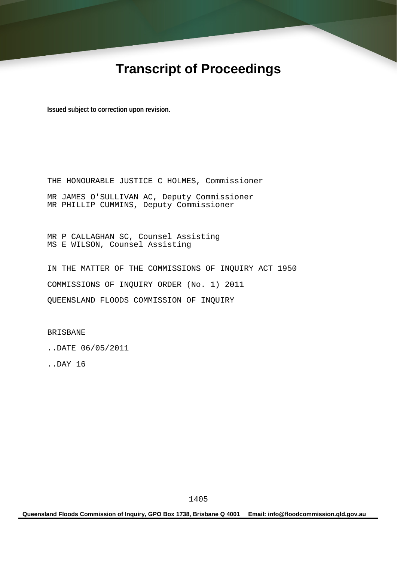# **Transcript of Proceedings**

**Issued subject to correction upon revision.** 

THE HONOURABLE JUSTICE C HOLMES, Commissioner MR JAMES O'SULLIVAN AC, Deputy Commissioner MR PHILLIP CUMMINS, Deputy Commissioner

MR P CALLAGHAN SC, Counsel Assisting MS E WILSON, Counsel Assisting

IN THE MATTER OF THE COMMISSIONS OF INQUIRY ACT 1950 COMMISSIONS OF INQUIRY ORDER (No. 1) 2011 QUEENSLAND FLOODS COMMISSION OF INQUIRY

BRISBANE

..DATE 06/05/2011

..DAY 16

**Queensland Floods Commission of Inquiry, GPO Box 1738, Brisbane Q 4001 Email: info@floodcommission.qld.gov.au**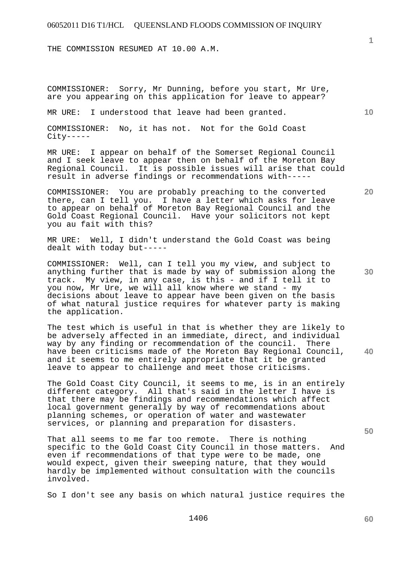THE COMMISSION RESUMED AT 10.00 A.M.

COMMISSIONER: Sorry, Mr Dunning, before you start, Mr Ure, are you appearing on this application for leave to appear?

MR URE: I understood that leave had been granted.

COMMISSIONER: No, it has not. Not for the Gold Coast  $City---$ 

MR URE: I appear on behalf of the Somerset Regional Council and I seek leave to appear then on behalf of the Moreton Bay Regional Council. It is possible issues will arise that could result in adverse findings or recommendations with-----

COMMISSIONER: You are probably preaching to the converted there, can I tell you. I have a letter which asks for leave to appear on behalf of Moreton Bay Regional Council and the Gold Coast Regional Council. Have your solicitors not kept you au fait with this?

MR URE: Well, I didn't understand the Gold Coast was being dealt with today but-----

COMMISSIONER: Well, can I tell you my view, and subject to anything further that is made by way of submission along the track. My view, in any case, is this - and if I tell it to you now, Mr Ure, we will all know where we stand - my decisions about leave to appear have been given on the basis of what natural justice requires for whatever party is making the application.

The test which is useful in that is whether they are likely to be adversely affected in an immediate, direct, and individual way by any finding or recommendation of the council. There have been criticisms made of the Moreton Bay Regional Council, and it seems to me entirely appropriate that it be granted leave to appear to challenge and meet those criticisms.

The Gold Coast City Council, it seems to me, is in an entirely different category. All that's said in the letter I have is that there may be findings and recommendations which affect local government generally by way of recommendations about planning schemes, or operation of water and wastewater services, or planning and preparation for disasters.

That all seems to me far too remote. There is nothing specific to the Gold Coast City Council in those matters. And even if recommendations of that type were to be made, one would expect, given their sweeping nature, that they would hardly be implemented without consultation with the councils involved.

So I don't see any basis on which natural justice requires the

**20** 

**40** 

**30** 

**50** 

**60** 

**1**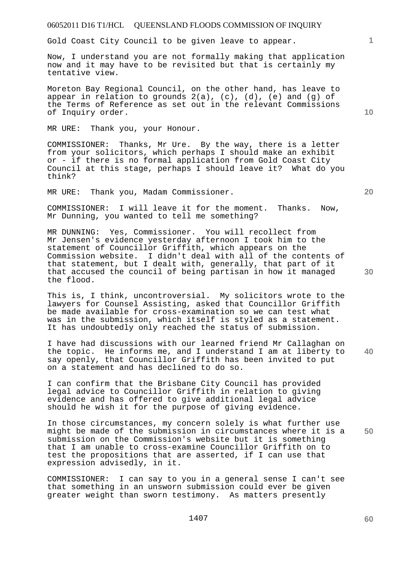Gold Coast City Council to be given leave to appear.

Now, I understand you are not formally making that application now and it may have to be revisited but that is certainly my tentative view.

Moreton Bay Regional Council, on the other hand, has leave to appear in relation to grounds 2(a), (c), (d), (e) and (g) of the Terms of Reference as set out in the relevant Commissions of Inquiry order.

MR URE: Thank you, your Honour.

COMMISSIONER: Thanks, Mr Ure. By the way, there is a letter from your solicitors, which perhaps I should make an exhibit or - if there is no formal application from Gold Coast City Council at this stage, perhaps I should leave it? What do you think?

MR URE: Thank you, Madam Commissioner.

COMMISSIONER: I will leave it for the moment. Thanks. Now, Mr Dunning, you wanted to tell me something?

MR DUNNING: Yes, Commissioner. You will recollect from Mr Jensen's evidence yesterday afternoon I took him to the statement of Councillor Griffith, which appears on the Commission website. I didn't deal with all of the contents of that statement, but I dealt with, generally, that part of it that accused the council of being partisan in how it managed the flood.

This is, I think, uncontroversial. My solicitors wrote to the lawyers for Counsel Assisting, asked that Councillor Griffith be made available for cross-examination so we can test what was in the submission, which itself is styled as a statement. It has undoubtedly only reached the status of submission.

**40**  I have had discussions with our learned friend Mr Callaghan on the topic. He informs me, and I understand I am at liberty to say openly, that Councillor Griffith has been invited to put on a statement and has declined to do so.

I can confirm that the Brisbane City Council has provided legal advice to Councillor Griffith in relation to giving evidence and has offered to give additional legal advice should he wish it for the purpose of giving evidence.

In those circumstances, my concern solely is what further use might be made of the submission in circumstances where it is a submission on the Commission's website but it is something that I am unable to cross-examine Councillor Griffith on to test the propositions that are asserted, if I can use that expression advisedly, in it.

COMMISSIONER: I can say to you in a general sense I can't see that something in an unsworn submission could ever be given greater weight than sworn testimony. As matters presently

**10** 

**1**

**20**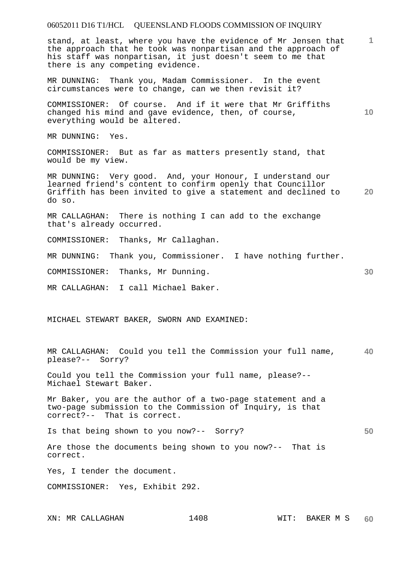# 06052011 D16 T1/HCL QUEENSLAND FLOODS COMMISSION OF INQUIRY **1 10 20 30 40 50**  stand, at least, where you have the evidence of Mr Jensen that the approach that he took was nonpartisan and the approach of his staff was nonpartisan, it just doesn't seem to me that there is any competing evidence. MR DUNNING: Thank you, Madam Commissioner. In the event circumstances were to change, can we then revisit it? COMMISSIONER: Of course. And if it were that Mr Griffiths changed his mind and gave evidence, then, of course, everything would be altered. MR DUNNING: Yes. COMMISSIONER: But as far as matters presently stand, that would be my view. MR DUNNING: Very good. And, your Honour, I understand our learned friend's content to confirm openly that Councillor Griffith has been invited to give a statement and declined to do so. MR CALLAGHAN: There is nothing I can add to the exchange that's already occurred. COMMISSIONER: Thanks, Mr Callaghan. MR DUNNING: Thank you, Commissioner. I have nothing further. COMMISSIONER: Thanks, Mr Dunning. MR CALLAGHAN: I call Michael Baker. MICHAEL STEWART BAKER, SWORN AND EXAMINED: MR CALLAGHAN: Could you tell the Commission your full name, please?-- Sorry? Could you tell the Commission your full name, please?-- Michael Stewart Baker. Mr Baker, you are the author of a two-page statement and a two-page submission to the Commission of Inquiry, is that correct?-- That is correct. Is that being shown to you now?-- Sorry? Are those the documents being shown to you now?-- That is correct. Yes, I tender the document. COMMISSIONER: Yes, Exhibit 292.

XN: MR CALLAGHAN 1408 MIT: BAKER M S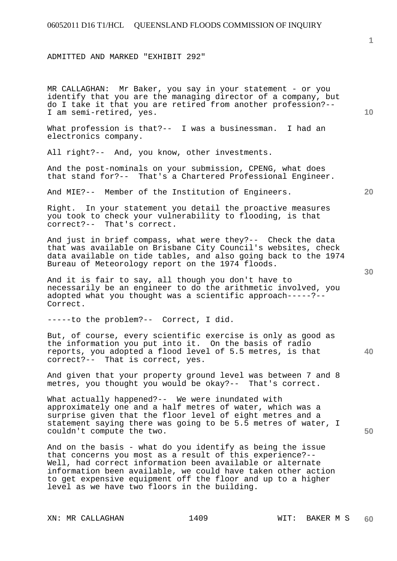ADMITTED AND MARKED "EXHIBIT 292"

MR CALLAGHAN: Mr Baker, you say in your statement - or you identify that you are the managing director of a company, but do I take it that you are retired from another profession?-- I am semi-retired, yes.

What profession is that?-- I was a businessman. I had an electronics company.

All right?-- And, you know, other investments.

And the post-nominals on your submission, CPENG, what does that stand for?-- That's a Chartered Professional Engineer.

And MIE?-- Member of the Institution of Engineers.

Right. In your statement you detail the proactive measures you took to check your vulnerability to flooding, is that correct?-- That's correct.

And just in brief compass, what were they?-- Check the data that was available on Brisbane City Council's websites, check data available on tide tables, and also going back to the 1974 Bureau of Meteorology report on the 1974 floods.

And it is fair to say, all though you don't have to necessarily be an engineer to do the arithmetic involved, you adopted what you thought was a scientific approach-----?-- Correct.

-----to the problem?-- Correct, I did.

**40**  But, of course, every scientific exercise is only as good as the information you put into it. On the basis of radio reports, you adopted a flood level of 5.5 metres, is that correct?-- That is correct, yes.

And given that your property ground level was between 7 and 8 metres, you thought you would be okay?-- That's correct.

What actually happened?-- We were inundated with approximately one and a half metres of water, which was a surprise given that the floor level of eight metres and a statement saying there was going to be 5.5 metres of water, I couldn't compute the two.

And on the basis - what do you identify as being the issue that concerns you most as a result of this experience?-- Well, had correct information been available or alternate information been available, we could have taken other action to get expensive equipment off the floor and up to a higher level as we have two floors in the building.

**1**

**10** 

**20**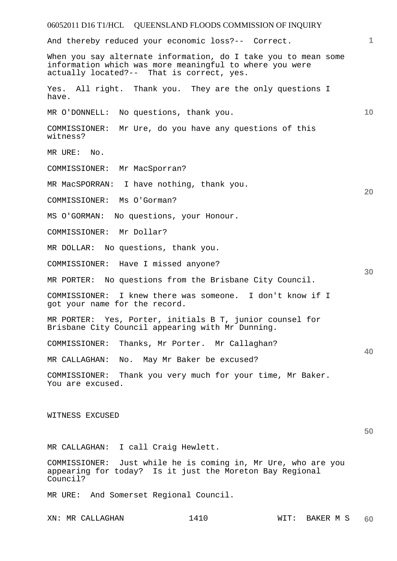|                                                | 06052011 D16 T1/HCL QUEENSLAND FLOODS COMMISSION OF INQUIRY                                                                                                            |      |           |    |
|------------------------------------------------|------------------------------------------------------------------------------------------------------------------------------------------------------------------------|------|-----------|----|
|                                                | And thereby reduced your economic loss?-- Correct.                                                                                                                     |      |           | 1  |
|                                                | When you say alternate information, do I take you to mean some<br>information which was more meaningful to where you were<br>actually located?-- That is correct, yes. |      |           |    |
| Yes.<br>have.                                  | All right. Thank you. They are the only questions I                                                                                                                    |      |           |    |
| MR O'DONNELL:                                  | No questions, thank you.                                                                                                                                               |      |           | 10 |
| COMMISSIONER:<br>witness?                      | Mr Ure, do you have any questions of this                                                                                                                              |      |           |    |
| MR URE:<br>No.                                 |                                                                                                                                                                        |      |           |    |
| COMMISSIONER:                                  | Mr MacSporran?                                                                                                                                                         |      |           |    |
|                                                | MR MacSPORRAN: I have nothing, thank you.                                                                                                                              |      |           |    |
| COMMISSIONER:                                  | Ms O'Gorman?                                                                                                                                                           |      |           | 20 |
| MS O'GORMAN:                                   | No questions, your Honour.                                                                                                                                             |      |           |    |
| COMMISSIONER:                                  | Mr Dollar?                                                                                                                                                             |      |           |    |
| MR DOLLAR:                                     | No questions, thank you.                                                                                                                                               |      |           |    |
| COMMISSIONER:                                  | Have I missed anyone?                                                                                                                                                  |      |           |    |
| MR PORTER:                                     | No questions from the Brisbane City Council.                                                                                                                           |      |           | 30 |
| COMMISSIONER:<br>got your name for the record. | I knew there was someone. I don't know if I                                                                                                                            |      |           |    |
|                                                | MR PORTER: Yes, Porter, initials B T, junior counsel for<br>Brisbane City Council appearing with Mr Dunning.                                                           |      |           |    |
| COMMISSIONER:                                  | Thanks, Mr Porter. Mr Callaghan?                                                                                                                                       |      |           | 40 |
| MR CALLAGHAN:                                  | No. May Mr Baker be excused?                                                                                                                                           |      |           |    |
| COMMISSIONER:<br>You are excused.              | Thank you very much for your time, Mr Baker.                                                                                                                           |      |           |    |
| WITNESS EXCUSED                                |                                                                                                                                                                        |      |           | 50 |
|                                                | MR CALLAGHAN: I call Craig Hewlett.                                                                                                                                    |      |           |    |
| Council?                                       | COMMISSIONER: Just while he is coming in, Mr Ure, who are you<br>appearing for today? Is it just the Moreton Bay Regional                                              |      |           |    |
|                                                | MR URE: And Somerset Regional Council.                                                                                                                                 |      |           |    |
| XN: MR CALLAGHAN                               | 1410                                                                                                                                                                   | WIT: | BAKER M S | 60 |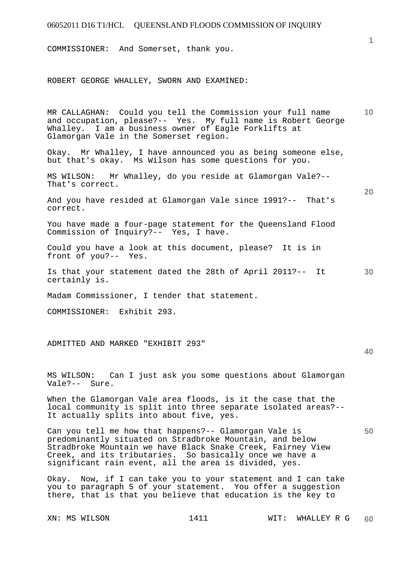COMMISSIONER: And Somerset, thank you.

ROBERT GEORGE WHALLEY, SWORN AND EXAMINED:

**10**  MR CALLAGHAN: Could you tell the Commission your full name and occupation, please?-- Yes. My full name is Robert George Whalley. I am a business owner of Eagle Forklifts at Glamorgan Vale in the Somerset region.

Okay. Mr Whalley, I have announced you as being someone else, but that's okay. Ms Wilson has some questions for you.

MS WILSON: Mr Whalley, do you reside at Glamorgan Vale?-- That's correct.

And you have resided at Glamorgan Vale since 1991?-- That's correct.

You have made a four-page statement for the Queensland Flood Commission of Inquiry?-- Yes, I have.

Could you have a look at this document, please? It is in front of you?-- Yes.

**30**  Is that your statement dated the 28th of April 2011?-- It certainly is.

Madam Commissioner, I tender that statement.

COMMISSIONER: Exhibit 293.

ADMITTED AND MARKED "EXHIBIT 293"

MS WILSON: Can I just ask you some questions about Glamorgan Vale?-- Sure.

When the Glamorgan Vale area floods, is it the case that the local community is split into three separate isolated areas?-- It actually splits into about five, yes.

Can you tell me how that happens?-- Glamorgan Vale is predominantly situated on Stradbroke Mountain, and below Stradbroke Mountain we have Black Snake Creek, Fairney View Creek, and its tributaries. So basically once we have a significant rain event, all the area is divided, yes.

Okay. Now, if I can take you to your statement and I can take you to paragraph 5 of your statement. You offer a suggestion there, that is that you believe that education is the key to

**1**

**20** 

**40**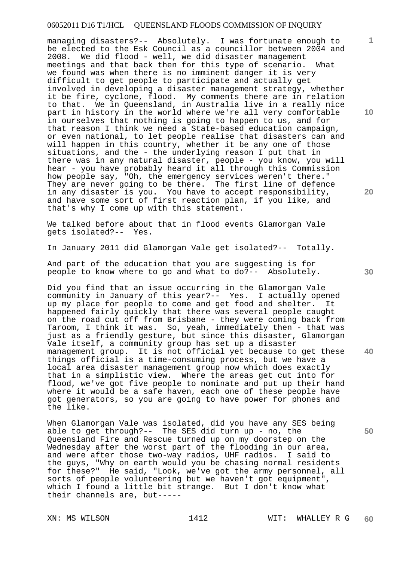managing disasters?-- Absolutely. I was fortunate enough to be elected to the Esk Council as a councillor between 2004 and 2008. We did flood - well, we did disaster management meetings and that back then for this type of scenario. What we found was when there is no imminent danger it is very difficult to get people to participate and actually get involved in developing a disaster management strategy, whether it be fire, cyclone, flood. My comments there are in relation to that. We in Queensland, in Australia live in a really nice part in history in the world where we're all very comfortable in ourselves that nothing is going to happen to us, and for that reason I think we need a State-based education campaign, or even national, to let people realise that disasters can and will happen in this country, whether it be any one of those situations, and the - the underlying reason I put that in there was in any natural disaster, people - you know, you will hear - you have probably heard it all through this Commission how people say, "Oh, the emergency services weren't there." They are never going to be there. The first line of defence in any disaster is you. You have to accept responsibility, and have some sort of first reaction plan, if you like, and that's why I come up with this statement.

We talked before about that in flood events Glamorgan Vale gets isolated?-- Yes.

In January 2011 did Glamorgan Vale get isolated?-- Totally.

And part of the education that you are suggesting is for people to know where to go and what to do?-- Absolutely.

Did you find that an issue occurring in the Glamorgan Vale community in January of this year?-- Yes. I actually opened up my place for people to come and get food and shelter. It happened fairly quickly that there was several people caught on the road cut off from Brisbane - they were coming back from Taroom, I think it was. So, yeah, immediately then - that was just as a friendly gesture, but since this disaster, Glamorgan Vale itself, a community group has set up a disaster management group. It is not official yet because to get these things official is a time-consuming process, but we have a local area disaster management group now which does exactly that in a simplistic view. Where the areas get cut into for flood, we've got five people to nominate and put up their hand where it would be a safe haven, each one of these people have got generators, so you are going to have power for phones and the like.

When Glamorgan Vale was isolated, did you have any SES being able to get through?-- The SES did turn up - no, the Queensland Fire and Rescue turned up on my doorstep on the Wednesday after the worst part of the flooding in our area, and were after those two-way radios, UHF radios. I said to the guys, "Why on earth would you be chasing normal residents for these?" He said, "Look, we've got the army personnel, all sorts of people volunteering but we haven't got equipment", which I found a little bit strange. But I don't know what their channels are, but-----

**10** 

**1**

**20** 

**40**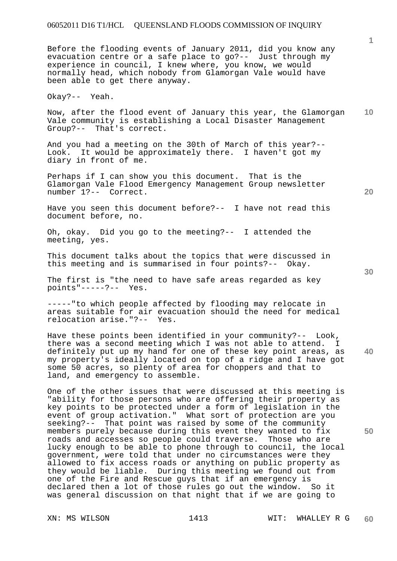Before the flooding events of January 2011, did you know any evacuation centre or a safe place to go?-- Just through my experience in council, I knew where, you know, we would normally head, which nobody from Glamorgan Vale would have been able to get there anyway.

Okay?-- Yeah.

**10**  Now, after the flood event of January this year, the Glamorgan Vale community is establishing a Local Disaster Management Group?-- That's correct.

And you had a meeting on the 30th of March of this year?-- Look. It would be approximately there. I haven't got my diary in front of me.

Perhaps if I can show you this document. That is the Glamorgan Vale Flood Emergency Management Group newsletter number 1?-- Correct.

Have you seen this document before?-- I have not read this document before, no.

Oh, okay. Did you go to the meeting?-- I attended the meeting, yes.

This document talks about the topics that were discussed in this meeting and is summarised in four points?-- Okay.

The first is "the need to have safe areas regarded as key points"-----?-- Yes.

-----"to which people affected by flooding may relocate in areas suitable for air evacuation should the need for medical relocation arise."?-- Yes.

**40**  Have these points been identified in your community?-- Look, there was a second meeting which I was not able to attend. I definitely put up my hand for one of these key point areas, as my property's ideally located on top of a ridge and I have got some 50 acres, so plenty of area for choppers and that to land, and emergency to assemble.

One of the other issues that were discussed at this meeting is "ability for those persons who are offering their property as key points to be protected under a form of legislation in the event of group activation." What sort of protection are you seeking?-- That point was raised by some of the community members purely because during this event they wanted to fix roads and accesses so people could traverse. Those who are lucky enough to be able to phone through to council, the local government, were told that under no circumstances were they allowed to fix access roads or anything on public property as they would be liable. During this meeting we found out from one of the Fire and Rescue guys that if an emergency is declared then a lot of those rules go out the window. So it was general discussion on that night that if we are going to

**50** 

**20**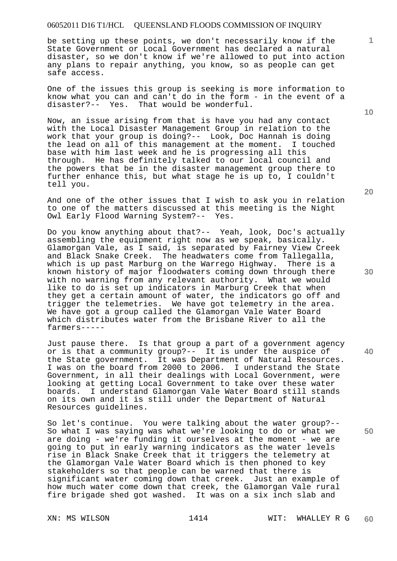be setting up these points, we don't necessarily know if the State Government or Local Government has declared a natural disaster, so we don't know if we're allowed to put into action any plans to repair anything, you know, so as people can get safe access.

One of the issues this group is seeking is more information to know what you can and can't do in the form - in the event of a disaster?-- Yes. That would be wonderful.

Now, an issue arising from that is have you had any contact with the Local Disaster Management Group in relation to the work that your group is doing?-- Look, Doc Hannah is doing the lead on all of this management at the moment. I touched base with him last week and he is progressing all this through. He has definitely talked to our local council and the powers that be in the disaster management group there to further enhance this, but what stage he is up to, I couldn't tell you.

And one of the other issues that I wish to ask you in relation to one of the matters discussed at this meeting is the Night Owl Early Flood Warning System?-- Yes.

Do you know anything about that?-- Yeah, look, Doc's actually assembling the equipment right now as we speak, basically. Glamorgan Vale, as I said, is separated by Fairney View Creek and Black Snake Creek. The headwaters come from Tallegalla, which is up past Marburg on the Warrego Highway. There is a known history of major floodwaters coming down through there with no warning from any relevant authority. What we would like to do is set up indicators in Marburg Creek that when they get a certain amount of water, the indicators go off and trigger the telemetries. We have got telemetry in the area. We have got a group called the Glamorgan Vale Water Board which distributes water from the Brisbane River to all the farmers-----

Just pause there. Is that group a part of a government agency or is that a community group?-- It is under the auspice of the State government. It was Department of Natural Resources. I was on the board from 2000 to 2006. I understand the State Government, in all their dealings with Local Government, were looking at getting Local Government to take over these water boards. I understand Glamorgan Vale Water Board still stands on its own and it is still under the Department of Natural Resources guidelines.

So let's continue. You were talking about the water group?-- So what I was saying was what we're looking to do or what we are doing - we're funding it ourselves at the moment - we are going to put in early warning indicators as the water levels rise in Black Snake Creek that it triggers the telemetry at the Glamorgan Vale Water Board which is then phoned to key stakeholders so that people can be warned that there is significant water coming down that creek. Just an example of how much water come down that creek, the Glamorgan Vale rural fire brigade shed got washed. It was on a six inch slab and

**20** 

**30** 

**50** 

**10**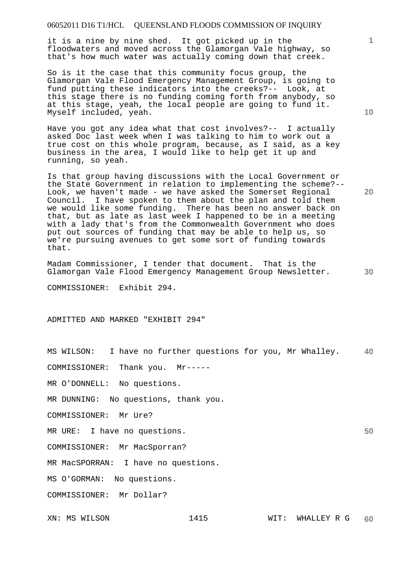it is a nine by nine shed. It got picked up in the floodwaters and moved across the Glamorgan Vale highway, so that's how much water was actually coming down that creek.

So is it the case that this community focus group, the Glamorgan Vale Flood Emergency Management Group, is going to fund putting these indicators into the creeks?-- Look, at this stage there is no funding coming forth from anybody, so at this stage, yeah, the local people are going to fund it. Myself included, yeah.

Have you got any idea what that cost involves?-- I actually asked Doc last week when I was talking to him to work out a true cost on this whole program, because, as I said, as a key business in the area, I would like to help get it up and running, so yeah.

Is that group having discussions with the Local Government or the State Government in relation to implementing the scheme?-- Look, we haven't made - we have asked the Somerset Regional Council. I have spoken to them about the plan and told them we would like some funding. There has been no answer back on that, but as late as last week I happened to be in a meeting with a lady that's from the Commonwealth Government who does put out sources of funding that may be able to help us, so we're pursuing avenues to get some sort of funding towards that.

Madam Commissioner, I tender that document. That is the Glamorgan Vale Flood Emergency Management Group Newsletter.

COMMISSIONER: Exhibit 294.

ADMITTED AND MARKED "EXHIBIT 294"

**40**  MS WILSON: I have no further questions for you, Mr Whalley.

COMMISSIONER: Thank you. Mr-----

MR O'DONNELL: No questions.

MR DUNNING: No questions, thank you.

COMMISSIONER: Mr Ure?

MR URE: I have no questions.

COMMISSIONER: Mr MacSporran?

MR MacSPORRAN: I have no questions.

MS O'GORMAN: No questions.

COMMISSIONER: Mr Dollar?

**10** 

**1**

**20** 

**30**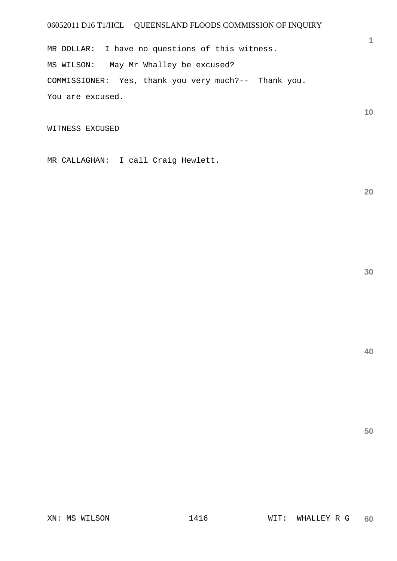MR DOLLAR: I have no questions of this witness. MS WILSON: May Mr Whalley be excused? COMMISSIONER: Yes, thank you very much?-- Thank you. You are excused.

WITNESS EXCUSED

MR CALLAGHAN: I call Craig Hewlett.

**20** 

**1**

**10** 

**50**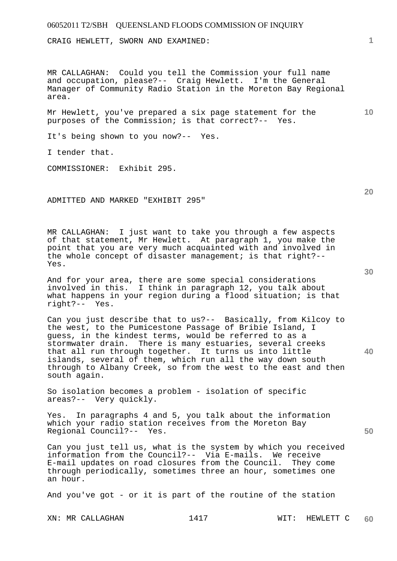CRAIG HEWLETT, SWORN AND EXAMINED:

MR CALLAGHAN: Could you tell the Commission your full name and occupation, please?-- Craig Hewlett. I'm the General Manager of Community Radio Station in the Moreton Bay Regional area.

Mr Hewlett, you've prepared a six page statement for the purposes of the Commission; is that correct?-- Yes.

It's being shown to you now?-- Yes.

I tender that.

COMMISSIONER: Exhibit 295.

ADMITTED AND MARKED "EXHIBIT 295"

MR CALLAGHAN: I just want to take you through a few aspects of that statement, Mr Hewlett. At paragraph 1, you make the point that you are very much acquainted with and involved in the whole concept of disaster management; is that right?-- Yes.

And for your area, there are some special considerations involved in this. I think in paragraph 12, you talk about what happens in your region during a flood situation; is that right?-- Yes.

Can you just describe that to us?-- Basically, from Kilcoy to the west, to the Pumicestone Passage of Bribie Island, I guess, in the kindest terms, would be referred to as a stormwater drain. There is many estuaries, several creeks that all run through together. It turns us into little islands, several of them, which run all the way down south through to Albany Creek, so from the west to the east and then south again.

So isolation becomes a problem - isolation of specific areas?-- Very quickly.

Yes. In paragraphs 4 and 5, you talk about the information which your radio station receives from the Moreton Bay Regional Council?-- Yes.

Can you just tell us, what is the system by which you received information from the Council?-- Via E-mails. We receive E-mail updates on road closures from the Council. They come through periodically, sometimes three an hour, sometimes one an hour.

And you've got - or it is part of the routine of the station

XN: MR CALLAGHAN 1417 1417 WIT: HEWLETT C

**60** 

**30** 

**20** 

**50** 

**40** 

**10**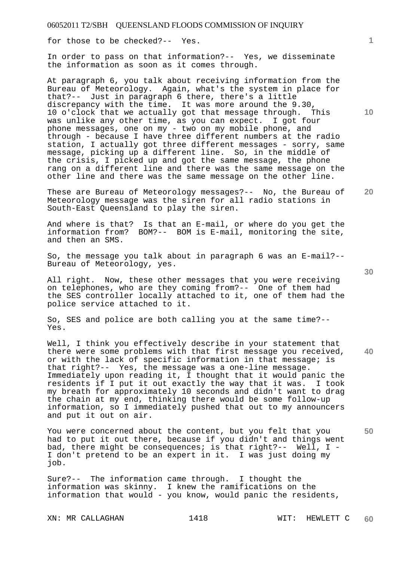for those to be checked?-- Yes.

In order to pass on that information?-- Yes, we disseminate the information as soon as it comes through.

At paragraph 6, you talk about receiving information from the Bureau of Meteorology. Again, what's the system in place for that?-- Just in paragraph 6 there, there's a little discrepancy with the time. It was more around the 9.30, 10 o'clock that we actually got that message through. This was unlike any other time, as you can expect. I got four phone messages, one on my - two on my mobile phone, and through - because I have three different numbers at the radio station, I actually got three different messages - sorry, same message, picking up a different line. So, in the middle of the crisis, I picked up and got the same message, the phone rang on a different line and there was the same message on the other line and there was the same message on the other line.

These are Bureau of Meteorology messages?-- No, the Bureau of Meteorology message was the siren for all radio stations in South-East Queensland to play the siren.

And where is that? Is that an E-mail, or where do you get the information from? BOM?-- BOM is E-mail, monitoring the site, and then an SMS.

So, the message you talk about in paragraph 6 was an E-mail?-- Bureau of Meteorology, yes.

All right. Now, these other messages that you were receiving on telephones, who are they coming from?-- One of them had the SES controller locally attached to it, one of them had the police service attached to it.

So, SES and police are both calling you at the same time?-- Yes.

Well, I think you effectively describe in your statement that there were some problems with that first message you received, or with the lack of specific information in that message; is that right?-- Yes, the message was a one-line message. Immediately upon reading it, I thought that it would panic the residents if I put it out exactly the way that it was. I took my breath for approximately 10 seconds and didn't want to drag the chain at my end, thinking there would be some follow-up information, so I immediately pushed that out to my announcers and put it out on air.

You were concerned about the content, but you felt that you had to put it out there, because if you didn't and things went bad, there might be consequences; is that right?-- Well, I - I don't pretend to be an expert in it. I was just doing my job.

Sure?-- The information came through. I thought the information was skinny. I knew the ramifications on the information that would - you know, would panic the residents,

XN: MR CALLAGHAN 1418 WIT: HEWLETT C

**20** 

**10** 

**40**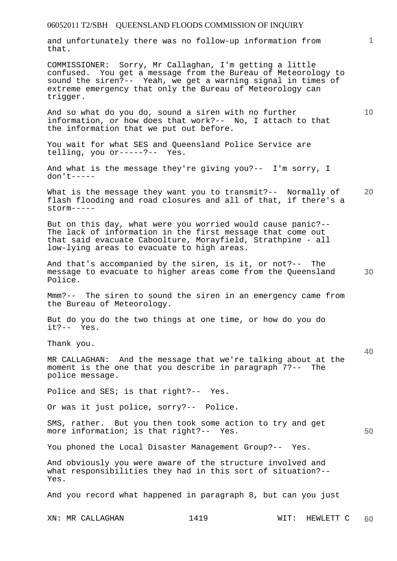and unfortunately there was no follow-up information from that.

COMMISSIONER: Sorry, Mr Callaghan, I'm getting a little confused. You get a message from the Bureau of Meteorology to sound the siren?-- Yeah, we get a warning signal in times of extreme emergency that only the Bureau of Meteorology can trigger.

And so what do you do, sound a siren with no further information, or how does that work?-- No, I attach to that the information that we put out before.

You wait for what SES and Queensland Police Service are telling, you or-----?-- Yes.

And what is the message they're giving you?-- I'm sorry, I don't-----

**20**  What is the message they want you to transmit?-- Normally of flash flooding and road closures and all of that, if there's a storm-----

But on this day, what were you worried would cause panic?-- The lack of information in the first message that come out that said evacuate Caboolture, Morayfield, Strathpine - all low-lying areas to evacuate to high areas.

**30**  And that's accompanied by the siren, is it, or not?-- The message to evacuate to higher areas come from the Queensland Police.

Mmm?-- The siren to sound the siren in an emergency came from the Bureau of Meteorology.

But do you do the two things at one time, or how do you do it?-- Yes.

Thank you.

MR CALLAGHAN: And the message that we're talking about at the moment is the one that you describe in paragraph 7?-- The police message.

Police and SES; is that right?-- Yes.

Or was it just police, sorry?-- Police.

SMS, rather. But you then took some action to try and get more information; is that right?-- Yes.

You phoned the Local Disaster Management Group?-- Yes.

And obviously you were aware of the structure involved and what responsibilities they had in this sort of situation?-- Yes.

And you record what happened in paragraph 8, but can you just

**10** 

**1**

**40**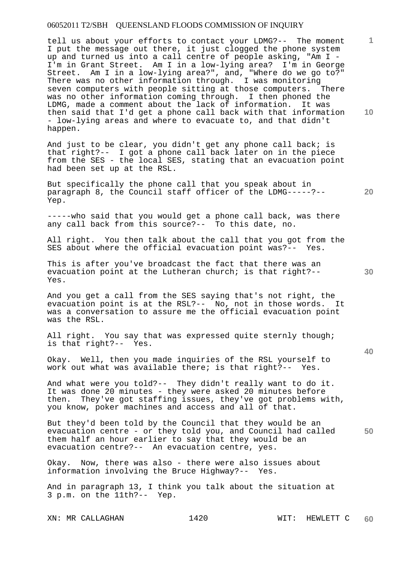tell us about your efforts to contact your LDMG?-- The moment I put the message out there, it just clogged the phone system up and turned us into a call centre of people asking, "Am I -I'm in Grant Street. Am I in a low-lying area? I'm in George Street. Am I in a low-lying area?", and, "Where do we go to?" There was no other information through. I was monitoring seven computers with people sitting at those computers. There was no other information coming through. I then phoned the LDMG, made a comment about the lack of information. It was then said that I'd get a phone call back with that information - low-lying areas and where to evacuate to, and that didn't happen.

And just to be clear, you didn't get any phone call back; is that right?-- I got a phone call back later on in the piece from the SES - the local SES, stating that an evacuation point had been set up at the RSL.

But specifically the phone call that you speak about in paragraph 8, the Council staff officer of the LDMG-----?-- Yep.

-----who said that you would get a phone call back, was there any call back from this source?-- To this date, no.

All right. You then talk about the call that you got from the SES about where the official evacuation point was?-- Yes.

This is after you've broadcast the fact that there was an evacuation point at the Lutheran church; is that right?-- Yes.

And you get a call from the SES saying that's not right, the evacuation point is at the RSL?-- No, not in those words. It was a conversation to assure me the official evacuation point was the RSL.

All right. You say that was expressed quite sternly though; is that right?-- Yes.

Okay. Well, then you made inquiries of the RSL yourself to work out what was available there; is that right?-- Yes.

And what were you told?-- They didn't really want to do it. It was done 20 minutes - they were asked 20 minutes before then. They've got staffing issues, they've got problems with, you know, poker machines and access and all of that.

**50**  But they'd been told by the Council that they would be an evacuation centre - or they told you, and Council had called them half an hour earlier to say that they would be an evacuation centre?-- An evacuation centre, yes.

Okay. Now, there was also - there were also issues about information involving the Bruce Highway?-- Yes.

And in paragraph 13, I think you talk about the situation at 3 p.m. on the 11th?-- Yep.

**10** 

**20** 

**1**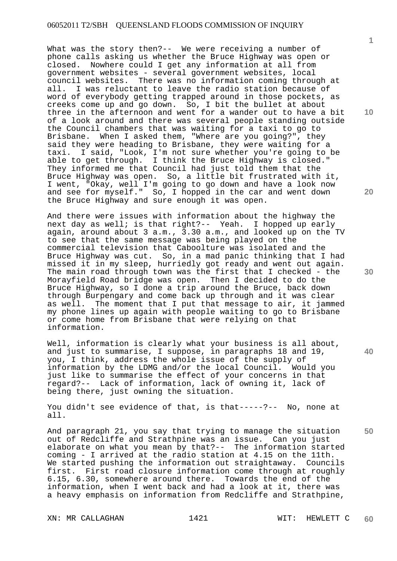What was the story then?-- We were receiving a number of phone calls asking us whether the Bruce Highway was open or closed. Nowhere could I get any information at all from government websites - several government websites, local council websites. There was no information coming through at all. I was reluctant to leave the radio station because of word of everybody getting trapped around in those pockets, as creeks come up and go down. So, I bit the bullet at about three in the afternoon and went for a wander out to have a bit of a look around and there was several people standing outside the Council chambers that was waiting for a taxi to go to Brisbane. When I asked them, "Where are you going?", they said they were heading to Brisbane, they were waiting for a taxi. I said, "Look, I'm not sure whether you're going to be able to get through. I think the Bruce Highway is closed." They informed me that Council had just told them that the Bruce Highway was open. So, a little bit frustrated with it, I went, "Okay, well I'm going to go down and have a look now and see for myself." So, I hopped in the car and went down the Bruce Highway and sure enough it was open.

And there were issues with information about the highway the next day as well; is that right?-- Yeah. I hopped up early again, around about 3 a.m., 3.30 a.m., and looked up on the TV to see that the same message was being played on the commercial television that Caboolture was isolated and the Bruce Highway was cut. So, in a mad panic thinking that I had missed it in my sleep, hurriedly got ready and went out again. The main road through town was the first that I checked - the Morayfield Road bridge was open. Then I decided to do the Bruce Highway, so I done a trip around the Bruce, back down through Burpengary and come back up through and it was clear as well. The moment that I put that message to air, it jammed my phone lines up again with people waiting to go to Brisbane or come home from Brisbane that were relying on that information.

Well, information is clearly what your business is all about, and just to summarise, I suppose, in paragraphs 18 and 19, you, I think, address the whole issue of the supply of information by the LDMG and/or the local Council. Would you just like to summarise the effect of your concerns in that regard?-- Lack of information, lack of owning it, lack of being there, just owning the situation.

You didn't see evidence of that, is that-----?-- No, none at all.

And paragraph 21, you say that trying to manage the situation out of Redcliffe and Strathpine was an issue. Can you just elaborate on what you mean by that?-- The information started coming - I arrived at the radio station at 4.15 on the 11th. We started pushing the information out straightaway. Councils first. First road closure information come through at roughly 6.15, 6.30, somewhere around there. Towards the end of the information, when I went back and had a look at it, there was a heavy emphasis on information from Redcliffe and Strathpine,

XN: MR CALLAGHAN 1421 WIT: HEWLETT C

**10** 

**20** 

**30** 

**40**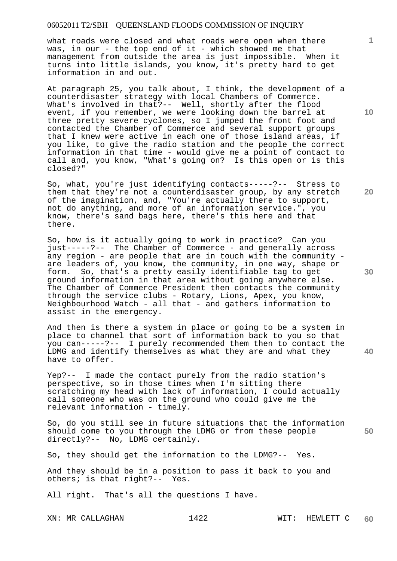what roads were closed and what roads were open when there was, in our - the top end of it - which showed me that management from outside the area is just impossible. When it turns into little islands, you know, it's pretty hard to get information in and out.

At paragraph 25, you talk about, I think, the development of a counterdisaster strategy with local Chambers of Commerce. What's involved in that?-- Well, shortly after the flood event, if you remember, we were looking down the barrel at three pretty severe cyclones, so I jumped the front foot and contacted the Chamber of Commerce and several support groups that I knew were active in each one of those island areas, if you like, to give the radio station and the people the correct information in that time - would give me a point of contact to call and, you know, "What's going on? Is this open or is this closed?"

So, what, you're just identifying contacts-----?-- Stress to them that they're not a counterdisaster group, by any stretch of the imagination, and, "You're actually there to support, not do anything, and more of an information service.", you know, there's sand bags here, there's this here and that there.

So, how is it actually going to work in practice? Can you just-----?-- The Chamber of Commerce - and generally across any region - are people that are in touch with the community are leaders of, you know, the community, in one way, shape or form. So, that's a pretty easily identifiable tag to get ground information in that area without going anywhere else. The Chamber of Commerce President then contacts the community through the service clubs - Rotary, Lions, Apex, you know, Neighbourhood Watch - all that - and gathers information to assist in the emergency.

And then is there a system in place or going to be a system in place to channel that sort of information back to you so that you can-----?-- I purely recommended them then to contact the LDMG and identify themselves as what they are and what they have to offer.

Yep?-- I made the contact purely from the radio station's perspective, so in those times when I'm sitting there scratching my head with lack of information, I could actually call someone who was on the ground who could give me the relevant information - timely.

So, do you still see in future situations that the information should come to you through the LDMG or from these people directly?-- No, LDMG certainly.

So, they should get the information to the LDMG?-- Yes.

And they should be in a position to pass it back to you and others; is that right?-- Yes.

All right. That's all the questions I have.

**10** 

**1**

**20** 

**30** 

**40**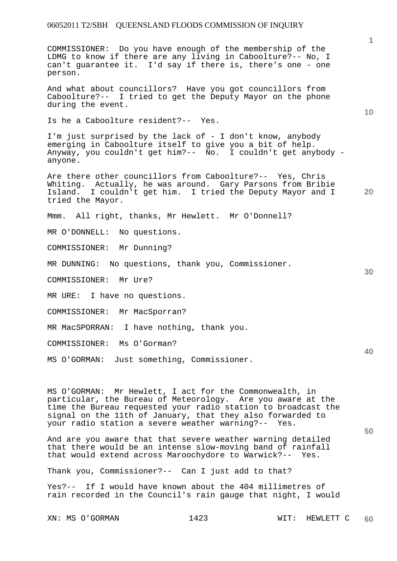COMMISSIONER: Do you have enough of the membership of the LDMG to know if there are any living in Caboolture?-- No, I can't guarantee it. I'd say if there is, there's one - one person.

And what about councillors? Have you got councillors from Caboolture?-- I tried to get the Deputy Mayor on the phone during the event.

Is he a Caboolture resident?-- Yes.

I'm just surprised by the lack of - I don't know, anybody emerging in Caboolture itself to give you a bit of help. Anyway, you couldn't get him?-- No. I couldn't get anybody anyone.

**20**  Are there other councillors from Caboolture?-- Yes, Chris Whiting. Actually, he was around. Gary Parsons from Bribie<br>Island. I couldn't get him. I tried the Deputy Mayor and I I couldn't get him. I tried the Deputy Mayor and I tried the Mayor.

Mmm. All right, thanks, Mr Hewlett. Mr O'Donnell?

MR O'DONNELL: No questions.

COMMISSIONER: Mr Dunning?

MR DUNNING: No questions, thank you, Commissioner.

COMMISSIONER: Mr Ure?

MR URE: I have no questions.

COMMISSIONER: Mr MacSporran?

MR MacSPORRAN: I have nothing, thank you.

COMMISSIONER: Ms O'Gorman?

MS O'GORMAN: Just something, Commissioner.

MS O'GORMAN: Mr Hewlett, I act for the Commonwealth, in particular, the Bureau of Meteorology. Are you aware at the time the Bureau requested your radio station to broadcast the signal on the 11th of January, that they also forwarded to your radio station a severe weather warning?-- Yes.

And are you aware that that severe weather warning detailed that there would be an intense slow-moving band of rainfall that would extend across Maroochydore to Warwick?-- Yes.

Thank you, Commissioner?-- Can I just add to that?

Yes?-- If I would have known about the 404 millimetres of rain recorded in the Council's rain gauge that night, I would

XN: MS O'GORMAN 1423 WIT: HEWLETT C

**10** 

**1**

**30** 

**40**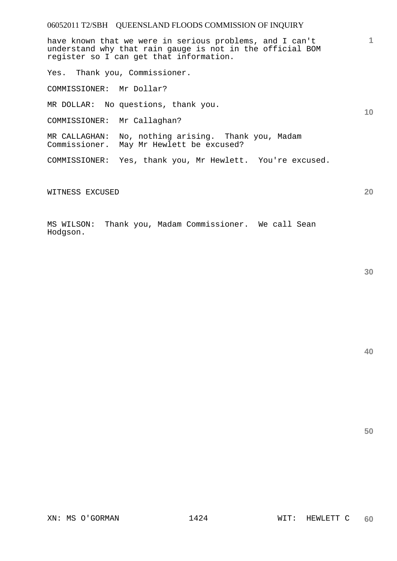have known that we were in serious problems, and I can't understand why that rain gauge is not in the official BOM register so I can get that information.

Yes. Thank you, Commissioner.

COMMISSIONER: Mr Dollar?

MR DOLLAR: No questions, thank you.

COMMISSIONER: Mr Callaghan?

MR CALLAGHAN: No, nothing arising. Thank you, Madam Commissioner. May Mr Hewlett be excused?

COMMISSIONER: Yes, thank you, Mr Hewlett. You're excused.

WITNESS EXCUSED

MS WILSON: Thank you, Madam Commissioner. We call Sean Hodgson.

**40** 

**50** 

**1**

**10**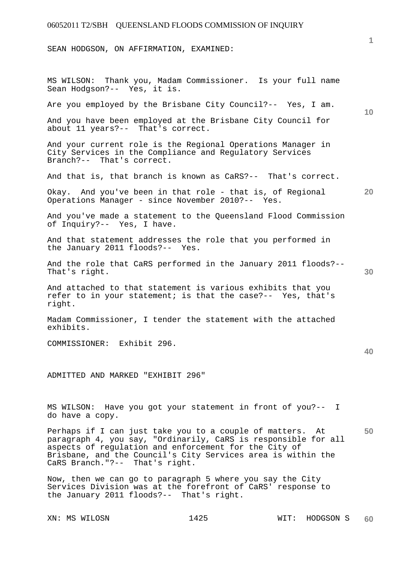SEAN HODGSON, ON AFFIRMATION, EXAMINED:

**10 20 30 40 50**  MS WILSON: Thank you, Madam Commissioner. Is your full name Sean Hodgson?-- Yes, it is. Are you employed by the Brisbane City Council?-- Yes, I am. And you have been employed at the Brisbane City Council for about 11 years?-- That's correct. And your current role is the Regional Operations Manager in City Services in the Compliance and Regulatory Services Branch?-- That's correct. And that is, that branch is known as CaRS?-- That's correct. Okay. And you've been in that role - that is, of Regional Operations Manager - since November 2010?-- Yes. And you've made a statement to the Queensland Flood Commission of Inquiry?-- Yes, I have. And that statement addresses the role that you performed in the January 2011 floods?-- Yes. And the role that CaRS performed in the January 2011 floods?-- That's right. And attached to that statement is various exhibits that you refer to in your statement; is that the case?-- Yes, that's right. Madam Commissioner, I tender the statement with the attached exhibits. COMMISSIONER: Exhibit 296. ADMITTED AND MARKED "EXHIBIT 296" MS WILSON: Have you got your statement in front of you?-- I do have a copy. Perhaps if I can just take you to a couple of matters. At paragraph 4, you say, "Ordinarily, CaRS is responsible for all aspects of regulation and enforcement for the City of Brisbane, and the Council's City Services area is within the CaRS Branch."?-- That's right. Now, then we can go to paragraph 5 where you say the City

Services Division was at the forefront of CaRS' response to the January 2011 floods?-- That's right.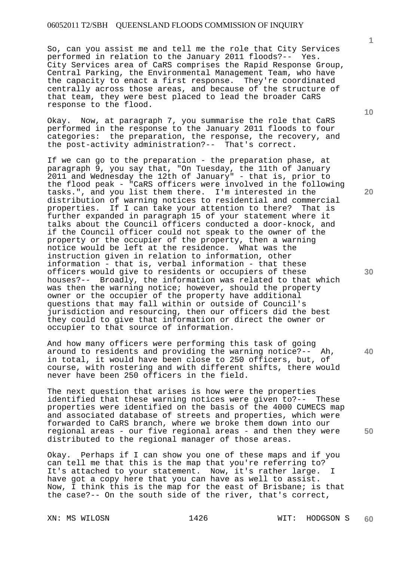So, can you assist me and tell me the role that City Services performed in relation to the January 2011 floods?-- Yes. City Services area of CaRS comprises the Rapid Response Group, Central Parking, the Environmental Management Team, who have the capacity to enact a first response. They're coordinated centrally across those areas, and because of the structure of that team, they were best placed to lead the broader CaRS response to the flood.

Okay. Now, at paragraph 7, you summarise the role that CaRS performed in the response to the January 2011 floods to four categories: the preparation, the response, the recovery, and the post-activity administration?-- That's correct.

If we can go to the preparation - the preparation phase, at paragraph 9, you say that, "On Tuesday, the 11th of January 2011 and Wednesday the 12th of January" - that is, prior to the flood peak - "CaRS officers were involved in the following tasks.", and you list them there. I'm interested in the distribution of warning notices to residential and commercial properties. If I can take your attention to there? That is further expanded in paragraph 15 of your statement where it talks about the Council officers conducted a door-knock, and if the Council officer could not speak to the owner of the property or the occupier of the property, then a warning notice would be left at the residence. What was the instruction given in relation to information, other information - that is, verbal information - that these officers would give to residents or occupiers of these houses?-- Broadly, the information was related to that which was then the warning notice; however, should the property owner or the occupier of the property have additional questions that may fall within or outside of Council's jurisdiction and resourcing, then our officers did the best they could to give that information or direct the owner or occupier to that source of information.

And how many officers were performing this task of going around to residents and providing the warning notice?-- Ah, in total, it would have been close to 250 officers, but, of course, with rostering and with different shifts, there would never have been 250 officers in the field.

The next question that arises is how were the properties identified that these warning notices were given to?-- These properties were identified on the basis of the 4000 CUMECS map and associated database of streets and properties, which were forwarded to CaRS branch, where we broke them down into our regional areas - our five regional areas - and then they were distributed to the regional manager of those areas.

Okay. Perhaps if I can show you one of these maps and if you can tell me that this is the map that you're referring to? It's attached to your statement. Now, it's rather large. have got a copy here that you can have as well to assist. Now, I think this is the map for the east of Brisbane; is that the case?-- On the south side of the river, that's correct,

**1**

**10** 

**20** 

**30** 

**40**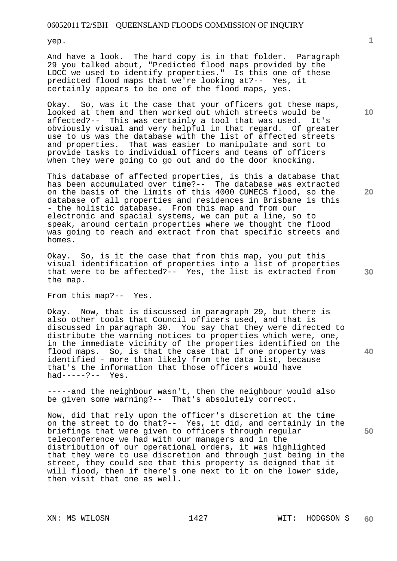yep.

And have a look. The hard copy is in that folder. Paragraph 29 you talked about, "Predicted flood maps provided by the LDCC we used to identify properties." Is this one of these predicted flood maps that we're looking at?-- Yes, it certainly appears to be one of the flood maps, yes.

Okay. So, was it the case that your officers got these maps, looked at them and then worked out which streets would be affected?-- This was certainly a tool that was used. It's obviously visual and very helpful in that regard. Of greater use to us was the database with the list of affected streets and properties. That was easier to manipulate and sort to provide tasks to individual officers and teams of officers when they were going to go out and do the door knocking.

This database of affected properties, is this a database that has been accumulated over time?-- The database was extracted on the basis of the limits of this 4000 CUMECS flood, so the database of all properties and residences in Brisbane is this - the holistic database. From this map and from our electronic and spacial systems, we can put a line, so to speak, around certain properties where we thought the flood was going to reach and extract from that specific streets and homes.

Okay. So, is it the case that from this map, you put this visual identification of properties into a list of properties that were to be affected?-- Yes, the list is extracted from the map.

From this map?-- Yes.

Okay. Now, that is discussed in paragraph 29, but there is also other tools that Council officers used, and that is discussed in paragraph 30. You say that they were directed to distribute the warning notices to properties which were, one, in the immediate vicinity of the properties identified on the flood maps. So, is that the case that if one property was identified - more than likely from the data list, because that's the information that those officers would have had-----?-- Yes.

-----and the neighbour wasn't, then the neighbour would also be given some warning?-- That's absolutely correct.

Now, did that rely upon the officer's discretion at the time on the street to do that?-- Yes, it did, and certainly in the briefings that were given to officers through regular teleconference we had with our managers and in the distribution of our operational orders, it was highlighted that they were to use discretion and through just being in the street, they could see that this property is deigned that it will flood, then if there's one next to it on the lower side, then visit that one as well.

**20** 

**10** 

**1**

**30** 

**40**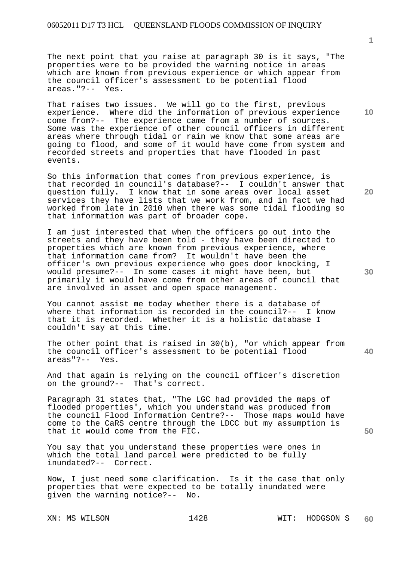The next point that you raise at paragraph 30 is it says, "The properties were to be provided the warning notice in areas which are known from previous experience or which appear from the council officer's assessment to be potential flood areas."?-- Yes.

That raises two issues. We will go to the first, previous experience. Where did the information of previous experience come from?-- The experience came from a number of sources. Some was the experience of other council officers in different areas where through tidal or rain we know that some areas are going to flood, and some of it would have come from system and recorded streets and properties that have flooded in past events.

So this information that comes from previous experience, is that recorded in council's database?-- I couldn't answer that question fully. I know that in some areas over local asset services they have lists that we work from, and in fact we had worked from late in 2010 when there was some tidal flooding so that information was part of broader cope.

I am just interested that when the officers go out into the streets and they have been told - they have been directed to properties which are known from previous experience, where that information came from? It wouldn't have been the officer's own previous experience who goes door knocking, I would presume?-- In some cases it might have been, but primarily it would have come from other areas of council that are involved in asset and open space management.

You cannot assist me today whether there is a database of where that information is recorded in the council?-- I know that it is recorded. Whether it is a holistic database I couldn't say at this time.

The other point that is raised in 30(b), "or which appear from the council officer's assessment to be potential flood areas"?-- Yes.

And that again is relying on the council officer's discretion on the ground?-- That's correct.

Paragraph 31 states that, "The LGC had provided the maps of flooded properties", which you understand was produced from the council Flood Information Centre?-- Those maps would have come to the CaRS centre through the LDCC but my assumption is that it would come from the FIC.

You say that you understand these properties were ones in which the total land parcel were predicted to be fully inundated?-- Correct.

Now, I just need some clarification. Is it the case that only properties that were expected to be totally inundated were given the warning notice?-- No.

**20** 

**10** 

**50**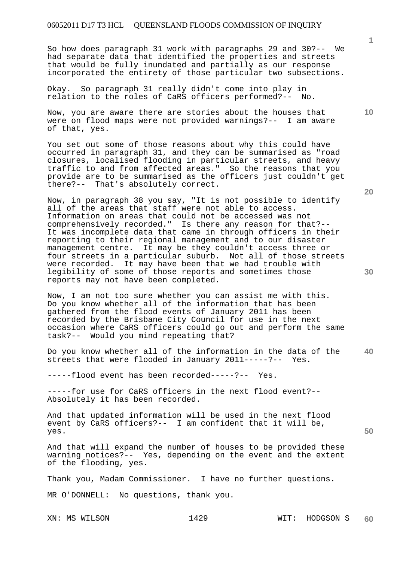So how does paragraph 31 work with paragraphs 29 and 30?-- We had separate data that identified the properties and streets that would be fully inundated and partially as our response incorporated the entirety of those particular two subsections.

Okay. So paragraph 31 really didn't come into play in relation to the roles of CaRS officers performed?-- No.

Now, you are aware there are stories about the houses that were on flood maps were not provided warnings?-- I am aware of that, yes.

You set out some of those reasons about why this could have occurred in paragraph 31, and they can be summarised as "road closures, localised flooding in particular streets, and heavy traffic to and from affected areas." So the reasons that you provide are to be summarised as the officers just couldn't get there?-- That's absolutely correct.

Now, in paragraph 38 you say, "It is not possible to identify all of the areas that staff were not able to access. Information on areas that could not be accessed was not comprehensively recorded." Is there any reason for that?-- It was incomplete data that came in through officers in their reporting to their regional management and to our disaster management centre. It may be they couldn't access three or four streets in a particular suburb. Not all of those streets were recorded. It may have been that we had trouble with legibility of some of those reports and sometimes those reports may not have been completed.

Now, I am not too sure whether you can assist me with this. Do you know whether all of the information that has been gathered from the flood events of January 2011 has been recorded by the Brisbane City Council for use in the next occasion where CaRS officers could go out and perform the same task?-- Would you mind repeating that?

**40**  Do you know whether all of the information in the data of the streets that were flooded in January 2011-----?-- Yes.

-----flood event has been recorded-----?-- Yes.

-----for use for CaRS officers in the next flood event?-- Absolutely it has been recorded.

And that updated information will be used in the next flood event by CaRS officers?-- I am confident that it will be, yes.

And that will expand the number of houses to be provided these warning notices?-- Yes, depending on the event and the extent of the flooding, yes.

Thank you, Madam Commissioner. I have no further questions.

MR O'DONNELL: No questions, thank you.

**20** 

**50** 

**10**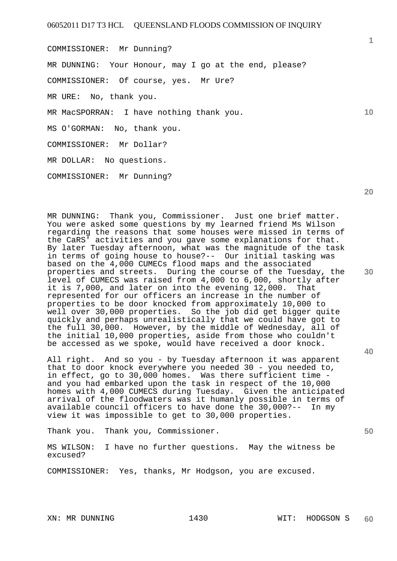COMMISSIONER: Mr Dunning? MR DUNNING: Your Honour, may I go at the end, please? COMMISSIONER: Of course, yes. Mr Ure? MR URE: No, thank you. MR MacSPORRAN: I have nothing thank you. MS O'GORMAN: No, thank you. COMMISSIONER: Mr Dollar? MR DOLLAR: No questions. COMMISSIONER: Mr Dunning?

MR DUNNING: Thank you, Commissioner. Just one brief matter. You were asked some questions by my learned friend Ms Wilson regarding the reasons that some houses were missed in terms of the CaRS' activities and you gave some explanations for that. By later Tuesday afternoon, what was the magnitude of the task in terms of going house to house?-- Our initial tasking was based on the 4,000 CUMECs flood maps and the associated properties and streets. During the course of the Tuesday, the level of CUMECS was raised from 4,000 to 6,000, shortly after it is 7,000, and later on into the evening 12,000. That represented for our officers an increase in the number of properties to be door knocked from approximately 10,000 to well over 30,000 properties. So the job did get bigger quite quickly and perhaps unrealistically that we could have got to the full 30,000. However, by the middle of Wednesday, all of the initial 10,000 properties, aside from those who couldn't be accessed as we spoke, would have received a door knock.

All right. And so you - by Tuesday afternoon it was apparent that to door knock everywhere you needed 30 - you needed to, in effect, go to 30,000 homes. Was there sufficient time and you had embarked upon the task in respect of the 10,000 homes with 4,000 CUMECS during Tuesday. Given the anticipated arrival of the floodwaters was it humanly possible in terms of available council officers to have done the 30,000?-- In my view it was impossible to get to 30,000 properties.

Thank you. Thank you, Commissioner.

MS WILSON: I have no further questions. May the witness be excused?

COMMISSIONER: Yes, thanks, Mr Hodgson, you are excused.

XN: MR DUNNING 1430 WIT: HODGSON S

**10** 

**1**

**20** 

**40**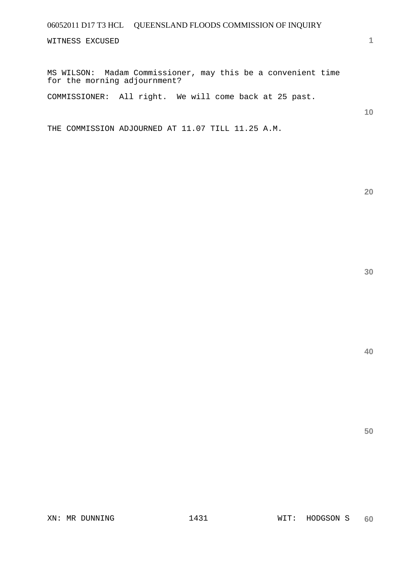WITNESS EXCUSED

MS WILSON: Madam Commissioner, may this be a convenient time for the morning adjournment?

COMMISSIONER: All right. We will come back at 25 past.

**10** 

**1**

THE COMMISSION ADJOURNED AT 11.07 TILL 11.25 A.M.

**30** 

**20**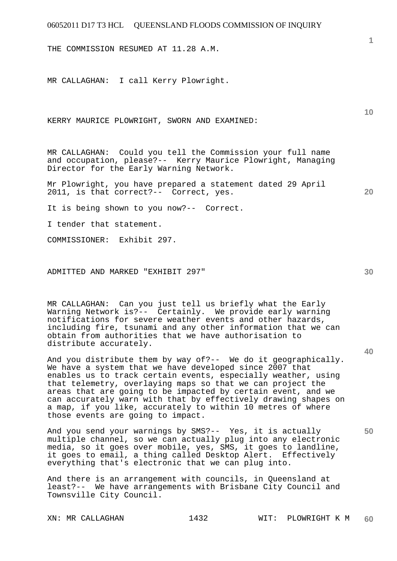THE COMMISSION RESUMED AT 11.28 A.M.

MR CALLAGHAN: I call Kerry Plowright.

KERRY MAURICE PLOWRIGHT, SWORN AND EXAMINED:

MR CALLAGHAN: Could you tell the Commission your full name and occupation, please?-- Kerry Maurice Plowright, Managing Director for the Early Warning Network.

Mr Plowright, you have prepared a statement dated 29 April 2011, is that correct?-- Correct, yes.

It is being shown to you now?-- Correct.

I tender that statement.

COMMISSIONER: Exhibit 297.

ADMITTED AND MARKED "EXHIBIT 297"

MR CALLAGHAN: Can you just tell us briefly what the Early Warning Network is?-- Certainly. We provide early warning notifications for severe weather events and other hazards, including fire, tsunami and any other information that we can obtain from authorities that we have authorisation to distribute accurately.

And you distribute them by way of?-- We do it geographically. We have a system that we have developed since 2007 that enables us to track certain events, especially weather, using that telemetry, overlaying maps so that we can project the areas that are going to be impacted by certain event, and we can accurately warn with that by effectively drawing shapes on a map, if you like, accurately to within 10 metres of where those events are going to impact.

And you send your warnings by SMS?-- Yes, it is actually multiple channel, so we can actually plug into any electronic media, so it goes over mobile, yes, SMS, it goes to landline, it goes to email, a thing called Desktop Alert. Effectively everything that's electronic that we can plug into.

And there is an arrangement with councils, in Queensland at least?-- We have arrangements with Brisbane City Council and Townsville City Council.

**40** 

**50** 

**20** 

**10**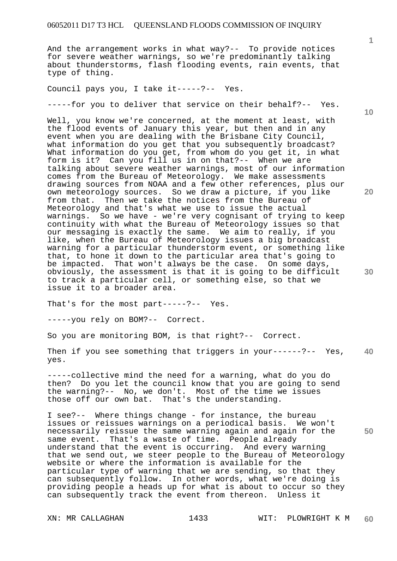And the arrangement works in what way?-- To provide notices for severe weather warnings, so we're predominantly talking about thunderstorms, flash flooding events, rain events, that type of thing.

Council pays you, I take it-----?-- Yes.

-----for you to deliver that service on their behalf?-- Yes.

Well, you know we're concerned, at the moment at least, with the flood events of January this year, but then and in any event when you are dealing with the Brisbane City Council, what information do you get that you subsequently broadcast? What information do you get, from whom do you get it, in what form is it? Can you fill us in on that?-- When we are talking about severe weather warnings, most of our information comes from the Bureau of Meteorology. We make assessments drawing sources from NOAA and a few other references, plus our own meteorology sources. So we draw a picture, if you like from that. Then we take the notices from the Bureau of Meteorology and that's what we use to issue the actual warnings. So we have - we're very cognisant of trying to keep continuity with what the Bureau of Meteorology issues so that our messaging is exactly the same. We aim to really, if you like, when the Bureau of Meteorology issues a big broadcast warning for a particular thunderstorm event, or something like that, to hone it down to the particular area that's going to be impacted. That won't always be the case. On some days, obviously, the assessment is that it is going to be difficult to track a particular cell, or something else, so that we issue it to a broader area.

That's for the most part-----?-- Yes.

-----you rely on BOM?-- Correct.

So you are monitoring BOM, is that right?-- Correct.

**40**  Then if you see something that triggers in your------?-- Yes, yes.

-----collective mind the need for a warning, what do you do then? Do you let the council know that you are going to send the warning?-- No, we don't. Most of the time we issues those off our own bat. That's the understanding.

I see?-- Where things change - for instance, the bureau issues or reissues warnings on a periodical basis. We won't necessarily reissue the same warning again and again for the same event. That's a waste of time. People already understand that the event is occurring. And every warning that we send out, we steer people to the Bureau of Meteorology website or where the information is available for the particular type of warning that we are sending, so that they can subsequently follow. In other words, what we're doing is providing people a heads up for what is about to occur so they can subsequently track the event from thereon. Unless it

**10** 

**20** 

**30**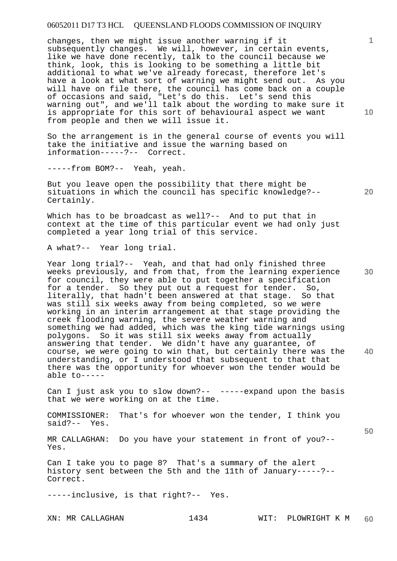changes, then we might issue another warning if it subsequently changes. We will, however, in certain events, like we have done recently, talk to the council because we think, look, this is looking to be something a little bit additional to what we've already forecast, therefore let's have a look at what sort of warning we might send out. As you will have on file there, the council has come back on a couple of occasions and said, "Let's do this. Let's send this warning out", and we'll talk about the wording to make sure it is appropriate for this sort of behavioural aspect we want from people and then we will issue it.

So the arrangement is in the general course of events you will take the initiative and issue the warning based on information-----?-- Correct.

-----from BOM?-- Yeah, yeah.

But you leave open the possibility that there might be situations in which the council has specific knowledge?-- Certainly.

Which has to be broadcast as well?-- And to put that in context at the time of this particular event we had only just completed a year long trial of this service.

A what?-- Year long trial.

**40**  Year long trial?-- Yeah, and that had only finished three weeks previously, and from that, from the learning experience for council, they were able to put together a specification for a tender. So they put out a request for tender. So, literally, that hadn't been answered at that stage. So that was still six weeks away from being completed, so we were working in an interim arrangement at that stage providing the creek flooding warning, the severe weather warning and something we had added, which was the king tide warnings using polygons. So it was still six weeks away from actually answering that tender. We didn't have any guarantee, of course, we were going to win that, but certainly there was the understanding, or I understood that subsequent to that that there was the opportunity for whoever won the tender would be able to-----

Can I just ask you to slow down?-- -----expand upon the basis that we were working on at the time.

COMMISSIONER: That's for whoever won the tender, I think you said?-- Yes.

MR CALLAGHAN: Do you have your statement in front of you?-- Yes.

Can I take you to page 8? That's a summary of the alert history sent between the 5th and the 11th of January-----?-- Correct.

-----inclusive, is that right?-- Yes.

**10** 

**1**

**30** 

**20**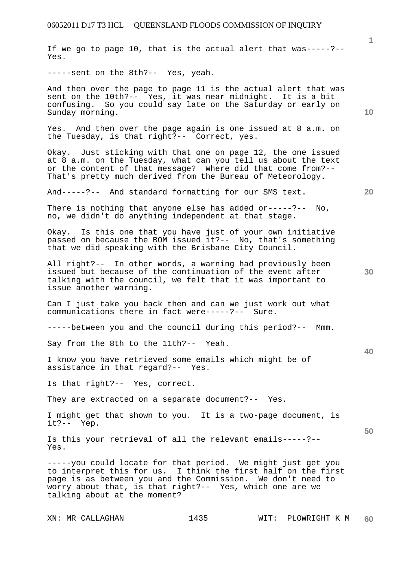If we go to page 10, that is the actual alert that was-----?-- Yes.

-----sent on the 8th?-- Yes, yeah.

And then over the page to page 11 is the actual alert that was sent on the 10th?-- Yes, it was near midnight. It is a bit confusing. So you could say late on the Saturday or early on Sunday morning.

Yes. And then over the page again is one issued at 8 a.m. on the Tuesday, is that right?-- Correct, yes.

Okay. Just sticking with that one on page 12, the one issued at 8 a.m. on the Tuesday, what can you tell us about the text or the content of that message? Where did that come from?-- That's pretty much derived from the Bureau of Meteorology.

And-----?-- And standard formatting for our SMS text.

There is nothing that anyone else has added or-----?-- No, no, we didn't do anything independent at that stage.

Okay. Is this one that you have just of your own initiative passed on because the BOM issued it?-- No, that's something that we did speaking with the Brisbane City Council.

All right?-- In other words, a warning had previously been issued but because of the continuation of the event after talking with the council, we felt that it was important to issue another warning.

Can I just take you back then and can we just work out what communications there in fact were-----?-- Sure.

-----between you and the council during this period?-- Mmm.

Say from the 8th to the 11th?-- Yeah.

I know you have retrieved some emails which might be of assistance in that regard?-- Yes.

Is that right?-- Yes, correct.

They are extracted on a separate document?-- Yes.

I might get that shown to you. It is a two-page document, is it?-- Yep.

Is this your retrieval of all the relevant emails-----?-- Yes.

-----you could locate for that period. We might just get you to interpret this for us. I think the first half on the first page is as between you and the Commission. We don't need to worry about that, is that right?-- Yes, which one are we talking about at the moment?

**10** 

**1**

**20** 

**30** 

**40**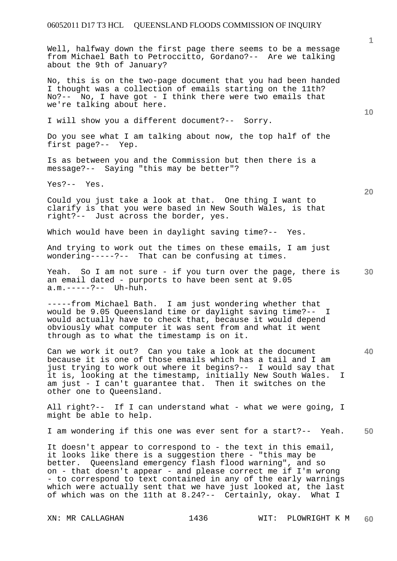Well, halfway down the first page there seems to be a message from Michael Bath to Petroccitto, Gordano?-- Are we talking about the 9th of January?

No, this is on the two-page document that you had been handed I thought was a collection of emails starting on the 11th? No?-- No, I have got - I think there were two emails that we're talking about here.

I will show you a different document?-- Sorry.

Do you see what I am talking about now, the top half of the first page?-- Yep.

Is as between you and the Commission but then there is a message?-- Saying "this may be better"?

Yes?-- Yes.

Could you just take a look at that. One thing I want to clarify is that you were based in New South Wales, is that right?-- Just across the border, yes.

Which would have been in daylight saving time?-- Yes.

And trying to work out the times on these emails, I am just wondering-----?-- That can be confusing at times.

**30**  Yeah. So I am not sure - if you turn over the page, there is an email dated - purports to have been sent at 9.05 a.m.-----?-- Uh-huh.

-----from Michael Bath. I am just wondering whether that would be 9.05 Queensland time or daylight saving time?-- I would actually have to check that, because it would depend obviously what computer it was sent from and what it went through as to what the timestamp is on it.

Can we work it out? Can you take a look at the document because it is one of those emails which has a tail and I am just trying to work out where it begins?-- I would say that it is, looking at the timestamp, initially New South Wales. I am just - I can't guarantee that. Then it switches on the other one to Queensland.

All right?-- If I can understand what - what we were going, I might be able to help.

**50**  I am wondering if this one was ever sent for a start?-- Yeah.

It doesn't appear to correspond to - the text in this email, it looks like there is a suggestion there - "this may be better. Queensland emergency flash flood warning", and so on - that doesn't appear - and please correct me if I'm wrong - to correspond to text contained in any of the early warnings which were actually sent that we have just looked at, the last of which was on the 11th at 8.24?-- Certainly, okay. What I

**10** 

**1**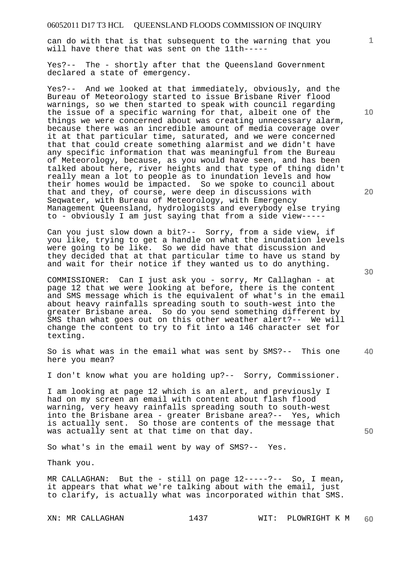can do with that is that subsequent to the warning that you will have there that was sent on the 11th-----

Yes?-- The - shortly after that the Queensland Government declared a state of emergency.

Yes?-- And we looked at that immediately, obviously, and the Bureau of Meteorology started to issue Brisbane River flood warnings, so we then started to speak with council regarding the issue of a specific warning for that, albeit one of the things we were concerned about was creating unnecessary alarm, because there was an incredible amount of media coverage over it at that particular time, saturated, and we were concerned that that could create something alarmist and we didn't have any specific information that was meaningful from the Bureau of Meteorology, because, as you would have seen, and has been talked about here, river heights and that type of thing didn't really mean a lot to people as to inundation levels and how their homes would be impacted. So we spoke to council about that and they, of course, were deep in discussions with Seqwater, with Bureau of Meteorology, with Emergency Management Queensland, hydrologists and everybody else trying to - obviously I am just saying that from a side view-----

Can you just slow down a bit?-- Sorry, from a side view, if you like, trying to get a handle on what the inundation levels were going to be like. So we did have that discussion and they decided that at that particular time to have us stand by and wait for their notice if they wanted us to do anything.

COMMISSIONER: Can I just ask you - sorry, Mr Callaghan - at page 12 that we were looking at before, there is the content and SMS message which is the equivalent of what's in the email about heavy rainfalls spreading south to south-west into the greater Brisbane area. So do you send something different by SMS than what goes out on this other weather alert?-- We will change the content to try to fit into a 146 character set for texting.

**40**  So is what was in the email what was sent by SMS?-- This one here you mean?

I don't know what you are holding up?-- Sorry, Commissioner.

I am looking at page 12 which is an alert, and previously I had on my screen an email with content about flash flood warning, very heavy rainfalls spreading south to south-west into the Brisbane area - greater Brisbane area?-- Yes, which is actually sent. So those are contents of the message that was actually sent at that time on that day.

So what's in the email went by way of SMS?-- Yes.

Thank you.

MR CALLAGHAN: But the - still on page 12-----?-- So, I mean, it appears that what we're talking about with the email, just to clarify, is actually what was incorporated within that SMS.

**1**

**20**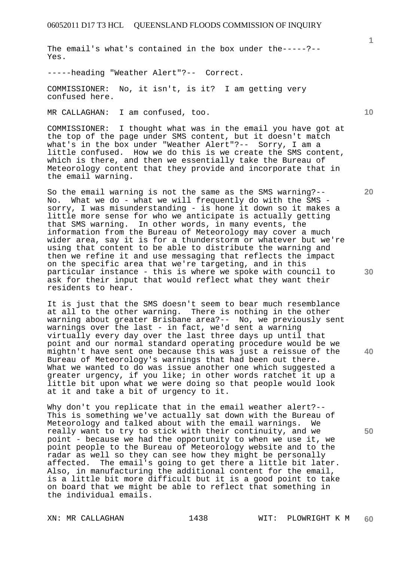The email's what's contained in the box under the-----?-- Yes.

-----heading "Weather Alert"?-- Correct.

COMMISSIONER: No, it isn't, is it? I am getting very confused here.

MR CALLAGHAN: I am confused, too.

COMMISSIONER: I thought what was in the email you have got at the top of the page under SMS content, but it doesn't match what's in the box under "Weather Alert"?-- Sorry, I am a little confused. How we do this is we create the SMS content, which is there, and then we essentially take the Bureau of Meteorology content that they provide and incorporate that in the email warning.

So the email warning is not the same as the SMS warning?-- No. What we do - what we will frequently do with the SMS sorry, I was misunderstanding - is hone it down so it makes a little more sense for who we anticipate is actually getting that SMS warning. In other words, in many events, the information from the Bureau of Meteorology may cover a much wider area, say it is for a thunderstorm or whatever but we're using that content to be able to distribute the warning and then we refine it and use messaging that reflects the impact on the specific area that we're targeting, and in this particular instance - this is where we spoke with council to ask for their input that would reflect what they want their residents to hear.

It is just that the SMS doesn't seem to bear much resemblance at all to the other warning. There is nothing in the other warning about greater Brisbane area?-- No, we previously sent warnings over the last - in fact, we'd sent a warning virtually every day over the last three days up until that point and our normal standard operating procedure would be we mightn't have sent one because this was just a reissue of the Bureau of Meteorology's warnings that had been out there. What we wanted to do was issue another one which suggested a greater urgency, if you like; in other words ratchet it up a little bit upon what we were doing so that people would look at it and take a bit of urgency to it.

Why don't you replicate that in the email weather alert?-- This is something we've actually sat down with the Bureau of Meteorology and talked about with the email warnings. We really want to try to stick with their continuity, and we point - because we had the opportunity to when we use it, we point people to the Bureau of Meteorology website and to the radar as well so they can see how they might be personally affected. The email's going to get there a little bit later. Also, in manufacturing the additional content for the email, is a little bit more difficult but it is a good point to take on board that we might be able to reflect that something in the individual emails.

**10** 

**20** 

**30** 

**40**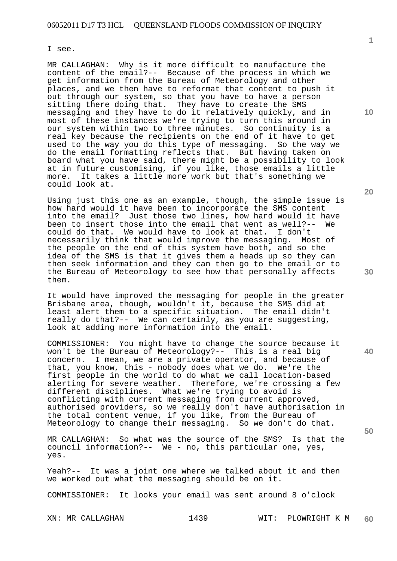I see.

MR CALLAGHAN: Why is it more difficult to manufacture the content of the email?-- Because of the process in which we get information from the Bureau of Meteorology and other places, and we then have to reformat that content to push it out through our system, so that you have to have a person sitting there doing that. They have to create the SMS messaging and they have to do it relatively quickly, and in most of these instances we're trying to turn this around in our system within two to three minutes. So continuity is a real key because the recipients on the end of it have to get used to the way you do this type of messaging. So the way we do the email formatting reflects that. But having taken on board what you have said, there might be a possibility to look at in future customising, if you like, those emails a little more. It takes a little more work but that's something we could look at.

Using just this one as an example, though, the simple issue is how hard would it have been to incorporate the SMS content into the email? Just those two lines, how hard would it have been to insert those into the email that went as well?-- We could do that. We would have to look at that. I don't could do that. We would have to look at that. necessarily think that would improve the messaging. Most of the people on the end of this system have both, and so the idea of the SMS is that it gives them a heads up so they can then seek information and they can then go to the email or to the Bureau of Meteorology to see how that personally affects them.

It would have improved the messaging for people in the greater Brisbane area, though, wouldn't it, because the SMS did at least alert them to a specific situation. The email didn't really do that?-- We can certainly, as you are suggesting, look at adding more information into the email.

COMMISSIONER: You might have to change the source because it won't be the Bureau of Meteorology?-- This is a real big concern. I mean, we are a private operator, and because of that, you know, this - nobody does what we do. We're the first people in the world to do what we call location-based<br>alerting for severe weather. Therefore, we're crossing a f Therefore, we're crossing a few different disciplines. What we're trying to avoid is conflicting with current messaging from current approved, authorised providers, so we really don't have authorisation in the total content venue, if you like, from the Bureau of Meteorology to change their messaging. So we don't do that.

MR CALLAGHAN: So what was the source of the SMS? Is that the council information?-- We - no, this particular one, yes, yes.

Yeah?-- It was a joint one where we talked about it and then we worked out what the messaging should be on it.

COMMISSIONER: It looks your email was sent around 8 o'clock

**10** 

**1**

**20** 

**40**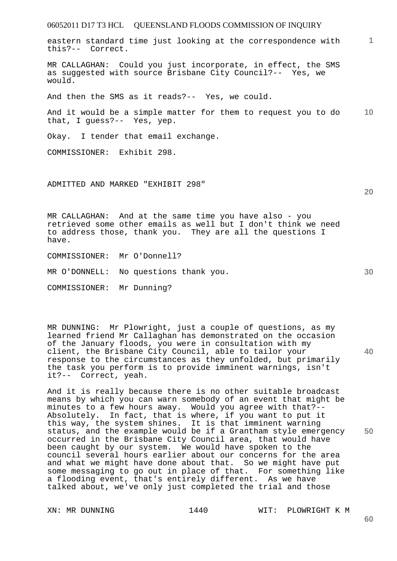eastern standard time just looking at the correspondence with this?-- Correct.

MR CALLAGHAN: Could you just incorporate, in effect, the SMS as suggested with source Brisbane City Council?-- Yes, we would.

And then the SMS as it reads?-- Yes, we could.

**10**  And it would be a simple matter for them to request you to do that, I guess?-- Yes, yep.

Okay. I tender that email exchange.

COMMISSIONER: Exhibit 298.

ADMITTED AND MARKED "EXHIBIT 298"

MR CALLAGHAN: And at the same time you have also - you retrieved some other emails as well but I don't think we need to address those, thank you. They are all the questions I have.

COMMISSIONER: Mr O'Donnell?

MR O'DONNELL: No questions thank you.

COMMISSIONER: Mr Dunning?

MR DUNNING: Mr Plowright, just a couple of questions, as my learned friend Mr Callaghan has demonstrated on the occasion of the January floods, you were in consultation with my client, the Brisbane City Council, able to tailor your response to the circumstances as they unfolded, but primarily the task you perform is to provide imminent warnings, isn't it?-- Correct, yeah.

And it is really because there is no other suitable broadcast means by which you can warn somebody of an event that might be minutes to a few hours away. Would you agree with that?-- Absolutely. In fact, that is where, if you want to put it this way, the system shines. It is that imminent warning status, and the example would be if a Grantham style emergency occurred in the Brisbane City Council area, that would have been caught by our system. We would have spoken to the council several hours earlier about our concerns for the area and what we might have done about that. So we might have put some messaging to go out in place of that. For something like a flooding event, that's entirely different. As we have talked about, we've only just completed the trial and those

XN: MR DUNNING 1440 WIT: PLOWRIGHT K M

**20** 

**1**

**40**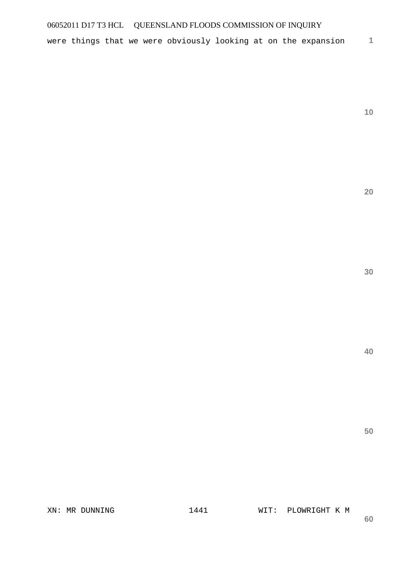were things that we were obviously looking at on the expansion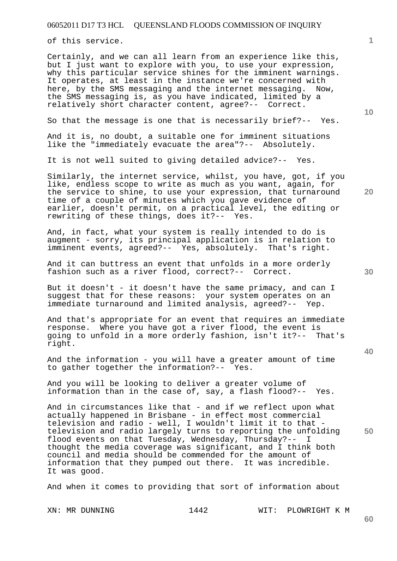of this service.

Certainly, and we can all learn from an experience like this, but I just want to explore with you, to use your expression, why this particular service shines for the imminent warnings. It operates, at least in the instance we're concerned with here, by the SMS messaging and the internet messaging. Now, the SMS messaging is, as you have indicated, limited by a relatively short character content, agree?-- Correct.

So that the message is one that is necessarily brief?-- Yes.

And it is, no doubt, a suitable one for imminent situations like the "immediately evacuate the area"?-- Absolutely.

It is not well suited to giving detailed advice?-- Yes.

Similarly, the internet service, whilst, you have, got, if you like, endless scope to write as much as you want, again, for the service to shine, to use your expression, that turnaround time of a couple of minutes which you gave evidence of earlier, doesn't permit, on a practical level, the editing or rewriting of these things, does it?-- Yes.

And, in fact, what your system is really intended to do is augment - sorry, its principal application is in relation to imminent events, agreed?-- Yes, absolutely. That's right.

And it can buttress an event that unfolds in a more orderly fashion such as a river flood, correct?-- Correct.

But it doesn't - it doesn't have the same primacy, and can I suggest that for these reasons: your system operates on an immediate turnaround and limited analysis, agreed?-- Yep.

And that's appropriate for an event that requires an immediate response. Where you have got a river flood, the event is going to unfold in a more orderly fashion, isn't it?-- That's right.

And the information - you will have a greater amount of time to gather together the information?-- Yes.

And you will be looking to deliver a greater volume of information than in the case of, say, a flash flood?-- Yes.

And in circumstances like that - and if we reflect upon what actually happened in Brisbane - in effect most commercial television and radio - well, I wouldn't limit it to that television and radio largely turns to reporting the unfolding flood events on that Tuesday, Wednesday, Thursday?-- I thought the media coverage was significant, and I think both council and media should be commended for the amount of information that they pumped out there. It was incredible. It was good.

And when it comes to providing that sort of information about

XN: MR DUNNING 1442 WIT: PLOWRIGHT K M

**40** 

**50** 

**10** 

**20** 

**1**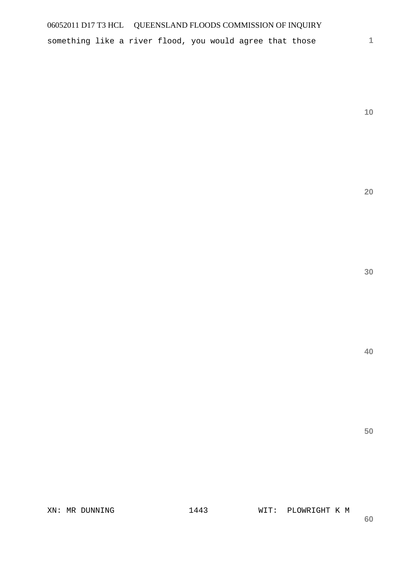something like a river flood, you would agree that those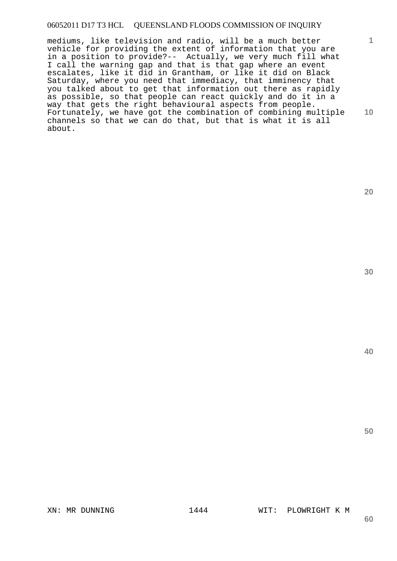mediums, like television and radio, will be a much better vehicle for providing the extent of information that you are in a position to provide?-- Actually, we very much fill what I call the warning gap and that is that gap where an event escalates, like it did in Grantham, or like it did on Black Saturday, where you need that immediacy, that imminency that you talked about to get that information out there as rapidly as possible, so that people can react quickly and do it in a way that gets the right behavioural aspects from people. Fortunately, we have got the combination of combining multiple channels so that we can do that, but that is what it is all about.

**30** 

**1**

**10** 

**20** 

**40** 

**50**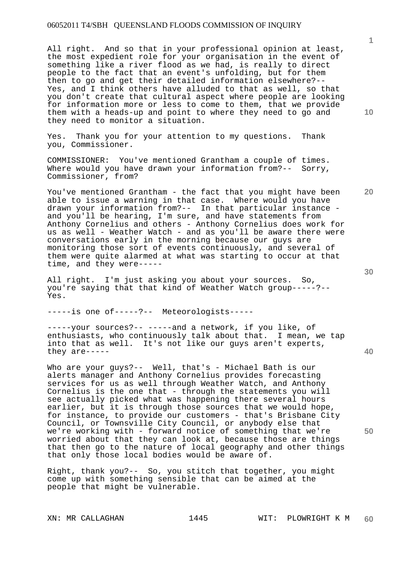All right. And so that in your professional opinion at least, the most expedient role for your organisation in the event of something like a river flood as we had, is really to direct people to the fact that an event's unfolding, but for them then to go and get their detailed information elsewhere?-- Yes, and I think others have alluded to that as well, so that you don't create that cultural aspect where people are looking for information more or less to come to them, that we provide them with a heads-up and point to where they need to go and they need to monitor a situation.

Yes. Thank you for your attention to my questions. Thank you, Commissioner.

COMMISSIONER: You've mentioned Grantham a couple of times. Where would you have drawn your information from?-- Sorry, Commissioner, from?

You've mentioned Grantham - the fact that you might have been able to issue a warning in that case. Where would you have drawn your information from?-- In that particular instance and you'll be hearing, I'm sure, and have statements from Anthony Cornelius and others - Anthony Cornelius does work for us as well - Weather Watch - and as you'll be aware there were conversations early in the morning because our guys are monitoring those sort of events continuously, and several of them were quite alarmed at what was starting to occur at that time, and they were-----

All right. I'm just asking you about your sources. So, you're saying that that kind of Weather Watch group-----?-- Yes.

-----is one of-----?-- Meteorologists-----

-----your sources?-- -----and a network, if you like, of enthusiasts, who continuously talk about that. I mean, we tap into that as well. It's not like our guys aren't experts, they are-----

Who are your guys?-- Well, that's - Michael Bath is our alerts manager and Anthony Cornelius provides forecasting services for us as well through Weather Watch, and Anthony Cornelius is the one that - through the statements you will see actually picked what was happening there several hours earlier, but it is through those sources that we would hope, for instance, to provide our customers - that's Brisbane City Council, or Townsville City Council, or anybody else that we're working with - forward notice of something that we're worried about that they can look at, because those are things that then go to the nature of local geography and other things that only those local bodies would be aware of.

Right, thank you?-- So, you stitch that together, you might come up with something sensible that can be aimed at the people that might be vulnerable.

**30** 

**20** 

**40** 

**50** 

**10**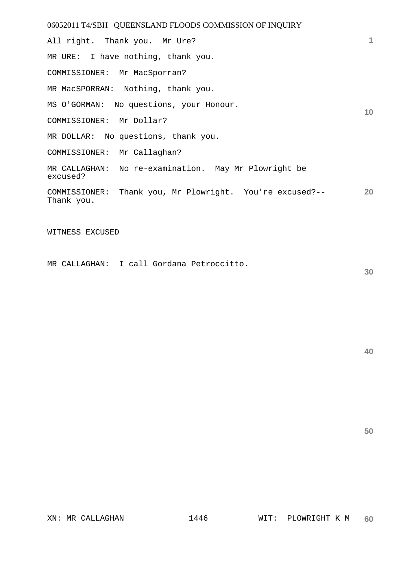06052011 T4/SBH QUEENSLAND FLOODS COMMISSION OF INQUIRY **1 10 20**  All right. Thank you. Mr Ure? MR URE: I have nothing, thank you. COMMISSIONER: Mr MacSporran? MR MacSPORRAN: Nothing, thank you. MS O'GORMAN: No questions, your Honour. COMMISSIONER: Mr Dollar? MR DOLLAR: No questions, thank you. COMMISSIONER: Mr Callaghan? MR CALLAGHAN: No re-examination. May Mr Plowright be excused? COMMISSIONER: Thank you, Mr Plowright. You're excused?-- Thank you.

WITNESS EXCUSED

MR CALLAGHAN: I call Gordana Petroccitto.

**30**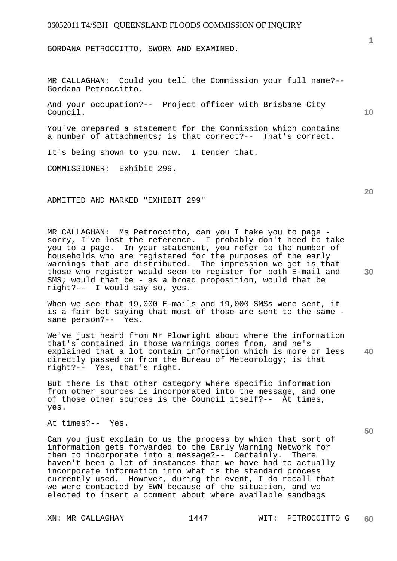GORDANA PETROCCITTO, SWORN AND EXAMINED.

MR CALLAGHAN: Could you tell the Commission your full name?-- Gordana Petroccitto.

And your occupation?-- Project officer with Brisbane City Council.

You've prepared a statement for the Commission which contains a number of attachments; is that correct?-- That's correct.

It's being shown to you now. I tender that.

COMMISSIONER: Exhibit 299.

ADMITTED AND MARKED "EXHIBIT 299"

MR CALLAGHAN: Ms Petroccitto, can you I take you to page sorry, I've lost the reference. I probably don't need to take you to a page. In your statement, you refer to the number of households who are registered for the purposes of the early warnings that are distributed. The impression we get is that those who register would seem to register for both E-mail and SMS; would that be - as a broad proposition, would that be right?-- I would say so, yes.

When we see that 19,000 E-mails and 19,000 SMSs were sent, it is a fair bet saying that most of those are sent to the same same person?-- Yes.

**40**  We've just heard from Mr Plowright about where the information that's contained in those warnings comes from, and he's explained that a lot contain information which is more or less directly passed on from the Bureau of Meteorology; is that right?-- Yes, that's right.

But there is that other category where specific information from other sources is incorporated into the message, and one of those other sources is the Council itself?-- At times, yes.

At times?-- Yes.

Can you just explain to us the process by which that sort of information gets forwarded to the Early Warning Network for them to incorporate into a message?-- Certainly. There haven't been a lot of instances that we have had to actually incorporate information into what is the standard process currently used. However, during the event, I do recall that we were contacted by EWN because of the situation, and we elected to insert a comment about where available sandbags

**20** 

**10** 

**1**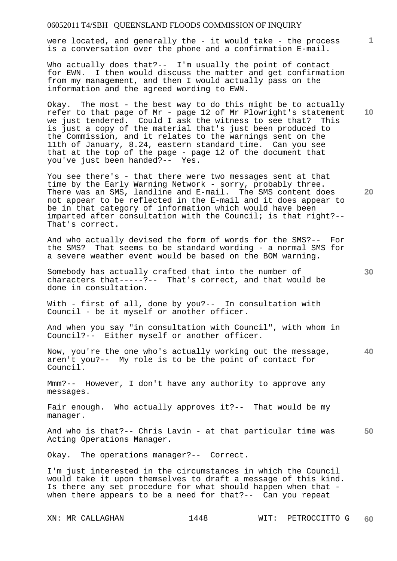were located, and generally the - it would take - the process is a conversation over the phone and a confirmation E-mail.

Who actually does that?-- I'm usually the point of contact for EWN. I then would discuss the matter and get confirmation from my management, and then I would actually pass on the information and the agreed wording to EWN.

Okay. The most - the best way to do this might be to actually refer to that page of Mr - page 12 of Mr Plowright's statement we just tendered. Could I ask the witness to see that? This is just a copy of the material that's just been produced to the Commission, and it relates to the warnings sent on the 11th of January, 8.24, eastern standard time. Can you see that at the top of the page - page 12 of the document that you've just been handed?-- Yes.

You see there's - that there were two messages sent at that time by the Early Warning Network - sorry, probably three. There was an SMS, landline and E-mail. The SMS content does not appear to be reflected in the E-mail and it does appear to be in that category of information which would have been imparted after consultation with the Council; is that right?-- That's correct.

And who actually devised the form of words for the SMS?-- For the SMS? That seems to be standard wording - a normal SMS for a severe weather event would be based on the BOM warning.

Somebody has actually crafted that into the number of characters that-----?-- That's correct, and that would be done in consultation.

With - first of all, done by you?-- In consultation with Council - be it myself or another officer.

And when you say "in consultation with Council", with whom in Council?-- Either myself or another officer.

**40**  Now, you're the one who's actually working out the message, aren't you?-- My role is to be the point of contact for Council.

Mmm?-- However, I don't have any authority to approve any messages.

Fair enough. Who actually approves it?-- That would be my manager.

**50**  And who is that?-- Chris Lavin - at that particular time was Acting Operations Manager.

Okay. The operations manager?-- Correct.

I'm just interested in the circumstances in which the Council would take it upon themselves to draft a message of this kind. Is there any set procedure for what should happen when that when there appears to be a need for that?-- Can you repeat

**20** 

**30** 

**10**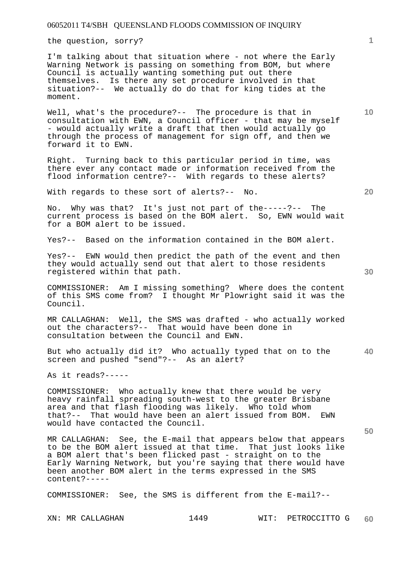the question, sorry?

I'm talking about that situation where - not where the Early Warning Network is passing on something from BOM, but where Council is actually wanting something put out there themselves. Is there any set procedure involved in that situation?-- We actually do do that for king tides at the moment.

Well, what's the procedure?-- The procedure is that in consultation with EWN, a Council officer - that may be myself - would actually write a draft that then would actually go through the process of management for sign off, and then we forward it to EWN.

Right. Turning back to this particular period in time, was there ever any contact made or information received from the flood information centre?-- With regards to these alerts?

With regards to these sort of alerts?-- No.

No. Why was that? It's just not part of the-----?-- The current process is based on the BOM alert. So, EWN would wait for a BOM alert to be issued.

Yes?-- Based on the information contained in the BOM alert.

Yes?-- EWN would then predict the path of the event and then they would actually send out that alert to those residents registered within that path.

COMMISSIONER: Am I missing something? Where does the content of this SMS come from? I thought Mr Plowright said it was the Council.

MR CALLAGHAN: Well, the SMS was drafted - who actually worked out the characters?-- That would have been done in consultation between the Council and EWN.

But who actually did it? Who actually typed that on to the screen and pushed "send"?-- As an alert?

As it reads?-----

COMMISSIONER: Who actually knew that there would be very heavy rainfall spreading south-west to the greater Brisbane area and that flash flooding was likely. Who told whom that?-- That would have been an alert issued from BOM. EWN would have contacted the Council.

MR CALLAGHAN: See, the E-mail that appears below that appears to be the BOM alert issued at that time. That just looks like a BOM alert that's been flicked past - straight on to the Early Warning Network, but you're saying that there would have been another BOM alert in the terms expressed in the SMS content?-----

COMMISSIONER: See, the SMS is different from the E-mail?--

XN: MR CALLAGHAN 1449 WIT: PETROCCITTO G **60** 

**40** 

**50** 

**20** 

**10**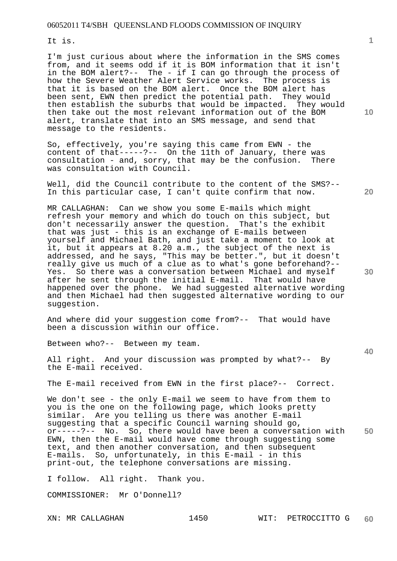It is.

I'm just curious about where the information in the SMS comes from, and it seems odd if it is BOM information that it isn't in the BOM alert?-- The - if I can go through the process of how the Severe Weather Alert Service works. The process is that it is based on the BOM alert. Once the BOM alert has been sent, EWN then predict the potential path. They would then establish the suburbs that would be impacted. They would then take out the most relevant information out of the BOM alert, translate that into an SMS message, and send that message to the residents.

So, effectively, you're saying this came from EWN - the content of that-----?-- On the 11th of January, there was consultation - and, sorry, that may be the confusion. There was consultation with Council.

Well, did the Council contribute to the content of the SMS?-- In this particular case, I can't quite confirm that now.

MR CALLAGHAN: Can we show you some E-mails which might refresh your memory and which do touch on this subject, but don't necessarily answer the question. That's the exhibit that was just - this is an exchange of E-mails between yourself and Michael Bath, and just take a moment to look at it, but it appears at 8.20 a.m., the subject of the next is addressed, and he says, "This may be better.", but it doesn't really give us much of a clue as to what's gone beforehand?-- Yes. So there was a conversation between Michael and myself after he sent through the initial E-mail. That would have happened over the phone. We had suggested alternative wording and then Michael had then suggested alternative wording to our suggestion.

And where did your suggestion come from?-- That would have been a discussion within our office.

Between who?-- Between my team.

All right. And your discussion was prompted by what?-- By the E-mail received.

The E-mail received from EWN in the first place?-- Correct.

**50**  We don't see - the only E-mail we seem to have from them to you is the one on the following page, which looks pretty similar. Are you telling us there was another E-mail suggesting that a specific Council warning should go, or-----?-- No. So, there would have been a conversation with EWN, then the E-mail would have come through suggesting some text, and then another conversation, and then subsequent E-mails. So, unfortunately, in this E-mail - in this print-out, the telephone conversations are missing.

I follow. All right. Thank you.

COMMISSIONER: Mr O'Donnell?

**10** 

**20** 

**30**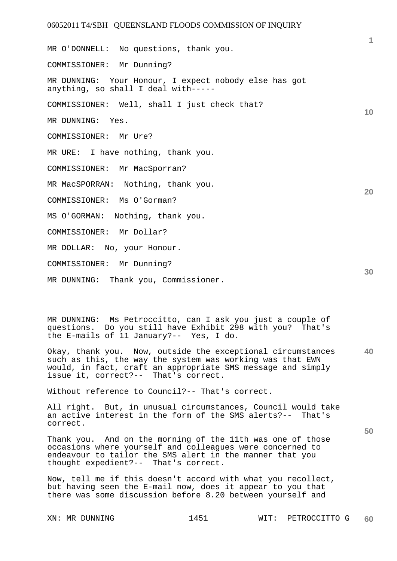**10 20**  MR O'DONNELL: No questions, thank you. COMMISSIONER: Mr Dunning? MR DUNNING: Your Honour, I expect nobody else has got anything, so shall I deal with----- COMMISSIONER: Well, shall I just check that? MR DUNNING: Yes. COMMISSIONER: Mr Ure? MR URE: I have nothing, thank you. COMMISSIONER: Mr MacSporran? MR MacSPORRAN: Nothing, thank you. COMMISSIONER: Ms O'Gorman? MS O'GORMAN: Nothing, thank you. COMMISSIONER: Mr Dollar? MR DOLLAR: No, your Honour. COMMISSIONER: Mr Dunning? MR DUNNING: Thank you, Commissioner.

MR DUNNING: Ms Petroccitto, can I ask you just a couple of questions. Do you still have Exhibit 298 with you? That's the E-mails of 11 January?-- Yes, I do.

**40**  Okay, thank you. Now, outside the exceptional circumstances such as this, the way the system was working was that EWN would, in fact, craft an appropriate SMS message and simply issue it, correct?-- That's correct.

Without reference to Council?-- That's correct.

All right. But, in unusual circumstances, Council would take an active interest in the form of the SMS alerts?-- That's correct.

Thank you. And on the morning of the 11th was one of those occasions where yourself and colleagues were concerned to endeavour to tailor the SMS alert in the manner that you thought expedient?-- That's correct.

Now, tell me if this doesn't accord with what you recollect, but having seen the E-mail now, does it appear to you that there was some discussion before 8.20 between yourself and

**1**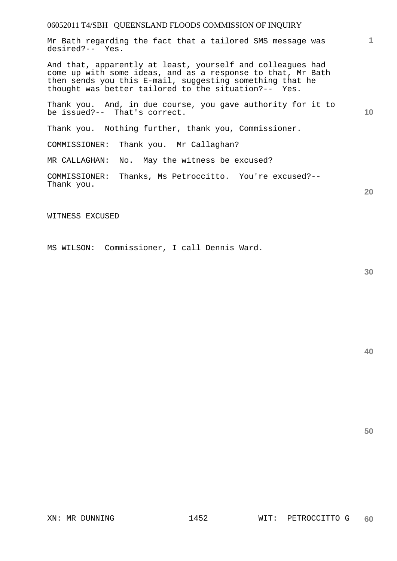Mr Bath regarding the fact that a tailored SMS message was desired?-- Yes.

And that, apparently at least, yourself and colleagues had come up with some ideas, and as a response to that, Mr Bath then sends you this E-mail, suggesting something that he thought was better tailored to the situation?-- Yes.

Thank you. And, in due course, you gave authority for it to be issued?-- That's correct.

Thank you. Nothing further, thank you, Commissioner.

COMMISSIONER: Thank you. Mr Callaghan?

MR CALLAGHAN: No. May the witness be excused?

COMMISSIONER: Thanks, Ms Petroccitto. You're excused?-- Thank you.

WITNESS EXCUSED

MS WILSON: Commissioner, I call Dennis Ward.

**30** 

**40** 

**50** 

**1**

**10**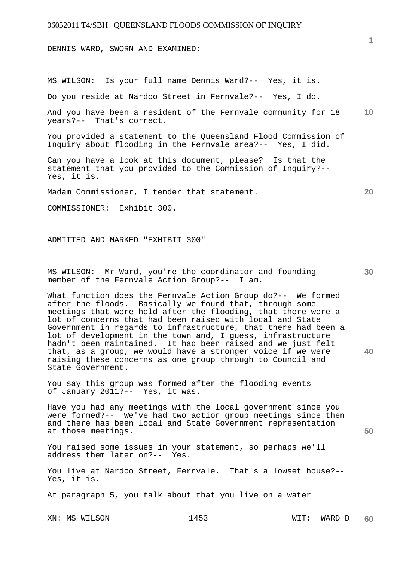DENNIS WARD, SWORN AND EXAMINED:

MS WILSON: Is your full name Dennis Ward?-- Yes, it is.

Do you reside at Nardoo Street in Fernvale?-- Yes, I do.

**10**  And you have been a resident of the Fernvale community for 18 years?-- That's correct.

You provided a statement to the Queensland Flood Commission of Inquiry about flooding in the Fernvale area?-- Yes, I did.

Can you have a look at this document, please? Is that the statement that you provided to the Commission of Inquiry?-- Yes, it is.

Madam Commissioner, I tender that statement.

COMMISSIONER: Exhibit 300.

ADMITTED AND MARKED "EXHIBIT 300"

MS WILSON: Mr Ward, you're the coordinator and founding member of the Fernvale Action Group?-- I am.

What function does the Fernvale Action Group do?-- We formed after the floods. Basically we found that, through some meetings that were held after the flooding, that there were a lot of concerns that had been raised with local and State Government in regards to infrastructure, that there had been a lot of development in the town and, I guess, infrastructure hadn't been maintained. It had been raised and we just felt that, as a group, we would have a stronger voice if we were raising these concerns as one group through to Council and State Government.

You say this group was formed after the flooding events of January 2011?-- Yes, it was.

Have you had any meetings with the local government since you were formed?-- We've had two action group meetings since then and there has been local and State Government representation at those meetings.

You raised some issues in your statement, so perhaps we'll address them later on?-- Yes.

You live at Nardoo Street, Fernvale. That's a lowset house?-- Yes, it is.

At paragraph 5, you talk about that you live on a water

XN: MS WILSON 1453 WIT: WARD D

**1**

**20** 

**30** 

**40**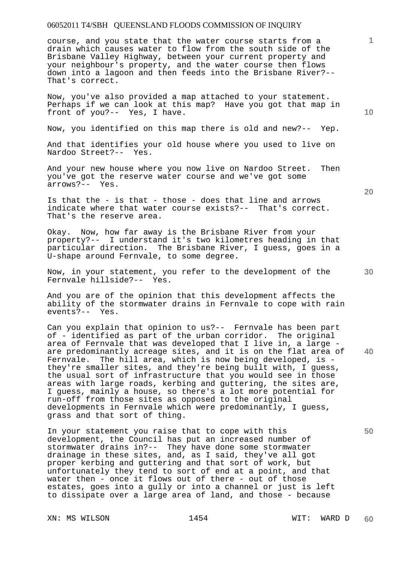course, and you state that the water course starts from a drain which causes water to flow from the south side of the Brisbane Valley Highway, between your current property and your neighbour's property, and the water course then flows down into a lagoon and then feeds into the Brisbane River?-- That's correct.

Now, you've also provided a map attached to your statement. Perhaps if we can look at this map? Have you got that map in front of you?-- Yes, I have.

Now, you identified on this map there is old and new?-- Yep.

And that identifies your old house where you used to live on Nardoo Street?-- Yes.

And your new house where you now live on Nardoo Street. Then you've got the reserve water course and we've got some arrows?-- Yes.

Is that the - is that - those - does that line and arrows indicate where that water course exists?-- That's correct. That's the reserve area.

Okay. Now, how far away is the Brisbane River from your property?-- I understand it's two kilometres heading in that particular direction. The Brisbane River, I guess, goes in a U-shape around Fernvale, to some degree.

Now, in your statement, you refer to the development of the Fernvale hillside?-- Yes.

And you are of the opinion that this development affects the ability of the stormwater drains in Fernvale to cope with rain events?-- Yes.

Can you explain that opinion to us?-- Fernvale has been part of - identified as part of the urban corridor. The original area of Fernvale that was developed that I live in, a large are predominantly acreage sites, and it is on the flat area of Fernvale. The hill area, which is now being developed, is they're smaller sites, and they're being built with, I guess, the usual sort of infrastructure that you would see in those areas with large roads, kerbing and guttering, the sites are, I guess, mainly a house, so there's a lot more potential for run-off from those sites as opposed to the original developments in Fernvale which were predominantly, I guess, grass and that sort of thing.

In your statement you raise that to cope with this development, the Council has put an increased number of stormwater drains in?-- They have done some stormwater drainage in these sites, and, as I said, they've all got proper kerbing and guttering and that sort of work, but unfortunately they tend to sort of end at a point, and that water then - once it flows out of there - out of those estates, goes into a gully or into a channel or just is left to dissipate over a large area of land, and those - because

XN: MS WILSON 1454 WIT: WARD D

**20** 

**30** 

**40** 

**50** 

**10**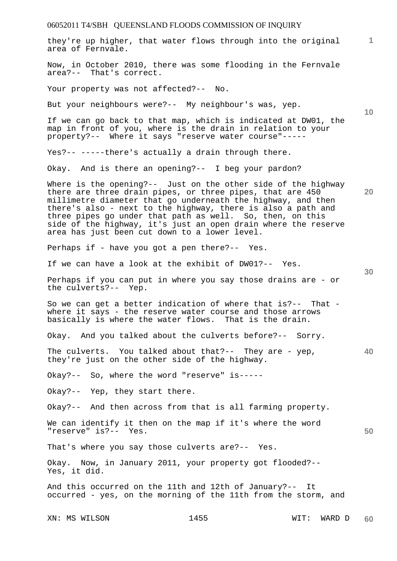| they're up higher, that water flows through into the original<br>area of Fernvale.                                                                                                                                                                                                                                                                                                                                                         | 1.              |
|--------------------------------------------------------------------------------------------------------------------------------------------------------------------------------------------------------------------------------------------------------------------------------------------------------------------------------------------------------------------------------------------------------------------------------------------|-----------------|
| Now, in October 2010, there was some flooding in the Fernvale<br>area?-- That's correct.                                                                                                                                                                                                                                                                                                                                                   |                 |
| Your property was not affected?-- No.                                                                                                                                                                                                                                                                                                                                                                                                      |                 |
| But your neighbours were?-- My neighbour's was, yep.                                                                                                                                                                                                                                                                                                                                                                                       | 10 <sup>°</sup> |
| If we can go back to that map, which is indicated at DW01, the<br>map in front of you, where is the drain in relation to your<br>property?-- Where it says "reserve water course"-----                                                                                                                                                                                                                                                     |                 |
| Yes?-- -----there's actually a drain through there.                                                                                                                                                                                                                                                                                                                                                                                        |                 |
| Okay. And is there an opening?-- I beg your pardon?                                                                                                                                                                                                                                                                                                                                                                                        |                 |
| Where is the opening?-- Just on the other side of the highway<br>there are three drain pipes, or three pipes, that are 450<br>millimetre diameter that go underneath the highway, and then<br>there's also - next to the highway, there is also a path and<br>three pipes go under that path as well. So, then, on this<br>side of the highway, it's just an open drain where the reserve<br>area has just been cut down to a lower level. | 20              |
| Perhaps if - have you got a pen there?-- Yes.                                                                                                                                                                                                                                                                                                                                                                                              |                 |
| If we can have a look at the exhibit of DW01?-- Yes.                                                                                                                                                                                                                                                                                                                                                                                       | 30              |
| Perhaps if you can put in where you say those drains are - or<br>the culverts?-- Yep.                                                                                                                                                                                                                                                                                                                                                      |                 |
| So we can get a better indication of where that is?-- That -<br>where it says - the reserve water course and those arrows<br>basically is where the water flows. That is the drain.                                                                                                                                                                                                                                                        |                 |
| Okay. And you talked about the culverts before?-- Sorry.                                                                                                                                                                                                                                                                                                                                                                                   |                 |
| The culverts. You talked about that?-- They are - yep,<br>they're just on the other side of the highway.                                                                                                                                                                                                                                                                                                                                   | 40              |
| Okay?-- So, where the word "reserve" is-----                                                                                                                                                                                                                                                                                                                                                                                               |                 |
| Okay?-- Yep, they start there.                                                                                                                                                                                                                                                                                                                                                                                                             |                 |
| Okay?-- And then across from that is all farming property.                                                                                                                                                                                                                                                                                                                                                                                 |                 |
| We can identify it then on the map if it's where the word<br>"reserve" is?-- Yes.                                                                                                                                                                                                                                                                                                                                                          | 50              |
| That's where you say those culverts are?-- Yes.                                                                                                                                                                                                                                                                                                                                                                                            |                 |
| Okay. Now, in January 2011, your property got flooded?--<br>Yes, it did.                                                                                                                                                                                                                                                                                                                                                                   |                 |
| And this occurred on the 11th and 12th of January?-- It<br>occurred - yes, on the morning of the 11th from the storm, and                                                                                                                                                                                                                                                                                                                  |                 |
| 1455<br>XN: MS WILSON<br>WIT:<br>WARD D                                                                                                                                                                                                                                                                                                                                                                                                    | 60              |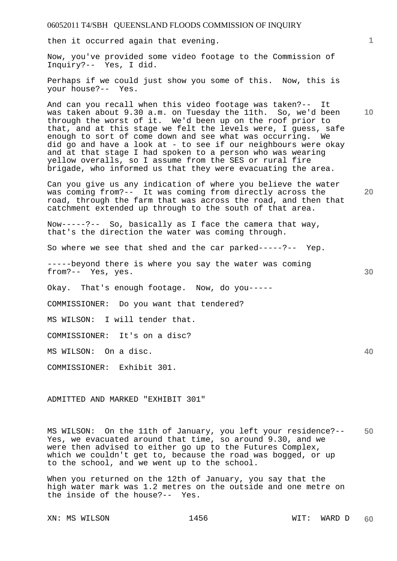then it occurred again that evening.

Now, you've provided some video footage to the Commission of Inquiry?-- Yes, I did.

Perhaps if we could just show you some of this. Now, this is your house?-- Yes.

And can you recall when this video footage was taken?-- It was taken about 9.30 a.m. on Tuesday the 11th. So, we'd been through the worst of it. We'd been up on the roof prior to that, and at this stage we felt the levels were, I guess, safe enough to sort of come down and see what was occurring. We did go and have a look at - to see if our neighbours were okay and at that stage I had spoken to a person who was wearing yellow overalls, so I assume from the SES or rural fire brigade, who informed us that they were evacuating the area.

Can you give us any indication of where you believe the water was coming from?-- It was coming from directly across the road, through the farm that was across the road, and then that catchment extended up through to the south of that area.

Now-----?-- So, basically as I face the camera that way, that's the direction the water was coming through.

So where we see that shed and the car parked-----?-- Yep.

-----beyond there is where you say the water was coming from?-- Yes, yes.

Okay. That's enough footage. Now, do you-----

COMMISSIONER: Do you want that tendered?

MS WILSON: I will tender that.

COMMISSIONER: It's on a disc?

MS WILSON: On a disc.

COMMISSIONER: Exhibit 301.

ADMITTED AND MARKED "EXHIBIT 301"

**50**  MS WILSON: On the 11th of January, you left your residence?-- Yes, we evacuated around that time, so around 9.30, and we were then advised to either go up to the Futures Complex, which we couldn't get to, because the road was bogged, or up to the school, and we went up to the school.

When you returned on the 12th of January, you say that the high water mark was 1.2 metres on the outside and one metre on the inside of the house?-- Yes.

XN: MS WILSON 1456 WIT: WARD D

**10** 

**1**

**20** 

**30**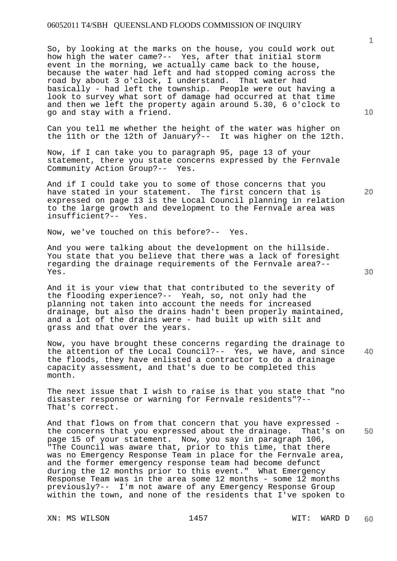So, by looking at the marks on the house, you could work out how high the water came?-- Yes, after that initial storm event in the morning, we actually came back to the house, because the water had left and had stopped coming across the road by about 3 o'clock, I understand. That water had basically - had left the township. People were out having a look to survey what sort of damage had occurred at that time and then we left the property again around 5.30, 6 o'clock to go and stay with a friend.

Can you tell me whether the height of the water was higher on the 11th or the 12th of January?-- It was higher on the 12th.

Now, if I can take you to paragraph 95, page 13 of your statement, there you state concerns expressed by the Fernvale Community Action Group?-- Yes.

And if I could take you to some of those concerns that you have stated in your statement. The first concern that is expressed on page 13 is the Local Council planning in relation to the large growth and development to the Fernvale area was insufficient?-- Yes.

Now, we've touched on this before?-- Yes.

And you were talking about the development on the hillside. You state that you believe that there was a lack of foresight regarding the drainage requirements of the Fernvale area?-- Yes.

And it is your view that that contributed to the severity of the flooding experience?-- Yeah, so, not only had the planning not taken into account the needs for increased drainage, but also the drains hadn't been properly maintained, and a lot of the drains were - had built up with silt and grass and that over the years.

**40**  Now, you have brought these concerns regarding the drainage to the attention of the Local Council?-- Yes, we have, and since the floods, they have enlisted a contractor to do a drainage capacity assessment, and that's due to be completed this month.

The next issue that I wish to raise is that you state that "no disaster response or warning for Fernvale residents"?-- That's correct.

And that flows on from that concern that you have expressed the concerns that you expressed about the drainage. That's on page 15 of your statement. Now, you say in paragraph 106, "The Council was aware that, prior to this time, that there was no Emergency Response Team in place for the Fernvale area, and the former emergency response team had become defunct during the 12 months prior to this event." What Emergency Response Team was in the area some 12 months - some 12 months previously?-- I'm not aware of any Emergency Response Group within the town, and none of the residents that I've spoken to

XN: MS WILSON 1457 1457 WIT: WARD D

**10** 

**1**

**30** 

**50**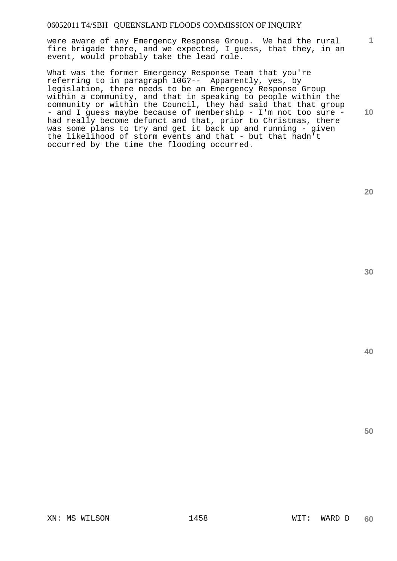were aware of any Emergency Response Group. We had the rural fire brigade there, and we expected, I guess, that they, in an event, would probably take the lead role.

What was the former Emergency Response Team that you're referring to in paragraph 106?-- Apparently, yes, by legislation, there needs to be an Emergency Response Group within a community, and that in speaking to people within the community or within the Council, they had said that that group - and I guess maybe because of membership - I'm not too sure had really become defunct and that, prior to Christmas, there was some plans to try and get it back up and running - given the likelihood of storm events and that - but that hadn't occurred by the time the flooding occurred.

**20** 

**1**

**10** 

**30**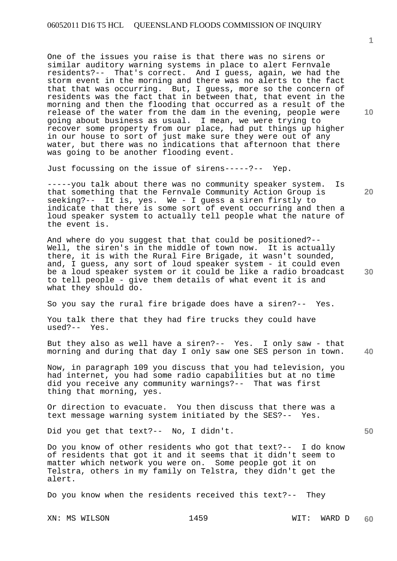One of the issues you raise is that there was no sirens or similar auditory warning systems in place to alert Fernvale residents?-- That's correct. And I guess, again, we had the storm event in the morning and there was no alerts to the fact that that was occurring. But, I guess, more so the concern of residents was the fact that in between that, that event in the morning and then the flooding that occurred as a result of the release of the water from the dam in the evening, people were going about business as usual. I mean, we were trying to recover some property from our place, had put things up higher in our house to sort of just make sure they were out of any water, but there was no indications that afternoon that there was going to be another flooding event.

Just focussing on the issue of sirens-----?-- Yep.

-----you talk about there was no community speaker system. Is that something that the Fernvale Community Action Group is seeking?-- It is, yes. We - I guess a siren firstly to indicate that there is some sort of event occurring and then a loud speaker system to actually tell people what the nature of the event is.

And where do you suggest that that could be positioned?-- Well, the siren's in the middle of town now. It is actually there, it is with the Rural Fire Brigade, it wasn't sounded, and, I guess, any sort of loud speaker system - it could even be a loud speaker system or it could be like a radio broadcast to tell people - give them details of what event it is and what they should do.

So you say the rural fire brigade does have a siren?-- Yes.

You talk there that they had fire trucks they could have used?-- Yes.

**40**  But they also as well have a siren?-- Yes. I only saw - that morning and during that day I only saw one SES person in town.

Now, in paragraph 109 you discuss that you had television, you had internet, you had some radio capabilities but at no time did you receive any community warnings?-- That was first thing that morning, yes.

Or direction to evacuate. You then discuss that there was a text message warning system initiated by the SES?-- Yes.

Did you get that text?-- No, I didn't.

Do you know of other residents who got that text?-- I do know of residents that got it and it seems that it didn't seem to matter which network you were on. Some people got it on Telstra, others in my family on Telstra, they didn't get the alert.

Do you know when the residents received this text?-- They

XN: MS WILSON 1459 WIT: WARD D

**10** 

**1**

**20**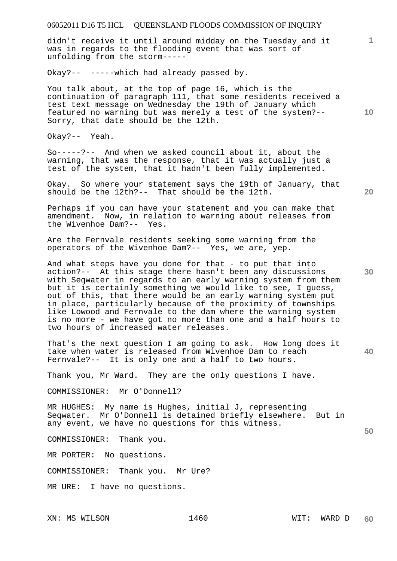didn't receive it until around midday on the Tuesday and it was in regards to the flooding event that was sort of unfolding from the storm-----

Okay?-- -----which had already passed by.

You talk about, at the top of page 16, which is the continuation of paragraph 111, that some residents received a test text message on Wednesday the 19th of January which featured no warning but was merely a test of the system?-- Sorry, that date should be the 12th.

Okay?-- Yeah.

So-----?-- And when we asked council about it, about the warning, that was the response, that it was actually just a test of the system, that it hadn't been fully implemented.

Okay. So where your statement says the 19th of January, that should be the 12th?-- That should be the 12th.

Perhaps if you can have your statement and you can make that amendment. Now, in relation to warning about releases from<br>the Wivenhoe Dam?-- Yes. the Wivenhoe Dam?--

Are the Fernvale residents seeking some warning from the operators of the Wivenhoe Dam?-- Yes, we are, yep.

And what steps have you done for that - to put that into action?-- At this stage there hasn't been any discussions with Seqwater in regards to an early warning system from them but it is certainly something we would like to see, I guess, out of this, that there would be an early warning system put in place, particularly because of the proximity of townships like Lowood and Fernvale to the dam where the warning system is no more - we have got no more than one and a half hours to two hours of increased water releases.

**40**  That's the next question I am going to ask. How long does it take when water is released from Wivenhoe Dam to reach Fernvale?-- It is only one and a half to two hours.

Thank you, Mr Ward. They are the only questions I have.

COMMISSIONER: Mr O'Donnell?

MR HUGHES: My name is Hughes, initial J, representing Seqwater. Mr O'Donnell is detained briefly elsewhere. But in any event, we have no questions for this witness.

COMMISSIONER: Thank you.

MR PORTER: No questions.

COMMISSIONER: Thank you. Mr Ure?

MR URE: I have no questions.

XN: MS WILSON 1460 WIT: WARD D

**20** 

**30** 

**50** 

**10**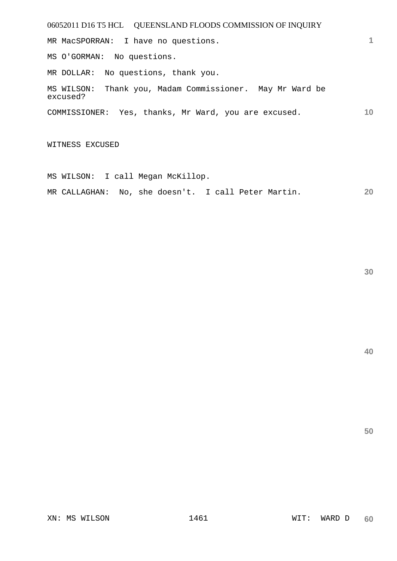06052011 D16 T5 HCL QUEENSLAND FLOODS COMMISSION OF INQUIRY **1 10**  MR MacSPORRAN: I have no questions. MS O'GORMAN: No questions. MR DOLLAR: No questions, thank you. MS WILSON: Thank you, Madam Commissioner. May Mr Ward be excused? COMMISSIONER: Yes, thanks, Mr Ward, you are excused.

WITNESS EXCUSED

MS WILSON: I call Megan McKillop.

**20**  MR CALLAGHAN: No, she doesn't. I call Peter Martin.

**30**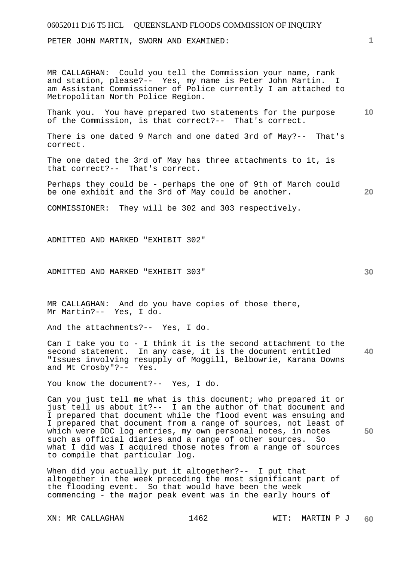PETER JOHN MARTIN, SWORN AND EXAMINED:

MR CALLAGHAN: Could you tell the Commission your name, rank and station, please?-- Yes, my name is Peter John Martin. I am Assistant Commissioner of Police currently I am attached to Metropolitan North Police Region.

**10**  Thank you. You have prepared two statements for the purpose of the Commission, is that correct?-- That's correct.

There is one dated 9 March and one dated 3rd of May?-- That's correct.

The one dated the 3rd of May has three attachments to it, is that correct?-- That's correct.

Perhaps they could be - perhaps the one of 9th of March could be one exhibit and the 3rd of May could be another.

COMMISSIONER: They will be 302 and 303 respectively.

ADMITTED AND MARKED "EXHIBIT 302"

ADMITTED AND MARKED "EXHIBIT 303"

MR CALLAGHAN: And do you have copies of those there, Mr Martin?-- Yes, I do.

And the attachments?-- Yes, I do.

**40**  Can I take you to - I think it is the second attachment to the second statement. In any case, it is the document entitled "Issues involving resupply of Moggill, Belbowrie, Karana Downs and Mt Crosby"?-- Yes.

You know the document?-- Yes, I do.

Can you just tell me what is this document; who prepared it or just tell us about it?-- I am the author of that document and I prepared that document while the flood event was ensuing and I prepared that document from a range of sources, not least of which were DDC log entries, my own personal notes, in notes such as official diaries and a range of other sources. So what I did was I acquired those notes from a range of sources to compile that particular log.

When did you actually put it altogether?-- I put that altogether in the week preceding the most significant part of the flooding event. So that would have been the week commencing - the major peak event was in the early hours of

**50** 

**20**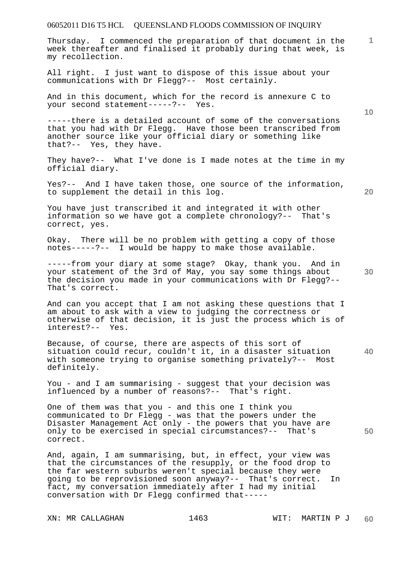Thursday. I commenced the preparation of that document in the week thereafter and finalised it probably during that week, is my recollection.

All right. I just want to dispose of this issue about your communications with Dr Flegg?-- Most certainly.

And in this document, which for the record is annexure C to your second statement-----?-- Yes.

-----there is a detailed account of some of the conversations that you had with Dr Flegg. Have those been transcribed from another source like your official diary or something like that?-- Yes, they have.

They have?-- What I've done is I made notes at the time in my official diary.

Yes?-- And I have taken those, one source of the information, to supplement the detail in this log.

You have just transcribed it and integrated it with other information so we have got a complete chronology?-- That's correct, yes.

Okay. There will be no problem with getting a copy of those notes-----?-- I would be happy to make those available.

-----from your diary at some stage? Okay, thank you. And in your statement of the 3rd of May, you say some things about the decision you made in your communications with Dr Flegg?-- That's correct.

And can you accept that I am not asking these questions that I am about to ask with a view to judging the correctness or otherwise of that decision, it is just the process which is of interest?-- Yes.

**40**  Because, of course, there are aspects of this sort of situation could recur, couldn't it, in a disaster situation with someone trying to organise something privately?-- Most definitely.

You - and I am summarising - suggest that your decision was influenced by a number of reasons?-- That's right.

One of them was that you - and this one I think you communicated to Dr Flegg - was that the powers under the Disaster Management Act only - the powers that you have are only to be exercised in special circumstances?-- That's correct.

And, again, I am summarising, but, in effect, your view was that the circumstances of the resupply, or the food drop to the far western suburbs weren't special because they were going to be reprovisioned soon anyway?-- That's correct. In fact, my conversation immediately after I had my initial conversation with Dr Flegg confirmed that-----

XN: MR CALLAGHAN 1463 WIT: MARTIN P J

**20** 

**10** 

**1**

**30**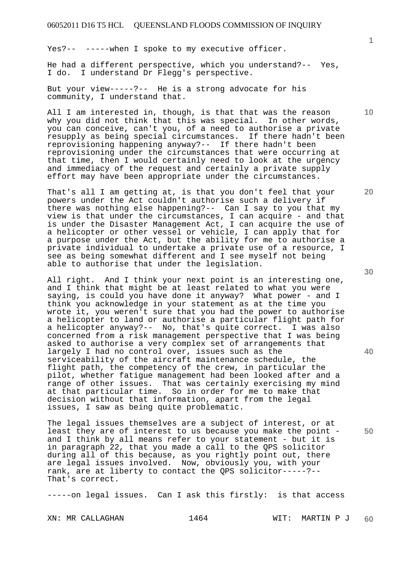Yes?-- -----when I spoke to my executive officer.

He had a different perspective, which you understand?-- Yes, I do. I understand Dr Flegg's perspective.

But your view-----?-- He is a strong advocate for his community, I understand that.

All I am interested in, though, is that that was the reason why you did not think that this was special. In other words, you can conceive, can't you, of a need to authorise a private resupply as being special circumstances. If there hadn't been reprovisioning happening anyway?-- If there hadn't been reprovisioning under the circumstances that were occurring at that time, then I would certainly need to look at the urgency and immediacy of the request and certainly a private supply effort may have been appropriate under the circumstances.

That's all I am getting at, is that you don't feel that your powers under the Act couldn't authorise such a delivery if there was nothing else happening?-- Can I say to you that my view is that under the circumstances, I can acquire - and that is under the Disaster Management Act, I can acquire the use of a helicopter or other vessel or vehicle, I can apply that for a purpose under the Act, but the ability for me to authorise a private individual to undertake a private use of a resource, I see as being somewhat different and I see myself not being able to authorise that under the legislation.

All right. And I think your next point is an interesting one, and I think that might be at least related to what you were saying, is could you have done it anyway? What power - and I think you acknowledge in your statement as at the time you wrote it, you weren't sure that you had the power to authorise a helicopter to land or authorise a particular flight path for a helicopter anyway?-- No, that's quite correct. I was also concerned from a risk management perspective that I was being asked to authorise a very complex set of arrangements that largely I had no control over, issues such as the serviceability of the aircraft maintenance schedule, the flight path, the competency of the crew, in particular the pilot, whether fatigue management had been looked after and a range of other issues. That was certainly exercising my mind at that particular time. So in order for me to make that decision without that information, apart from the legal issues, I saw as being quite problematic.

The legal issues themselves are a subject of interest, or at least they are of interest to us because you make the point and I think by all means refer to your statement - but it is in paragraph 22, that you made a call to the QPS solicitor during all of this because, as you rightly point out, there are legal issues involved. Now, obviously you, with your rank, are at liberty to contact the QPS solicitor-----?-- That's correct.

-----on legal issues. Can I ask this firstly: is that access

XN: MR CALLAGHAN 1464 MIT: MARTIN P J **60** 

**30** 

**20** 



**50**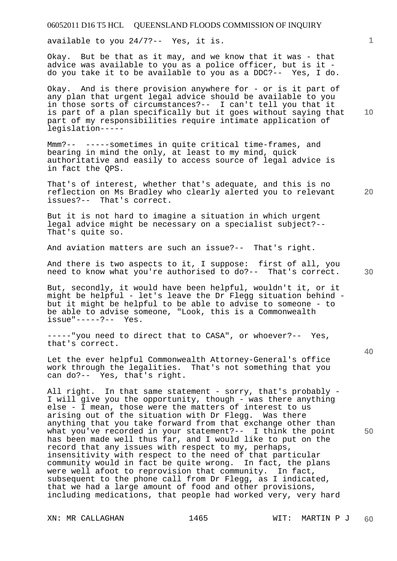available to you 24/7?-- Yes, it is.

Okay. But be that as it may, and we know that it was - that advice was available to you as a police officer, but is it do you take it to be available to you as a DDC?-- Yes, I do.

Okay. And is there provision anywhere for - or is it part of any plan that urgent legal advice should be available to you in those sorts of circumstances?-- I can't tell you that it is part of a plan specifically but it goes without saying that part of my responsibilities require intimate application of legislation-----

Mmm?-- -----sometimes in quite critical time-frames, and bearing in mind the only, at least to my mind, quick authoritative and easily to access source of legal advice is in fact the QPS.

That's of interest, whether that's adequate, and this is no reflection on Ms Bradley who clearly alerted you to relevant issues?-- That's correct.

But it is not hard to imagine a situation in which urgent legal advice might be necessary on a specialist subject?-- That's quite so.

And aviation matters are such an issue?-- That's right.

And there is two aspects to it, I suppose: first of all, you need to know what you're authorised to do?-- That's correct.

But, secondly, it would have been helpful, wouldn't it, or it might be helpful - let's leave the Dr Flegg situation behind but it might be helpful to be able to advise to someone - to be able to advise someone, "Look, this is a Commonwealth issue"-----?-- Yes.

-----"you need to direct that to CASA", or whoever?-- Yes, that's correct.

Let the ever helpful Commonwealth Attorney-General's office work through the legalities. That's not something that you can do?-- Yes, that's right.

All right. In that same statement - sorry, that's probably -I will give you the opportunity, though - was there anything else - I mean, those were the matters of interest to us arising out of the situation with Dr Flegg. Was there anything that you take forward from that exchange other than what you've recorded in your statement?-- I think the point has been made well thus far, and I would like to put on the record that any issues with respect to my, perhaps, insensitivity with respect to the need of that particular community would in fact be quite wrong. In fact, the plans were well afoot to reprovision that community. In fact, subsequent to the phone call from Dr Flegg, as I indicated, that we had a large amount of food and other provisions, including medications, that people had worked very, very hard

XN: MR CALLAGHAN 1465 WIT: MARTIN P J

**10** 

**20** 

**1**

**30** 

**40**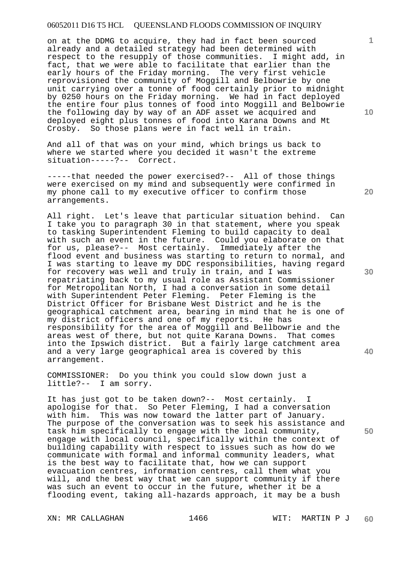on at the DDMG to acquire, they had in fact been sourced already and a detailed strategy had been determined with respect to the resupply of those communities. I might add, in fact, that we were able to facilitate that earlier than the early hours of the Friday morning. The very first vehicle reprovisioned the community of Moggill and Belbowrie by one unit carrying over a tonne of food certainly prior to midnight by 0250 hours on the Friday morning. We had in fact deployed the entire four plus tonnes of food into Moggill and Belbowrie the following day by way of an ADF asset we acquired and deployed eight plus tonnes of food into Karana Downs and Mt Crosby. So those plans were in fact well in train.

And all of that was on your mind, which brings us back to where we started where you decided it wasn't the extreme situation-----?-- Correct.

-----that needed the power exercised?-- All of those things were exercised on my mind and subsequently were confirmed in my phone call to my executive officer to confirm those arrangements.

All right. Let's leave that particular situation behind. Can I take you to paragraph 30 in that statement, where you speak to tasking Superintendent Fleming to build capacity to deal with such an event in the future. Could you elaborate on that for us, please?-- Most certainly. Immediately after the flood event and business was starting to return to normal, and I was starting to leave my DDC responsibilities, having regard for recovery was well and truly in train, and I was repatriating back to my usual role as Assistant Commissioner for Metropolitan North, I had a conversation in some detail with Superintendent Peter Fleming. Peter Fleming is the District Officer for Brisbane West District and he is the geographical catchment area, bearing in mind that he is one of my district officers and one of my reports. He has responsibility for the area of Moggill and Bellbowrie and the areas west of there, but not quite Karana Downs. That comes into the Ipswich district. But a fairly large catchment area and a very large geographical area is covered by this arrangement.

COMMISSIONER: Do you think you could slow down just a little?-- I am sorry.

It has just got to be taken down?-- Most certainly. I apologise for that. So Peter Fleming, I had a conversation with him. This was now toward the latter part of January. The purpose of the conversation was to seek his assistance and task him specifically to engage with the local community, engage with local council, specifically within the context of building capability with respect to issues such as how do we communicate with formal and informal community leaders, what is the best way to facilitate that, how we can support evacuation centres, information centres, call them what you will, and the best way that we can support community if there was such an event to occur in the future, whether it be a flooding event, taking all-hazards approach, it may be a bush

XN: MR CALLAGHAN 1466 WIT: MARTIN P J **60** 

**30** 

**20** 

**1**

**10** 

**50**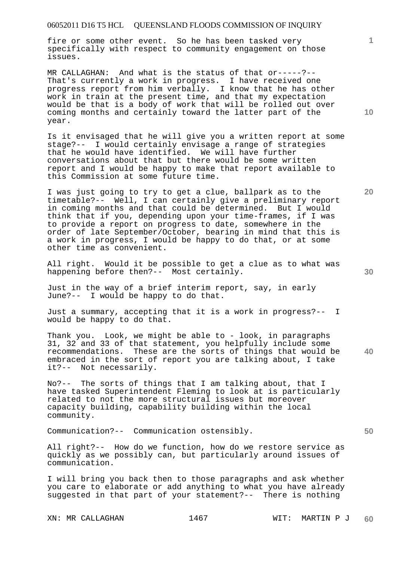fire or some other event. So he has been tasked very specifically with respect to community engagement on those issues.

MR CALLAGHAN: And what is the status of that or-----?-- That's currently a work in progress. I have received one progress report from him verbally. I know that he has other work in train at the present time, and that my expectation would be that is a body of work that will be rolled out over coming months and certainly toward the latter part of the year.

Is it envisaged that he will give you a written report at some stage?-- I would certainly envisage a range of strategies that he would have identified. We will have further conversations about that but there would be some written report and I would be happy to make that report available to this Commission at some future time.

I was just going to try to get a clue, ballpark as to the timetable?-- Well, I can certainly give a preliminary report in coming months and that could be determined. But I would think that if you, depending upon your time-frames, if I was to provide a report on progress to date, somewhere in the order of late September/October, bearing in mind that this is a work in progress, I would be happy to do that, or at some other time as convenient.

All right. Would it be possible to get a clue as to what was happening before then?-- Most certainly.

Just in the way of a brief interim report, say, in early June?-- I would be happy to do that.

Just a summary, accepting that it is a work in progress?-- I would be happy to do that.

**40**  Thank you. Look, we might be able to - look, in paragraphs 31, 32 and 33 of that statement, you helpfully include some recommendations. These are the sorts of things that would be embraced in the sort of report you are talking about, I take it?-- Not necessarily.

No?-- The sorts of things that I am talking about, that I have tasked Superintendent Fleming to look at is particularly related to not the more structural issues but moreover capacity building, capability building within the local community.

Communication?-- Communication ostensibly.

All right?-- How do we function, how do we restore service as quickly as we possibly can, but particularly around issues of communication.

I will bring you back then to those paragraphs and ask whether you care to elaborate or add anything to what you have already suggested in that part of your statement?-- There is nothing

**10** 

**20** 

**1**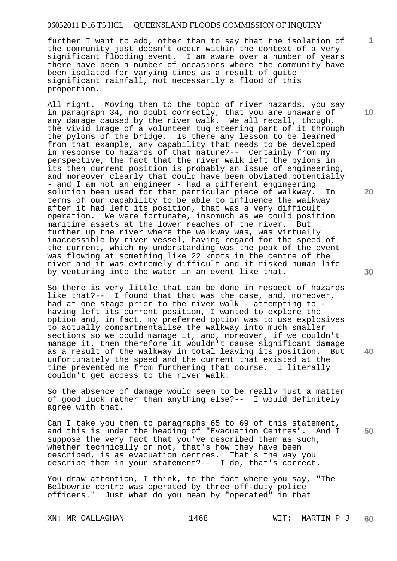further I want to add, other than to say that the isolation of the community just doesn't occur within the context of a very significant flooding event. I am aware over a number of years there have been a number of occasions where the community have been isolated for varying times as a result of quite significant rainfall, not necessarily a flood of this proportion.

All right. Moving then to the topic of river hazards, you say in paragraph 34, no doubt correctly, that you are unaware of any damage caused by the river walk. We all recall, though, the vivid image of a volunteer tug steering part of it through the pylons of the bridge. Is there any lesson to be learned from that example, any capability that needs to be developed in response to hazards of that nature?-- Certainly from my perspective, the fact that the river walk left the pylons in its then current position is probably an issue of engineering, and moreover clearly that could have been obviated potentially - and I am not an engineer - had a different engineering solution been used for that particular piece of walkway. In terms of our capability to be able to influence the walkway after it had left its position, that was a very difficult operation. We were fortunate, insomuch as we could position maritime assets at the lower reaches of the river. But further up the river where the walkway was, was virtually inaccessible by river vessel, having regard for the speed of the current, which my understanding was the peak of the event was flowing at something like 22 knots in the centre of the river and it was extremely difficult and it risked human life by venturing into the water in an event like that.

So there is very little that can be done in respect of hazards like that?-- I found that that was the case, and, moreover, had at one stage prior to the river walk - attempting to having left its current position, I wanted to explore the option and, in fact, my preferred option was to use explosives to actually compartmentalise the walkway into much smaller sections so we could manage it, and, moreover, if we couldn't manage it, then therefore it wouldn't cause significant damage as a result of the walkway in total leaving its position. But unfortunately the speed and the current that existed at the time prevented me from furthering that course. I literally couldn't get access to the river walk.

So the absence of damage would seem to be really just a matter of good luck rather than anything else?-- I would definitely agree with that.

Can I take you then to paragraphs 65 to 69 of this statement, and this is under the heading of "Evacuation Centres". And I suppose the very fact that you've described them as such, whether technically or not, that's how they have been described, is as evacuation centres. That's the way you describe them in your statement?-- I do, that's correct.

You draw attention, I think, to the fact where you say, "The Belbowrie centre was operated by three off-duty police officers." Just what do you mean by "operated" in that

**10** 

**1**

**20** 

**40** 

**30**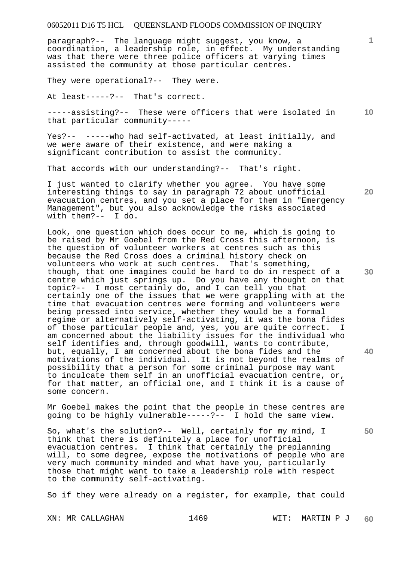paragraph?-- The language might suggest, you know, a coordination, a leadership role, in effect. My understanding was that there were three police officers at varying times assisted the community at those particular centres.

They were operational?-- They were.

At least-----?-- That's correct.

**10**  -----assisting?-- These were officers that were isolated in that particular community-----

Yes?-- -----who had self-activated, at least initially, and we were aware of their existence, and were making a significant contribution to assist the community.

That accords with our understanding?-- That's right.

I just wanted to clarify whether you agree. You have some interesting things to say in paragraph 72 about unofficial evacuation centres, and you set a place for them in "Emergency Management", but you also acknowledge the risks associated<br>with them?-- I do. with them? $--$ 

Look, one question which does occur to me, which is going to be raised by Mr Goebel from the Red Cross this afternoon, is the question of volunteer workers at centres such as this because the Red Cross does a criminal history check on volunteers who work at such centres. That's something, though, that one imagines could be hard to do in respect of a centre which just springs up. Do you have any thought on that topic?-- I most certainly do, and I can tell you that certainly one of the issues that we were grappling with at the time that evacuation centres were forming and volunteers were being pressed into service, whether they would be a formal regime or alternatively self-activating, it was the bona fides of those particular people and, yes, you are quite correct. I am concerned about the liability issues for the individual who self identifies and, through goodwill, wants to contribute, but, equally, I am concerned about the bona fides and the motivations of the individual. It is not beyond the realms of possibility that a person for some criminal purpose may want to inculcate them self in an unofficial evacuation centre, or, for that matter, an official one, and I think it is a cause of some concern.

Mr Goebel makes the point that the people in these centres are going to be highly vulnerable-----?-- I hold the same view.

So, what's the solution?-- Well, certainly for my mind, I think that there is definitely a place for unofficial evacuation centres. I think that certainly the preplanning will, to some degree, expose the motivations of people who are very much community minded and what have you, particularly those that might want to take a leadership role with respect to the community self-activating.

So if they were already on a register, for example, that could

**20** 

**1**

**30** 

**50**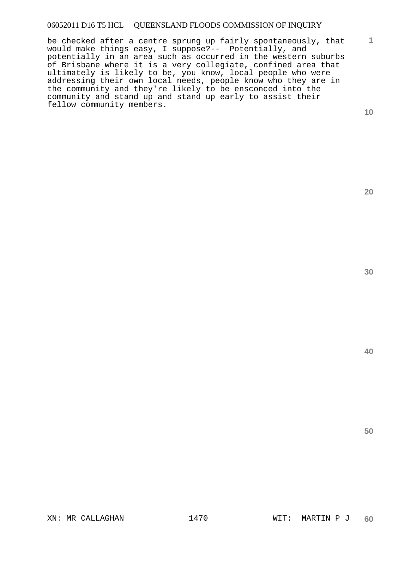be checked after a centre sprung up fairly spontaneously, that would make things easy, I suppose?-- Potentially, and potentially in an area such as occurred in the western suburbs of Brisbane where it is a very collegiate, confined area that ultimately is likely to be, you know, local people who were addressing their own local needs, people know who they are in the community and they're likely to be ensconced into the community and stand up and stand up early to assist their fellow community members.

**10** 

**1**

**20**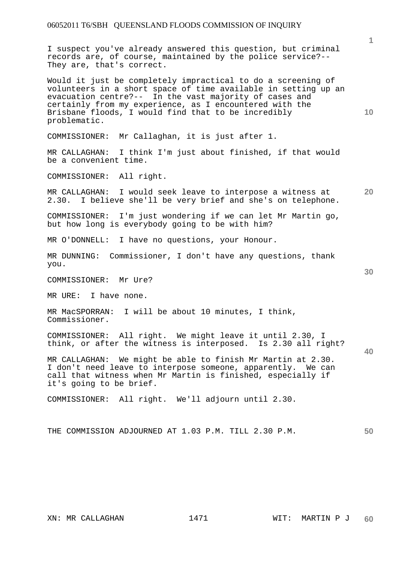I suspect you've already answered this question, but criminal records are, of course, maintained by the police service?-- They are, that's correct.

Would it just be completely impractical to do a screening of volunteers in a short space of time available in setting up an evacuation centre?-- In the vast majority of cases and certainly from my experience, as I encountered with the Brisbane floods, I would find that to be incredibly problematic.

COMMISSIONER: Mr Callaghan, it is just after 1.

MR CALLAGHAN: I think I'm just about finished, if that would be a convenient time.

COMMISSIONER: All right.

MR CALLAGHAN: I would seek leave to interpose a witness at 2.30. I believe she'll be very brief and she's on telephone.

COMMISSIONER: I'm just wondering if we can let Mr Martin go, but how long is everybody going to be with him?

MR O'DONNELL: I have no questions, your Honour.

MR DUNNING: Commissioner, I don't have any questions, thank you.

COMMISSIONER: Mr Ure?

MR URE: I have none.

MR MacSPORRAN: I will be about 10 minutes, I think, Commissioner.

COMMISSIONER: All right. We might leave it until 2.30, I think, or after the witness is interposed. Is 2.30 all right?

MR CALLAGHAN: We might be able to finish Mr Martin at 2.30. I don't need leave to interpose someone, apparently. We can call that witness when Mr Martin is finished, especially if it's going to be brief.

COMMISSIONER: All right. We'll adjourn until 2.30.

**50**  THE COMMISSION ADJOURNED AT 1.03 P.M. TILL 2.30 P.M.

**1**

**10** 

**20** 

**30**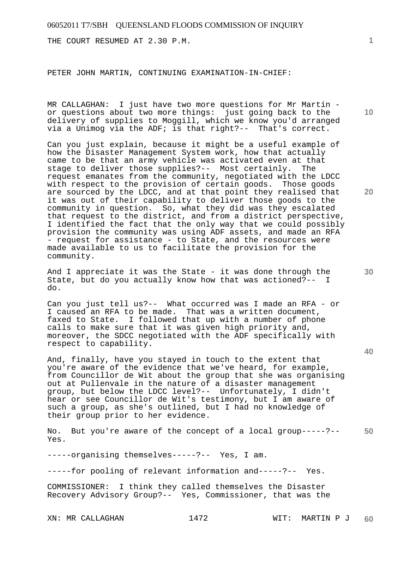THE COURT RESUMED AT 2.30 P.M.

#### PETER JOHN MARTIN, CONTINUING EXAMINATION-IN-CHIEF:

MR CALLAGHAN: I just have two more questions for Mr Martin or questions about two more things: just going back to the delivery of supplies to Moggill, which we know you'd arranged via a Unimog via the ADF; is that right?-- That's correct.

Can you just explain, because it might be a useful example of how the Disaster Management System work, how that actually came to be that an army vehicle was activated even at that stage to deliver those supplies?-- Most certainly. The request emanates from the community, negotiated with the LDCC with respect to the provision of certain goods. Those goods are sourced by the LDCC, and at that point they realised that it was out of their capability to deliver those goods to the community in question. So, what they did was they escalated that request to the district, and from a district perspective, I identified the fact that the only way that we could possibly provision the community was using ADF assets, and made an RFA - request for assistance - to State, and the resources were made available to us to facilitate the provision for the community.

And I appreciate it was the State - it was done through the State, but do you actually know how that was actioned?-- I do.

Can you just tell us?-- What occurred was I made an RFA - or I caused an RFA to be made. That was a written document, faxed to State. I followed that up with a number of phone calls to make sure that it was given high priority and, moreover, the SDCC negotiated with the ADF specifically with respect to capability.

And, finally, have you stayed in touch to the extent that you're aware of the evidence that we've heard, for example, from Councillor de Wit about the group that she was organising out at Pullenvale in the nature of a disaster management group, but below the LDCC level?-- Unfortunately, I didn't hear or see Councillor de Wit's testimony, but I am aware of such a group, as she's outlined, but I had no knowledge of their group prior to her evidence.

**50**  No. But you're aware of the concept of a local group-----?-- Yes.

-----organising themselves-----?-- Yes, I am.

-----for pooling of relevant information and-----?-- Yes.

COMMISSIONER: I think they called themselves the Disaster Recovery Advisory Group?-- Yes, Commissioner, that was the

**10** 

**1**

**20** 

**40**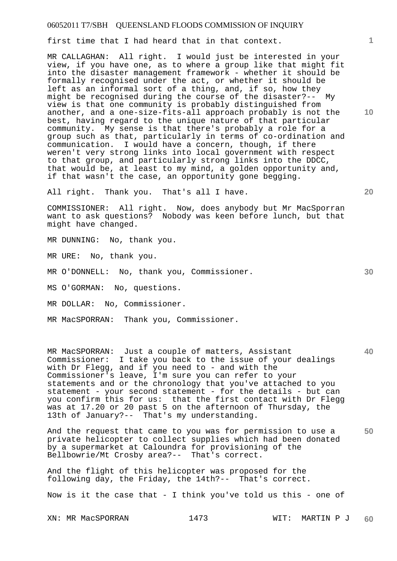first time that I had heard that in that context.

MR CALLAGHAN: All right. I would just be interested in your view, if you have one, as to where a group like that might fit into the disaster management framework - whether it should be formally recognised under the act, or whether it should be left as an informal sort of a thing, and, if so, how they might be recognised during the course of the disaster?-- My view is that one community is probably distinguished from another, and a one-size-fits-all approach probably is not the best, having regard to the unique nature of that particular community. My sense is that there's probably a role for a group such as that, particularly in terms of co-ordination and communication. I would have a concern, though, if there weren't very strong links into local government with respect to that group, and particularly strong links into the DDCC, that would be, at least to my mind, a golden opportunity and, if that wasn't the case, an opportunity gone begging.

All right. Thank you. That's all I have.

COMMISSIONER: All right. Now, does anybody but Mr MacSporran want to ask questions? Nobody was keen before lunch, but that might have changed.

MR DUNNING: No, thank you.

MR URE: No, thank you.

MR O'DONNELL: No, thank you, Commissioner.

MS O'GORMAN: No, questions.

MR DOLLAR: No, Commissioner.

MR MacSPORRAN: Thank you, Commissioner.

**40**  MR MacSPORRAN: Just a couple of matters, Assistant Commissioner: I take you back to the issue of your dealings with Dr Flegg, and if you need to - and with the Commissioner's leave, I'm sure you can refer to your statements and or the chronology that you've attached to you statement - your second statement - for the details - but can you confirm this for us: that the first contact with Dr Flegg was at 17.20 or 20 past 5 on the afternoon of Thursday, the 13th of January?-- That's my understanding.

**50**  And the request that came to you was for permission to use a private helicopter to collect supplies which had been donated by a supermarket at Caloundra for provisioning of the Bellbowrie/Mt Crosby area?-- That's correct.

And the flight of this helicopter was proposed for the following day, the Friday, the 14th?-- That's correct.

Now is it the case that - I think you've told us this - one of

**10** 

**20**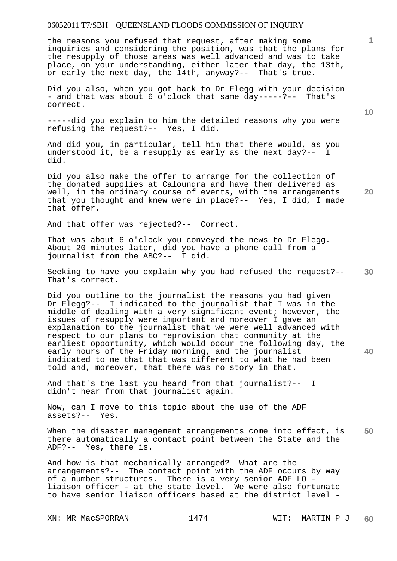the reasons you refused that request, after making some inquiries and considering the position, was that the plans for the resupply of those areas was well advanced and was to take place, on your understanding, either later that day, the 13th, or early the next day, the 14th, anyway?-- That's true.

Did you also, when you got back to Dr Flegg with your decision - and that was about 6 o'clock that same day-----?-- That's correct.

-----did you explain to him the detailed reasons why you were refusing the request?-- Yes, I did.

And did you, in particular, tell him that there would, as you understood it, be a resupply as early as the next day?-- I did.

Did you also make the offer to arrange for the collection of the donated supplies at Caloundra and have them delivered as well, in the ordinary course of events, with the arrangements that you thought and knew were in place?-- Yes, I did, I made that offer.

And that offer was rejected?-- Correct.

That was about 6 o'clock you conveyed the news to Dr Flegg. About 20 minutes later, did you have a phone call from a journalist from the ABC?-- I did.

**30**  Seeking to have you explain why you had refused the request?-- That's correct.

Did you outline to the journalist the reasons you had given Dr Flegg?-- I indicated to the journalist that I was in the middle of dealing with a very significant event; however, the issues of resupply were important and moreover I gave an explanation to the journalist that we were well advanced with respect to our plans to reprovision that community at the earliest opportunity, which would occur the following day, the early hours of the Friday morning, and the journalist indicated to me that that was different to what he had been told and, moreover, that there was no story in that.

And that's the last you heard from that journalist?-- I didn't hear from that journalist again.

Now, can I move to this topic about the use of the ADF assets?-- Yes.

**50**  When the disaster management arrangements come into effect, is there automatically a contact point between the State and the ADF?-- Yes, there is.

And how is that mechanically arranged? What are the arrangements?-- The contact point with the ADF occurs by way of a number structures. There is a very senior ADF LO liaison officer - at the state level. We were also fortunate to have senior liaison officers based at the district level -

**10** 

**1**

**20**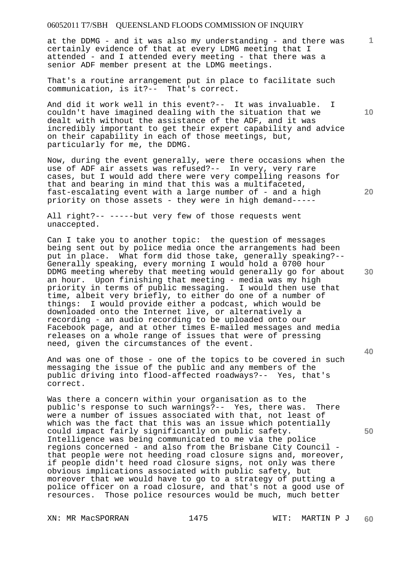at the DDMG - and it was also my understanding - and there was certainly evidence of that at every LDMG meeting that I attended - and I attended every meeting - that there was a senior ADF member present at the LDMG meetings.

That's a routine arrangement put in place to facilitate such communication, is it?-- That's correct.

And did it work well in this event?-- It was invaluable. I couldn't have imagined dealing with the situation that we dealt with without the assistance of the ADF, and it was incredibly important to get their expert capability and advice on their capability in each of those meetings, but, particularly for me, the DDMG.

Now, during the event generally, were there occasions when the use of ADF air assets was refused?-- In very, very rare cases, but I would add there were very compelling reasons for that and bearing in mind that this was a multifaceted, fast-escalating event with a large number of - and a high priority on those assets - they were in high demand-----

All right?-- -----but very few of those requests went unaccepted.

Can I take you to another topic: the question of messages being sent out by police media once the arrangements had been put in place. What form did those take, generally speaking?-- Generally speaking, every morning I would hold a 0700 hour DDMG meeting whereby that meeting would generally go for about an hour. Upon finishing that meeting - media was my high priority in terms of public messaging. I would then use that time, albeit very briefly, to either do one of a number of<br>things: I would provide either a podcast, which would be I would provide either a podcast, which would be downloaded onto the Internet live, or alternatively a recording - an audio recording to be uploaded onto our Facebook page, and at other times E-mailed messages and media releases on a whole range of issues that were of pressing need, given the circumstances of the event.

And was one of those - one of the topics to be covered in such messaging the issue of the public and any members of the public driving into flood-affected roadways?-- Yes, that's correct.

Was there a concern within your organisation as to the public's response to such warnings?-- Yes, there was. There were a number of issues associated with that, not least of which was the fact that this was an issue which potentially could impact fairly significantly on public safety. Intelligence was being communicated to me via the police regions concerned - and also from the Brisbane City Council that people were not heeding road closure signs and, moreover, if people didn't heed road closure signs, not only was there obvious implications associated with public safety, but moreover that we would have to go to a strategy of putting a police officer on a road closure, and that's not a good use of resources. Those police resources would be much, much better

XN: MR MacSPORRAN 1475 1475 WIT: MARTIN P J

**10** 

**1**

**20** 

**30** 

**40**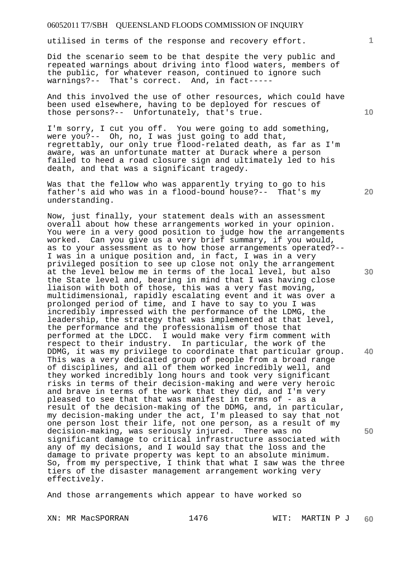utilised in terms of the response and recovery effort.

Did the scenario seem to be that despite the very public and repeated warnings about driving into flood waters, members of the public, for whatever reason, continued to ignore such warnings?-- That's correct. And, in fact-----

And this involved the use of other resources, which could have been used elsewhere, having to be deployed for rescues of those persons?-- Unfortunately, that's true.

I'm sorry, I cut you off. You were going to add something, were you?-- Oh, no, I was just going to add that, regrettably, our only true flood-related death, as far as I'm aware, was an unfortunate matter at Durack where a person failed to heed a road closure sign and ultimately led to his death, and that was a significant tragedy.

Was that the fellow who was apparently trying to go to his father's aid who was in a flood-bound house?-- That's my understanding.

Now, just finally, your statement deals with an assessment overall about how these arrangements worked in your opinion. You were in a very good position to judge how the arrangements worked. Can you give us a very brief summary, if you would, as to your assessment as to how those arrangements operated?-- I was in a unique position and, in fact, I was in a very privileged position to see up close not only the arrangement at the level below me in terms of the local level, but also the State level and, bearing in mind that I was having close liaison with both of those, this was a very fast moving, multidimensional, rapidly escalating event and it was over a prolonged period of time, and I have to say to you I was incredibly impressed with the performance of the LDMG, the leadership, the strategy that was implemented at that level, the performance and the professionalism of those that performed at the LDCC. I would make very firm comment with respect to their industry. In particular, the work of the DDMG, it was my privilege to coordinate that particular group. This was a very dedicated group of people from a broad range of disciplines, and all of them worked incredibly well, and they worked incredibly long hours and took very significant risks in terms of their decision-making and were very heroic and brave in terms of the work that they did, and I'm very pleased to see that that was manifest in terms of - as a result of the decision-making of the DDMG, and, in particular, my decision-making under the act, I'm pleased to say that not one person lost their life, not one person, as a result of my decision-making, was seriously injured. There was no significant damage to critical infrastructure associated with any of my decisions, and I would say that the loss and the damage to private property was kept to an absolute minimum. So, from my perspective, I think that what I saw was the three tiers of the disaster management arrangement working very effectively.

And those arrangements which appear to have worked so

XN: MR MacSPORRAN 1476 1476 WIT: MARTIN P J

**10** 

**1**

**20** 

**30** 

**40**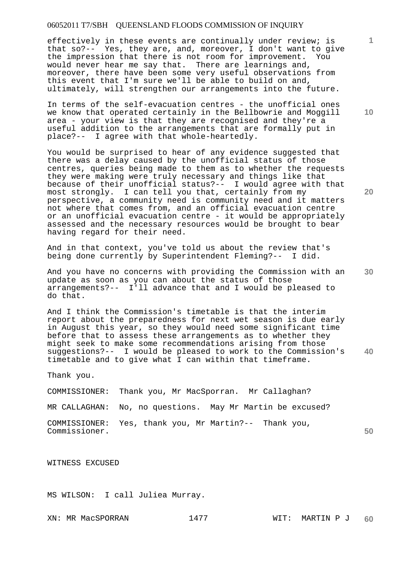effectively in these events are continually under review; is that so?-- Yes, they are, and, moreover, I don't want to give the impression that there is not room for improvement. You would never hear me say that. There are learnings and, moreover, there have been some very useful observations from this event that I'm sure we'll be able to build on and, ultimately, will strengthen our arrangements into the future.

In terms of the self-evacuation centres - the unofficial ones we know that operated certainly in the Bellbowrie and Moggill area - your view is that they are recognised and they're a useful addition to the arrangements that are formally put in place?-- I agree with that whole-heartedly.

You would be surprised to hear of any evidence suggested that there was a delay caused by the unofficial status of those centres, queries being made to them as to whether the requests they were making were truly necessary and things like that because of their unofficial status?-- I would agree with that most strongly. I can tell you that, certainly from my perspective, a community need is community need and it matters not where that comes from, and an official evacuation centre or an unofficial evacuation centre - it would be appropriately assessed and the necessary resources would be brought to bear having regard for their need.

And in that context, you've told us about the review that's being done currently by Superintendent Fleming?-- I did.

And you have no concerns with providing the Commission with an update as soon as you can about the status of those arrangements?-- I'll advance that and I would be pleased to do that.

**40**  And I think the Commission's timetable is that the interim report about the preparedness for next wet season is due early in August this year, so they would need some significant time before that to assess these arrangements as to whether they might seek to make some recommendations arising from those suggestions?-- I would be pleased to work to the Commission's timetable and to give what I can within that timeframe.

Thank you.

COMMISSIONER: Thank you, Mr MacSporran. Mr Callaghan?

MR CALLAGHAN: No, no questions. May Mr Martin be excused?

**50**  COMMISSIONER: Yes, thank you, Mr Martin?-- Thank you, Commissioner.

WITNESS EXCUSED

MS WILSON: I call Juliea Murray.

XN: MR MacSPORRAN 1477 NIT: MARTIN P J

**10** 

**1**

**20**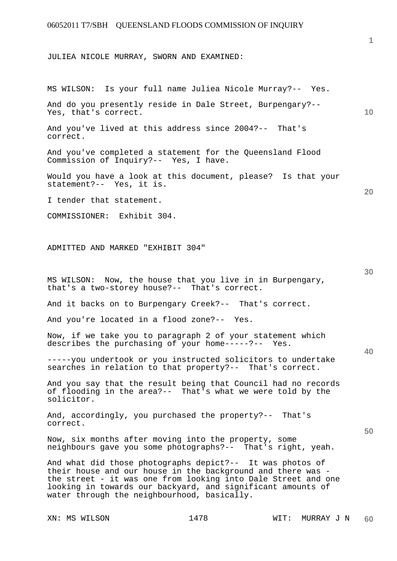### JULIEA NICOLE MURRAY, SWORN AND EXAMINED:

MS WILSON: Is your full name Juliea Nicole Murray?-- Yes.

And do you presently reside in Dale Street, Burpengary?-- Yes, that's correct.

And you've lived at this address since 2004?-- That's correct.

And you've completed a statement for the Queensland Flood Commission of Inquiry?-- Yes, I have.

Would you have a look at this document, please? Is that your statement?-- Yes, it is.

I tender that statement.

COMMISSIONER: Exhibit 304.

ADMITTED AND MARKED "EXHIBIT 304"

MS WILSON: Now, the house that you live in in Burpengary, that's a two-storey house?-- That's correct.

And it backs on to Burpengary Creek?-- That's correct.

And you're located in a flood zone?-- Yes.

Now, if we take you to paragraph 2 of your statement which describes the purchasing of your home-----?-- Yes.

-----you undertook or you instructed solicitors to undertake searches in relation to that property?-- That's correct.

And you say that the result being that Council had no records of flooding in the area?-- That's what we were told by the solicitor.

And, accordingly, you purchased the property?-- That's correct.

Now, six months after moving into the property, some neighbours gave you some photographs?-- That's right, yeah.

And what did those photographs depict?-- It was photos of their house and our house in the background and there was the street - it was one from looking into Dale Street and one looking in towards our backyard, and significant amounts of water through the neighbourhood, basically.

**1**

**10** 

**30** 

**40** 

**50**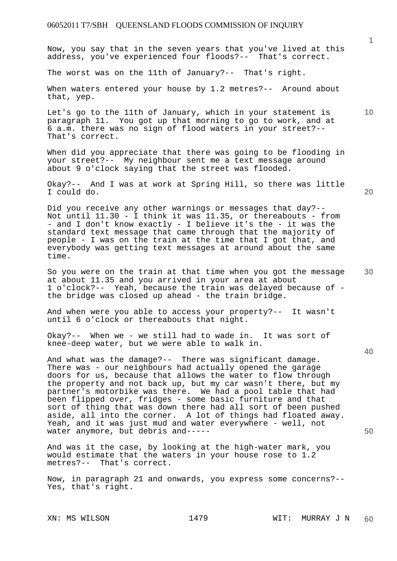Now, you say that in the seven years that you've lived at this address, you've experienced four floods?-- That's correct.

The worst was on the 11th of January?-- That's right.

When waters entered your house by 1.2 metres?-- Around about that, yep.

Let's go to the 11th of January, which in your statement is paragraph 11. You got up that morning to go to work, and at 6 a.m. there was no sign of flood waters in your street?-- That's correct.

When did you appreciate that there was going to be flooding in your street?-- My neighbour sent me a text message around about 9 o'clock saying that the street was flooded.

Okay?-- And I was at work at Spring Hill, so there was little I could do.

Did you receive any other warnings or messages that day?-- Not until 11.30 - I think it was 11.35, or thereabouts - from - and I don't know exactly - I believe it's the - it was the standard text message that came through that the majority of people - I was on the train at the time that I got that, and everybody was getting text messages at around about the same time.

**30**  So you were on the train at that time when you got the message at about 11.35 and you arrived in your area at about 1 o'clock?-- Yeah, because the train was delayed because of the bridge was closed up ahead - the train bridge.

And when were you able to access your property?-- It wasn't until 6 o'clock or thereabouts that night.

Okay?-- When we - we still had to wade in. It was sort of knee-deep water, but we were able to walk in.

And what was the damage?-- There was significant damage. There was - our neighbours had actually opened the garage doors for us, because that allows the water to flow through the property and not back up, but my car wasn't there, but my partner's motorbike was there. We had a pool table that had been flipped over, fridges - some basic furniture and that sort of thing that was down there had all sort of been pushed aside, all into the corner. A lot of things had floated away. Yeah, and it was just mud and water everywhere - well, not water anymore, but debris and-----

And was it the case, by looking at the high-water mark, you would estimate that the waters in your house rose to 1.2 metres?-- That's correct.

Now, in paragraph 21 and onwards, you express some concerns?-- Yes, that's right.

**1**

**20** 

**40** 

**50**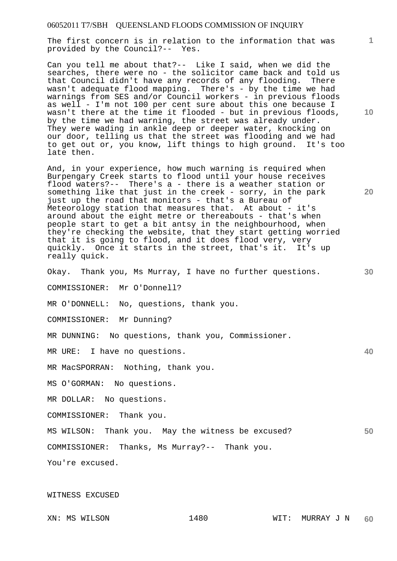The first concern is in relation to the information that was provided by the Council?-- Yes.

Can you tell me about that?-- Like I said, when we did the searches, there were no - the solicitor came back and told us that Council didn't have any records of any flooding. There wasn't adequate flood mapping. There's - by the time we had warnings from SES and/or Council workers - in previous floods as well - I'm not 100 per cent sure about this one because I wasn't there at the time it flooded - but in previous floods, by the time we had warning, the street was already under. They were wading in ankle deep or deeper water, knocking on our door, telling us that the street was flooding and we had to get out or, you know, lift things to high ground. It's too late then.

And, in your experience, how much warning is required when Burpengary Creek starts to flood until your house receives flood waters?-- There's a - there is a weather station or something like that just in the creek - sorry, in the park just up the road that monitors - that's a Bureau of Meteorology station that measures that. At about - it's around about the eight metre or thereabouts - that's when people start to get a bit antsy in the neighbourhood, when they're checking the website, that they start getting worried that it is going to flood, and it does flood very, very quickly. Once it starts in the street, that's it. It's up really quick.

Okay. Thank you, Ms Murray, I have no further questions.

COMMISSIONER: Mr O'Donnell?

MR O'DONNELL: No, questions, thank you.

COMMISSIONER: Mr Dunning?

MR DUNNING: No questions, thank you, Commissioner.

MR URE: I have no questions.

MR MacSPORRAN: Nothing, thank you.

MS O'GORMAN: No questions.

MR DOLLAR: No questions.

COMMISSIONER: Thank you.

MS WILSON: Thank you. May the witness be excused?

COMMISSIONER: Thanks, Ms Murray?-- Thank you.

You're excused.

#### WITNESS EXCUSED

**10** 

**1**

**20** 

**30** 

**40**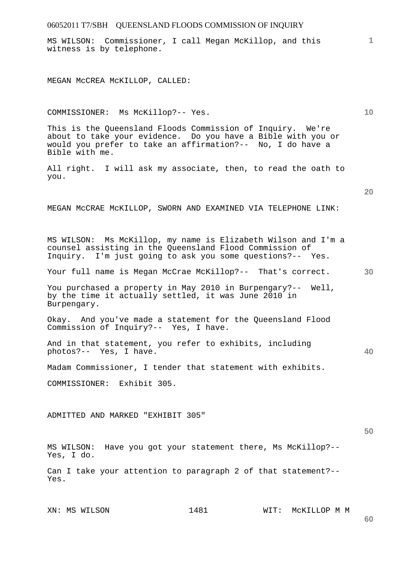MS WILSON: Commissioner, I call Megan McKillop, and this witness is by telephone.

MEGAN McCREA McKILLOP, CALLED:

COMMISSIONER: Ms McKillop?-- Yes.

This is the Queensland Floods Commission of Inquiry. We're about to take your evidence. Do you have a Bible with you or would you prefer to take an affirmation?-- No, I do have a Bible with me.

All right. I will ask my associate, then, to read the oath to you.

**20** 

**1**

**10** 

MEGAN McCRAE McKILLOP, SWORN AND EXAMINED VIA TELEPHONE LINK:

MS WILSON: Ms McKillop, my name is Elizabeth Wilson and I'm a counsel assisting in the Queensland Flood Commission of Inquiry. I'm just going to ask you some questions?-- Yes.

**30**  Your full name is Megan McCrae McKillop?-- That's correct.

You purchased a property in May 2010 in Burpengary?-- Well, by the time it actually settled, it was June 2010 in Burpengary.

Okay. And you've made a statement for the Queensland Flood Commission of Inquiry?-- Yes, I have.

And in that statement, you refer to exhibits, including photos?-- Yes, I have.

Madam Commissioner, I tender that statement with exhibits.

COMMISSIONER: Exhibit 305.

ADMITTED AND MARKED "EXHIBIT 305"

**50** 

**40** 

MS WILSON: Have you got your statement there, Ms McKillop?-- Yes, I do.

Can I take your attention to paragraph 2 of that statement?-- Yes.

XN: MS WILSON 1481 WIT: MCKILLOP M M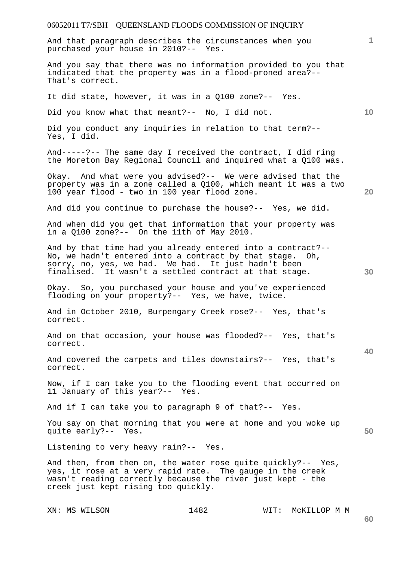And that paragraph describes the circumstances when you purchased your house in 2010?-- Yes.

And you say that there was no information provided to you that indicated that the property was in a flood-proned area?-- That's correct.

It did state, however, it was in a Q100 zone?-- Yes.

Did you know what that meant?-- No, I did not.

Did you conduct any inquiries in relation to that term?-- Yes, I did.

And-----?-- The same day I received the contract, I did ring the Moreton Bay Regional Council and inquired what a Q100 was.

Okay. And what were you advised?-- We were advised that the property was in a zone called a Q100, which meant it was a two 100 year flood - two in 100 year flood zone.

And did you continue to purchase the house?-- Yes, we did.

And when did you get that information that your property was in a Q100 zone?-- On the 11th of May 2010.

And by that time had you already entered into a contract?-- No, we hadn't entered into a contract by that stage. Oh, sorry, no, yes, we had. We had. It just hadn't been finalised. It wasn't a settled contract at that stage.

Okay. So, you purchased your house and you've experienced flooding on your property?-- Yes, we have, twice.

And in October 2010, Burpengary Creek rose?-- Yes, that's correct.

And on that occasion, your house was flooded?-- Yes, that's correct.

And covered the carpets and tiles downstairs?-- Yes, that's correct.

Now, if I can take you to the flooding event that occurred on 11 January of this year?-- Yes.

And if I can take you to paragraph 9 of that?-- Yes.

You say on that morning that you were at home and you woke up quite early?-- Yes.

Listening to very heavy rain?-- Yes.

And then, from then on, the water rose quite quickly?-- Yes, yes, it rose at a very rapid rate. The gauge in the creek wasn't reading correctly because the river just kept - the creek just kept rising too quickly.

XN: MS WILSON 1482 WIT: McKILLOP M M

**30** 

**50** 

**10** 

**20**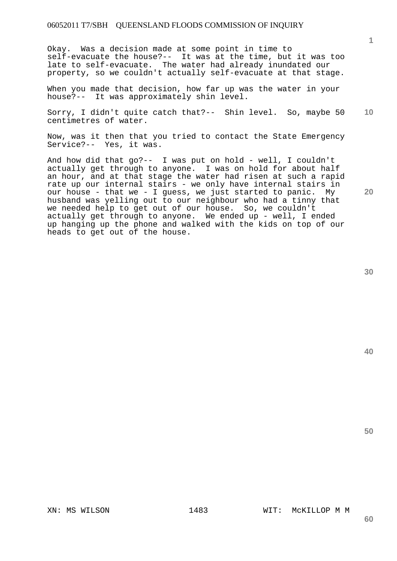Okay. Was a decision made at some point in time to self-evacuate the house?-- It was at the time, but it was too late to self-evacuate. The water had already inundated our property, so we couldn't actually self-evacuate at that stage.

When you made that decision, how far up was the water in your house?-- It was approximately shin level.

**10**  Sorry, I didn't quite catch that?-- Shin level. So, maybe 50 centimetres of water.

Now, was it then that you tried to contact the State Emergency Service?-- Yes, it was.

And how did that go?-- I was put on hold - well, I couldn't actually get through to anyone. I was on hold for about half an hour, and at that stage the water had risen at such a rapid rate up our internal stairs - we only have internal stairs in our house - that we - I guess, we just started to panic. My husband was yelling out to our neighbour who had a tinny that we needed help to get out of our house. So, we couldn't actually get through to anyone. We ended up - well, I ended up hanging up the phone and walked with the kids on top of our heads to get out of the house.

**40** 

**50** 

**20** 

XN: MS WILSON 1483 WIT: McKILLOP M M

**60**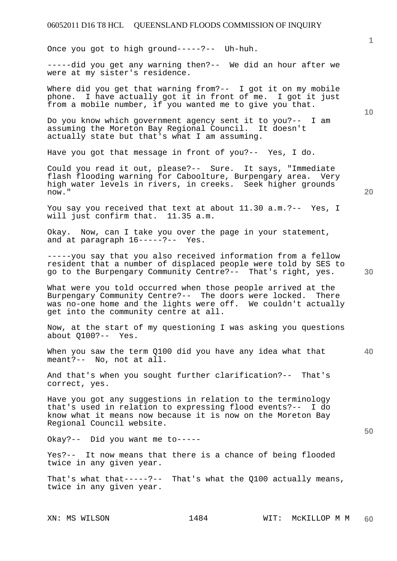Once you got to high ground-----?-- Uh-huh.

-----did you get any warning then?-- We did an hour after we were at my sister's residence.

Where did you get that warning from?-- I got it on my mobile phone. I have actually got it in front of me. I got it just from a mobile number, if you wanted me to give you that.

Do you know which government agency sent it to you?-- I am assuming the Moreton Bay Regional Council. It doesn't actually state but that's what I am assuming.

Have you got that message in front of you?-- Yes, I do.

Could you read it out, please?-- Sure. It says, "Immediate flash flooding warning for Caboolture, Burpengary area. Very high water levels in rivers, in creeks. Seek higher grounds now."

You say you received that text at about 11.30 a.m.?-- Yes, I will just confirm that. 11.35 a.m.

Okay. Now, can I take you over the page in your statement, and at paragraph 16-----?-- Yes.

-----you say that you also received information from a fellow resident that a number of displaced people were told by SES to go to the Burpengary Community Centre?-- That's right, yes.

What were you told occurred when those people arrived at the Burpengary Community Centre?-- The doors were locked. There was no-one home and the lights were off. We couldn't actually get into the community centre at all.

Now, at the start of my questioning I was asking you questions about Q100?-- Yes.

When you saw the term Q100 did you have any idea what that meant?-- No, not at all.

And that's when you sought further clarification?-- That's correct, yes.

Have you got any suggestions in relation to the terminology that's used in relation to expressing flood events?-- I do know what it means now because it is now on the Moreton Bay Regional Council website.

Okay?-- Did you want me to-----

Yes?-- It now means that there is a chance of being flooded twice in any given year.

That's what that-----?-- That's what the  $Q100$  actually means, twice in any given year.

**1**

**20** 

**40** 

**50**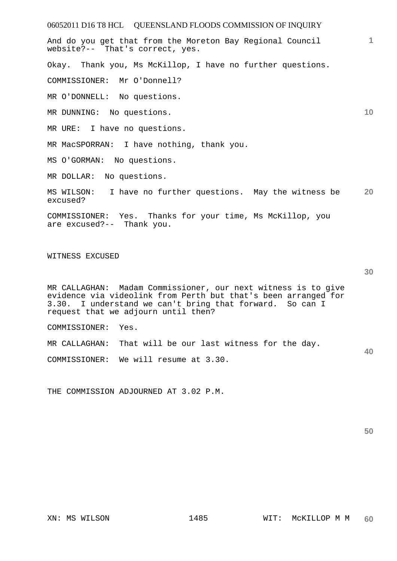06052011 D16 T8 HCL QUEENSLAND FLOODS COMMISSION OF INQUIRY **1 10 20 30 40**  And do you get that from the Moreton Bay Regional Council website?-- That's correct, yes. Okay. Thank you, Ms McKillop, I have no further questions. COMMISSIONER: Mr O'Donnell? MR O'DONNELL: No questions. MR DUNNING: No questions. MR URE: I have no questions. MR MacSPORRAN: I have nothing, thank you. MS O'GORMAN: No questions. MR DOLLAR: No questions. MS WILSON: I have no further questions. May the witness be excused? COMMISSIONER: Yes. Thanks for your time, Ms McKillop, you are excused?-- Thank you. WITNESS EXCUSED MR CALLAGHAN: Madam Commissioner, our next witness is to give evidence via videolink from Perth but that's been arranged for 3.30. I understand we can't bring that forward. So can I request that we adjourn until then? COMMISSIONER: Yes. MR CALLAGHAN: That will be our last witness for the day. COMMISSIONER: We will resume at 3.30.

THE COMMISSION ADJOURNED AT 3.02 P.M.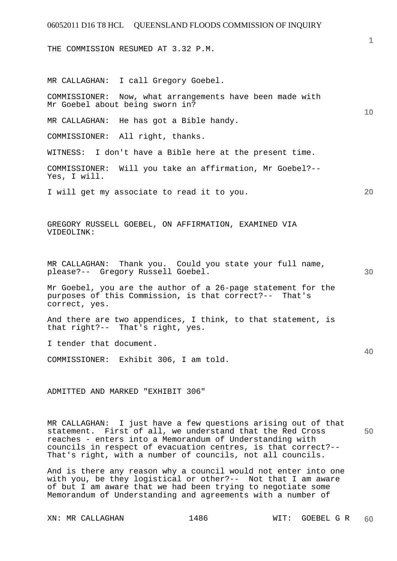THE COMMISSION RESUMED AT 3.32 P.M.

MR CALLAGHAN: I call Gregory Goebel.

COMMISSIONER: Now, what arrangements have been made with Mr Goebel about being sworn in?

MR CALLAGHAN: He has got a Bible handy.

COMMISSIONER: All right, thanks.

WITNESS: I don't have a Bible here at the present time.

COMMISSIONER: Will you take an affirmation, Mr Goebel?-- Yes, I will.

I will get my associate to read it to you.

GREGORY RUSSELL GOEBEL, ON AFFIRMATION, EXAMINED VIA VIDEOLINK:

MR CALLAGHAN: Thank you. Could you state your full name, please?-- Gregory Russell Goebel.

Mr Goebel, you are the author of a 26-page statement for the purposes of this Commission, is that correct?-- That's correct, yes.

And there are two appendices, I think, to that statement, is that right?-- That's right, yes.

I tender that document.

COMMISSIONER: Exhibit 306, I am told.

ADMITTED AND MARKED "EXHIBIT 306"

**50**  MR CALLAGHAN: I just have a few questions arising out of that statement. First of all, we understand that the Red Cross reaches - enters into a Memorandum of Understanding with councils in respect of evacuation centres, is that correct?-- That's right, with a number of councils, not all councils.

And is there any reason why a council would not enter into one with you, be they logistical or other?-- Not that I am aware of but I am aware that we had been trying to negotiate some Memorandum of Understanding and agreements with a number of

**1**

**10** 

**30** 

**40**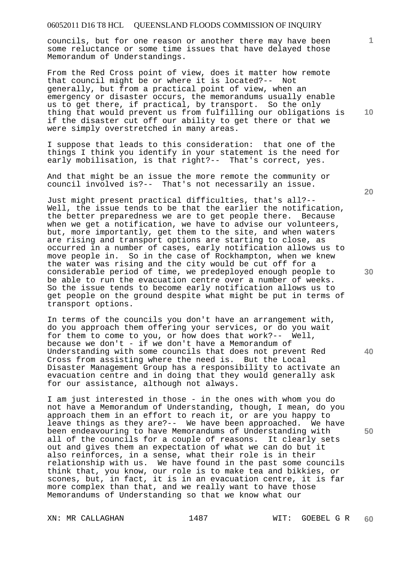councils, but for one reason or another there may have been some reluctance or some time issues that have delayed those Memorandum of Understandings.

From the Red Cross point of view, does it matter how remote that council might be or where it is located?-- Not generally, but from a practical point of view, when an emergency or disaster occurs, the memorandums usually enable us to get there, if practical, by transport. So the only thing that would prevent us from fulfilling our obligations is if the disaster cut off our ability to get there or that we were simply overstretched in many areas.

I suppose that leads to this consideration: that one of the things I think you identify in your statement is the need for early mobilisation, is that right?-- That's correct, yes.

And that might be an issue the more remote the community or council involved is?-- That's not necessarily an issue.

Just might present practical difficulties, that's all?-- Well, the issue tends to be that the earlier the notification, the better preparedness we are to get people there. Because when we get a notification, we have to advise our volunteers, but, more importantly, get them to the site, and when waters are rising and transport options are starting to close, as occurred in a number of cases, early notification allows us to move people in. So in the case of Rockhampton, when we knew the water was rising and the city would be cut off for a considerable period of time, we predeployed enough people to be able to run the evacuation centre over a number of weeks. So the issue tends to become early notification allows us to get people on the ground despite what might be put in terms of transport options.

In terms of the councils you don't have an arrangement with, do you approach them offering your services, or do you wait for them to come to you, or how does that work?-- Well, because we don't - if we don't have a Memorandum of Understanding with some councils that does not prevent Red Cross from assisting where the need is. But the Local Disaster Management Group has a responsibility to activate an evacuation centre and in doing that they would generally ask for our assistance, although not always.

I am just interested in those - in the ones with whom you do not have a Memorandum of Understanding, though, I mean, do you approach them in an effort to reach it, or are you happy to leave things as they are?-- We have been approached. We have been endeavouring to have Memorandums of Understanding with all of the councils for a couple of reasons. It clearly sets out and gives them an expectation of what we can do but it also reinforces, in a sense, what their role is in their relationship with us. We have found in the past some councils think that, you know, our role is to make tea and bikkies, or scones, but, in fact, it is in an evacuation centre, it is far more complex than that, and we really want to have those Memorandums of Understanding so that we know what our

**20** 

**10** 

**40** 

**50**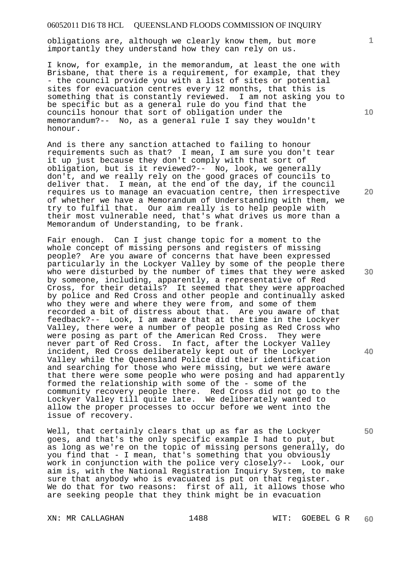obligations are, although we clearly know them, but more importantly they understand how they can rely on us.

I know, for example, in the memorandum, at least the one with Brisbane, that there is a requirement, for example, that they - the council provide you with a list of sites or potential sites for evacuation centres every 12 months, that this is something that is constantly reviewed. I am not asking you to be specific but as a general rule do you find that the councils honour that sort of obligation under the memorandum?-- No, as a general rule I say they wouldn't honour.

And is there any sanction attached to failing to honour requirements such as that? I mean, I am sure you don't tear it up just because they don't comply with that sort of obligation, but is it reviewed?-- No, look, we generally don't, and we really rely on the good graces of councils to deliver that. I mean, at the end of the day, if the council requires us to manage an evacuation centre, then irrespective of whether we have a Memorandum of Understanding with them, we try to fulfil that. Our aim really is to help people with their most vulnerable need, that's what drives us more than a Memorandum of Understanding, to be frank.

Fair enough. Can I just change topic for a moment to the whole concept of missing persons and registers of missing people? Are you aware of concerns that have been expressed particularly in the Lockyer Valley by some of the people there who were disturbed by the number of times that they were asked by someone, including, apparently, a representative of Red Cross, for their details? It seemed that they were approached by police and Red Cross and other people and continually asked who they were and where they were from, and some of them recorded a bit of distress about that. Are you aware of that feedback?-- Look, I am aware that at the time in the Lockyer Valley, there were a number of people posing as Red Cross who were posing as part of the American Red Cross. They were never part of Red Cross. In fact, after the Lockyer Valley incident, Red Cross deliberately kept out of the Lockyer Valley while the Queensland Police did their identification and searching for those who were missing, but we were aware that there were some people who were posing and had apparently formed the relationship with some of the - some of the community recovery people there. Red Cross did not go to the Lockyer Valley till quite late. We deliberately wanted to allow the proper processes to occur before we went into the issue of recovery.

Well, that certainly clears that up as far as the Lockyer goes, and that's the only specific example I had to put, but as long as we're on the topic of missing persons generally, do you find that - I mean, that's something that you obviously work in conjunction with the police very closely?-- Look, our aim is, with the National Registration Inquiry System, to make sure that anybody who is evacuated is put on that register. We do that for two reasons: first of all, it allows those who are seeking people that they think might be in evacuation

XN: MR CALLAGHAN 1488 WIT: GOEBEL G R

**10** 

**1**

**20** 

**30**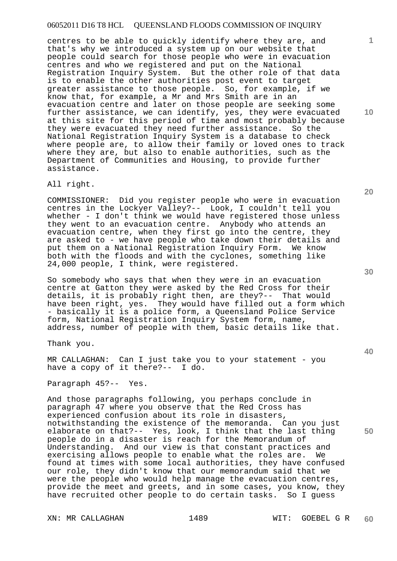centres to be able to quickly identify where they are, and that's why we introduced a system up on our website that people could search for those people who were in evacuation centres and who we registered and put on the National Registration Inquiry System. But the other role of that data is to enable the other authorities post event to target greater assistance to those people. So, for example, if we know that, for example, a Mr and Mrs Smith are in an evacuation centre and later on those people are seeking some further assistance, we can identify, yes, they were evacuated at this site for this period of time and most probably because they were evacuated they need further assistance. So the National Registration Inquiry System is a database to check where people are, to allow their family or loved ones to track where they are, but also to enable authorities, such as the Department of Communities and Housing, to provide further assistance.

All right.

COMMISSIONER: Did you register people who were in evacuation centres in the Lockyer Valley?-- Look, I couldn't tell you whether - I don't think we would have registered those unless they went to an evacuation centre. Anybody who attends an evacuation centre, when they first go into the centre, they are asked to - we have people who take down their details and put them on a National Registration Inquiry Form. We know both with the floods and with the cyclones, something like 24,000 people, I think, were registered.

So somebody who says that when they were in an evacuation centre at Gatton they were asked by the Red Cross for their details, it is probably right then, are they?-- That would have been right, yes. They would have filled out a form which - basically it is a police form, a Queensland Police Service form, National Registration Inquiry System form, name, address, number of people with them, basic details like that.

Thank you.

MR CALLAGHAN: Can I just take you to your statement - you have a copy of it there?-- I do.

Paragraph 45?-- Yes.

And those paragraphs following, you perhaps conclude in paragraph 47 where you observe that the Red Cross has experienced confusion about its role in disasters, notwithstanding the existence of the memoranda. Can you just elaborate on that?-- Yes, look, I think that the last thing people do in a disaster is reach for the Memorandum of Understanding. And our view is that constant practices and exercising allows people to enable what the roles are. We found at times with some local authorities, they have confused our role, they didn't know that our memorandum said that we were the people who would help manage the evacuation centres, provide the meet and greets, and in some cases, you know, they have recruited other people to do certain tasks. So I guess

XN: MR CALLAGHAN 1489 1489 WIT: GOEBEL G R

**10** 

**20** 

**1**

**30** 

**40**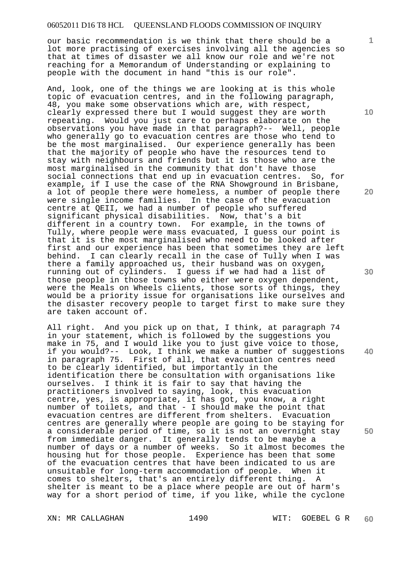our basic recommendation is we think that there should be a lot more practising of exercises involving all the agencies so that at times of disaster we all know our role and we're not reaching for a Memorandum of Understanding or explaining to people with the document in hand "this is our role".

And, look, one of the things we are looking at is this whole topic of evacuation centres, and in the following paragraph, 48, you make some observations which are, with respect, clearly expressed there but I would suggest they are worth repeating. Would you just care to perhaps elaborate on the observations you have made in that paragraph?-- Well, people who generally go to evacuation centres are those who tend to be the most marginalised. Our experience generally has been that the majority of people who have the resources tend to stay with neighbours and friends but it is those who are the most marginalised in the community that don't have those social connections that end up in evacuation centres. So, for example, if I use the case of the RNA Showground in Brisbane, a lot of people there were homeless, a number of people there were single income families. In the case of the evacuation centre at QEII, we had a number of people who suffered significant physical disabilities. Now, that's a bit different in a country town. For example, in the towns of Tully, where people were mass evacuated, I guess our point is that it is the most marginalised who need to be looked after first and our experience has been that sometimes they are left behind. I can clearly recall in the case of Tully when I was there a family approached us, their husband was on oxygen, running out of cylinders. I guess if we had had a list of those people in those towns who either were oxygen dependent, were the Meals on Wheels clients, those sorts of things, they would be a priority issue for organisations like ourselves and the disaster recovery people to target first to make sure they are taken account of.

All right. And you pick up on that, I think, at paragraph 74 in your statement, which is followed by the suggestions you make in 75, and I would like you to just give voice to those, if you would?-- Look, I think we make a number of suggestions in paragraph 75. First of all, that evacuation centres need to be clearly identified, but importantly in the identification there be consultation with organisations like ourselves. I think it is fair to say that having the practitioners involved to saying, look, this evacuation centre, yes, is appropriate, it has got, you know, a right number of toilets, and that - I should make the point that evacuation centres are different from shelters. Evacuation centres are generally where people are going to be staying for a considerable period of time, so it is not an overnight stay from immediate danger. It generally tends to be maybe a number of days or a number of weeks. So it almost becomes the housing hut for those people. Experience has been that some of the evacuation centres that have been indicated to us are unsuitable for long-term accommodation of people. When it comes to shelters, that's an entirely different thing. A shelter is meant to be a place where people are out of harm's way for a short period of time, if you like, while the cyclone

**10** 

**1**

**20** 

**30** 

**40**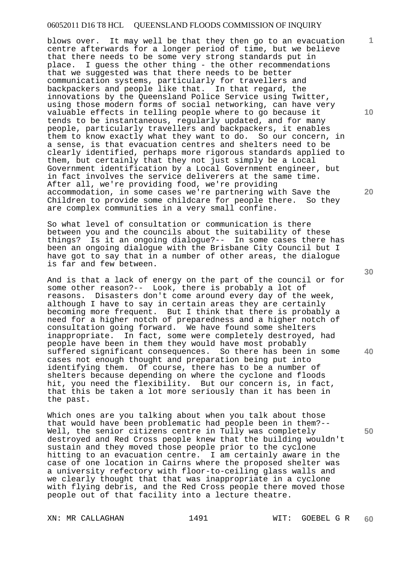blows over. It may well be that they then go to an evacuation centre afterwards for a longer period of time, but we believe that there needs to be some very strong standards put in place. I guess the other thing - the other recommendations that we suggested was that there needs to be better communication systems, particularly for travellers and backpackers and people like that. In that regard, the innovations by the Queensland Police Service using Twitter, using those modern forms of social networking, can have very valuable effects in telling people where to go because it tends to be instantaneous, regularly updated, and for many people, particularly travellers and backpackers, it enables them to know exactly what they want to do. So our concern, in a sense, is that evacuation centres and shelters need to be clearly identified, perhaps more rigorous standards applied to them, but certainly that they not just simply be a Local Government identification by a Local Government engineer, but in fact involves the service deliverers at the same time. After all, we're providing food, we're providing accommodation, in some cases we're partnering with Save the Children to provide some childcare for people there. So they are complex communities in a very small confine.

So what level of consultation or communication is there between you and the councils about the suitability of these things? Is it an ongoing dialogue?-- In some cases there has been an ongoing dialogue with the Brisbane City Council but I have got to say that in a number of other areas, the dialogue is far and few between.

And is that a lack of energy on the part of the council or for some other reason?-- Look, there is probably a lot of reasons. Disasters don't come around every day of the week, although I have to say in certain areas they are certainly becoming more frequent. But I think that there is probably a need for a higher notch of preparedness and a higher notch of consultation going forward. We have found some shelters inappropriate. In fact, some were completely destroyed, had people have been in them they would have most probably suffered significant consequences. So there has been in some cases not enough thought and preparation being put into identifying them. Of course, there has to be a number of shelters because depending on where the cyclone and floods hit, you need the flexibility. But our concern is, in fact, that this be taken a lot more seriously than it has been in the past.

Which ones are you talking about when you talk about those that would have been problematic had people been in them?-- Well, the senior citizens centre in Tully was completely destroyed and Red Cross people knew that the building wouldn't sustain and they moved those people prior to the cyclone hitting to an evacuation centre. I am certainly aware in the case of one location in Cairns where the proposed shelter was a university refectory with floor-to-ceiling glass walls and we clearly thought that that was inappropriate in a cyclone with flying debris, and the Red Cross people there moved those people out of that facility into a lecture theatre.

XN: MR CALLAGHAN 1491 1491 WIT: GOEBEL G R

**30** 

**20** 

**40** 

**50** 

**10**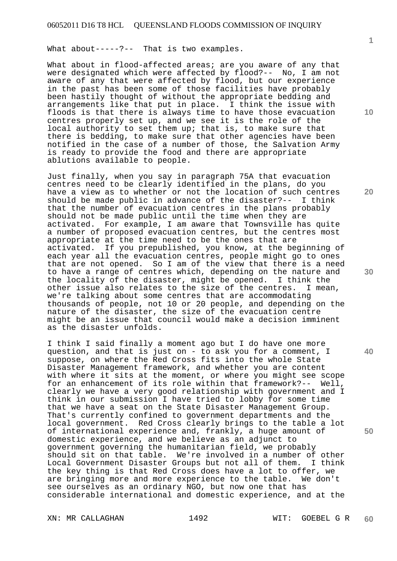What about-----?-- That is two examples.

What about in flood-affected areas; are you aware of any that were designated which were affected by flood?-- No, I am not aware of any that were affected by flood, but our experience in the past has been some of those facilities have probably been hastily thought of without the appropriate bedding and arrangements like that put in place. I think the issue with floods is that there is always time to have those evacuation centres properly set up, and we see it is the role of the local authority to set them up; that is, to make sure that there is bedding, to make sure that other agencies have been notified in the case of a number of those, the Salvation Army is ready to provide the food and there are appropriate ablutions available to people.

Just finally, when you say in paragraph 75A that evacuation centres need to be clearly identified in the plans, do you have a view as to whether or not the location of such centres should be made public in advance of the disaster?-- I think that the number of evacuation centres in the plans probably should not be made public until the time when they are activated. For example, I am aware that Townsville has quite a number of proposed evacuation centres, but the centres most appropriate at the time need to be the ones that are activated. If you prepublished, you know, at the beginning of each year all the evacuation centres, people might go to ones that are not opened. So I am of the view that there is a need to have a range of centres which, depending on the nature and the locality of the disaster, might be opened. I think the other issue also relates to the size of the centres. I mean, we're talking about some centres that are accommodating thousands of people, not 10 or 20 people, and depending on the nature of the disaster, the size of the evacuation centre might be an issue that council would make a decision imminent as the disaster unfolds.

I think I said finally a moment ago but I do have one more question, and that is just on - to ask you for a comment, I suppose, on where the Red Cross fits into the whole State Disaster Management framework, and whether you are content with where it sits at the moment, or where you might see scope for an enhancement of its role within that framework?-- Well, clearly we have a very good relationship with government and I think in our submission I have tried to lobby for some time that we have a seat on the State Disaster Management Group. That's currently confined to government departments and the local government. Red Cross clearly brings to the table a lot of international experience and, frankly, a huge amount of domestic experience, and we believe as an adjunct to government governing the humanitarian field, we probably should sit on that table. We're involved in a number of other Local Government Disaster Groups but not all of them. I think the key thing is that Red Cross does have a lot to offer, we are bringing more and more experience to the table. We don't see ourselves as an ordinary NGO, but now one that has considerable international and domestic experience, and at the

XN: MR CALLAGHAN 1492 WIT: GOEBEL G R

**60** 

**10** 

**20** 

**30** 

**40**